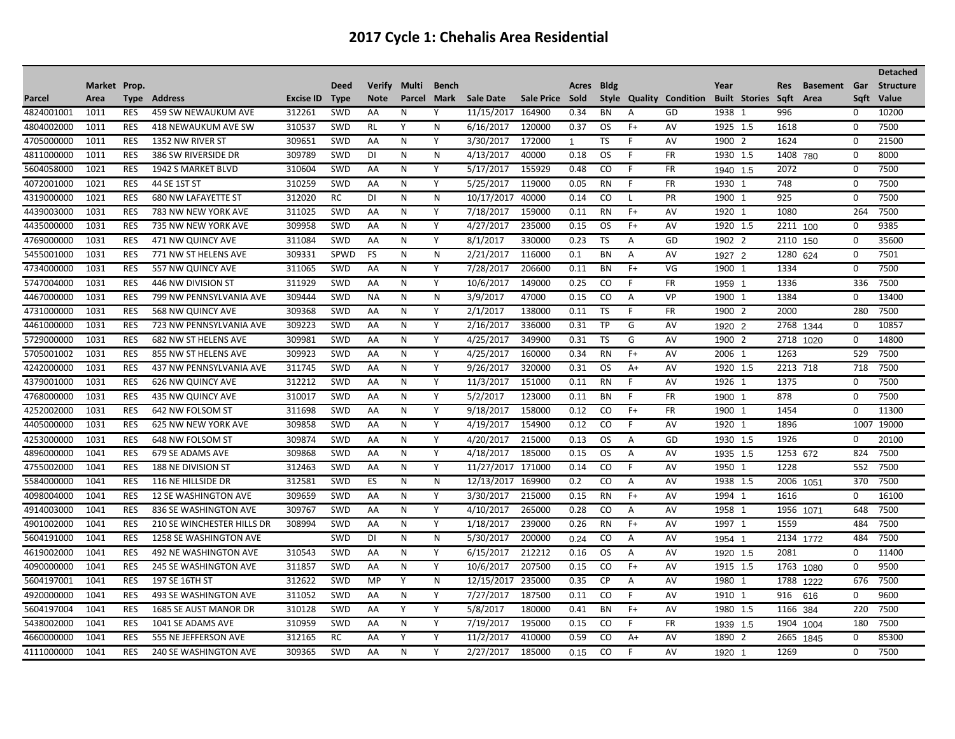|            |              |             |                              |                  |             |               |        |              |                   |                 |                |             |              |                         |          |                      |           |                 |             | <b>Detached</b>  |
|------------|--------------|-------------|------------------------------|------------------|-------------|---------------|--------|--------------|-------------------|-----------------|----------------|-------------|--------------|-------------------------|----------|----------------------|-----------|-----------------|-------------|------------------|
|            | Market Prop. |             |                              |                  | <b>Deed</b> | <b>Verify</b> | Multi  | <b>Bench</b> |                   |                 | Acres          | <b>Bldg</b> |              |                         | Year     |                      | Res       | <b>Basement</b> | Gar         | <b>Structure</b> |
| Parcel     | Area         | <b>Type</b> | Address                      | <b>Excise ID</b> | <b>Type</b> | <b>Note</b>   | Parcel | Mark         | <b>Sale Date</b>  | Sale Price Sold |                |             |              | Style Quality Condition |          | <b>Built Stories</b> | Saft      | Area            | Saft        | Value            |
| 4824001001 | 1011         | <b>RES</b>  | <b>459 SW NEWAUKUM AVE</b>   | 312261           | SWD         | AA            | N      | Y            | 11/15/2017 164900 |                 | 0.34           | <b>BN</b>   | A            | GD                      | 1938 1   |                      | 996       |                 | 0           | 10200            |
| 4804002000 | 1011         | <b>RES</b>  | <b>418 NEWAUKUM AVE SW</b>   | 310537           | SWD         | <b>RL</b>     | Y      | N            | 6/16/2017         | 120000          | 0.37           | OS.         | $F+$         | AV                      | 1925 1.5 |                      | 1618      |                 | 0           | 7500             |
| 4705000000 | 1011         | <b>RES</b>  | 1352 NW RIVER ST             | 309651           | <b>SWD</b>  | AA            | N      | Y            | 3/30/2017         | 172000          | $\overline{1}$ | TS          | F            | AV                      | 1900 2   |                      | 1624      |                 | 0           | 21500            |
| 4811000000 | 1011         | <b>RES</b>  | 386 SW RIVERSIDE DR          | 309789           | SWD         | DI            | N      | N            | 4/13/2017         | 40000           | 0.18           | OS.         | F            | <b>FR</b>               | 1930 1.5 |                      | 1408 780  |                 | $\Omega$    | 8000             |
| 5604058000 | 1021         | <b>RES</b>  | 1942 S MARKET BLVD           | 310604           | <b>SWD</b>  | AA            | N      | Y            | 5/17/2017         | 155929          | 0.48           | CO.         | F.           | FR                      | 1940 1.5 |                      | 2072      |                 | 0           | 7500             |
| 4072001000 | 1021         | <b>RES</b>  | 44 SE 1ST ST                 | 310259           | <b>SWD</b>  | AA            | N      | Y            | 5/25/2017         | 119000          | 0.05           | <b>RN</b>   | F            | <b>FR</b>               | 1930 1   |                      | 748       |                 | 0           | 7500             |
| 4319000000 | 1021         | <b>RES</b>  | <b>680 NW LAFAYETTE ST</b>   | 312020           | <b>RC</b>   | DI            | N      | ${\sf N}$    | 10/17/2017        | 40000           | 0.14           | CO          | L            | PR                      | 1900     | -1                   | 925       |                 | $\mathbf 0$ | 7500             |
| 4439003000 | 1031         | <b>RES</b>  | 783 NW NEW YORK AVE          | 311025           | SWD         | AA            | N      | Y            | 7/18/2017         | 159000          | 0.11           | <b>RN</b>   | $F+$         | AV                      | 1920 1   |                      | 1080      |                 | 264         | 7500             |
| 4435000000 | 1031         | <b>RES</b>  | 735 NW NEW YORK AVE          | 309958           | SWD         | AA            | N      | Υ            | 4/27/2017         | 235000          | 0.15           | OS          | $F+$         | AV                      | 1920 1.5 |                      | 2211 100  |                 | 0           | 9385             |
| 4769000000 | 1031         | <b>RES</b>  | 471 NW QUINCY AVE            | 311084           | <b>SWD</b>  | AA            | N      | Y            | 8/1/2017          | 330000          | 0.23           | <b>TS</b>   | A            | GD                      | 1902 2   |                      | 2110      | 150             | 0           | 35600            |
| 5455001000 | 1031         | <b>RES</b>  | 771 NW ST HELENS AVE         | 309331           | SPWD        | <b>FS</b>     | N      | N            | 2/21/2017         | 116000          | 0.1            | <b>BN</b>   | A            | AV                      | 1927 2   |                      | 1280      | 624             | 0           | 7501             |
| 4734000000 | 1031         | <b>RES</b>  | 557 NW QUINCY AVE            | 311065           | <b>SWD</b>  | AA            | N      | Y            | 7/28/2017         | 206600          | 0.11           | BN          | $F+$         | VG                      | 1900     | -1                   | 1334      |                 | 0           | 7500             |
| 5747004000 | 1031         | <b>RES</b>  | 446 NW DIVISION ST           | 311929           | SWD         | AA            | N      | Y            | 10/6/2017         | 149000          | 0.25           | CO          | F            | FR                      | 1959 1   |                      | 1336      |                 | 336         | 7500             |
| 4467000000 | 1031         | <b>RES</b>  | 799 NW PENNSYLVANIA AVE      | 309444           | SWD         | <b>NA</b>     | N      | N            | 3/9/2017          | 47000           | 0.15           | CO          | Α            | VP                      | 1900 1   |                      | 1384      |                 | 0           | 13400            |
| 4731000000 | 1031         | <b>RES</b>  | 568 NW QUINCY AVE            | 309368           | SWD         | AA            | N      | Υ            | 2/1/2017          | 138000          | 0.11           | TS          | F            | <b>FR</b>               | 1900 2   |                      | 2000      |                 | 280         | 7500             |
| 4461000000 | 1031         | <b>RES</b>  | 723 NW PENNSYLVANIA AVE      | 309223           | SWD         | AA            | N      | Y            | 2/16/2017         | 336000          | 0.31           | TP          | G            | AV                      | 1920 2   |                      | 2768      | 1344            | 0           | 10857            |
| 5729000000 | 1031         | <b>RES</b>  | <b>682 NW ST HELENS AVE</b>  | 309981           | <b>SWD</b>  | AA            | N      | Y            | 4/25/2017         | 349900          | 0.31           | <b>TS</b>   | G            | AV                      | 1900 2   |                      | 2718      | 1020            | $\Omega$    | 14800            |
| 5705001002 | 1031         | <b>RES</b>  | 855 NW ST HELENS AVE         | 309923           | SWD         | AA            | N      | Y            | 4/25/2017         | 160000          | 0.34           | <b>RN</b>   | $F+$         | AV                      | 2006 1   |                      | 1263      |                 | 529         | 7500             |
| 4242000000 | 1031         | <b>RES</b>  | 437 NW PENNSYLVANIA AVE      | 311745           | SWD         | AA            | N      | Y            | 9/26/2017         | 320000          | 0.31           | <b>OS</b>   | $A+$         | AV                      | 1920 1.5 |                      | 2213 718  |                 | 718         | 7500             |
| 4379001000 | 1031         | <b>RES</b>  | <b>626 NW QUINCY AVE</b>     | 312212           | SWD         | AA            | N      | Y            | 11/3/2017         | 151000          | 0.11           | <b>RN</b>   | E            | AV                      | 1926 1   |                      | 1375      |                 | $\Omega$    | 7500             |
| 4768000000 | 1031         | <b>RES</b>  | 435 NW QUINCY AVE            | 310017           | <b>SWD</b>  | AA            | N      | Υ            | 5/2/2017          | 123000          | 0.11           | BN          | F            | FR                      | 1900     |                      | 878       |                 | $\Omega$    | 7500             |
| 4252002000 | 1031         | <b>RES</b>  | 642 NW FOLSOM ST             | 311698           | SWD         | AA            | N      | Υ            | 9/18/2017         | 158000          | 0.12           | CO          | $F+$         | <b>FR</b>               | 1900 1   |                      | 1454      |                 | $\Omega$    | 11300            |
| 4405000000 | 1031         | <b>RES</b>  | <b>625 NW NEW YORK AVE</b>   | 309858           | <b>SWD</b>  | AA            | N      | Y            | 4/19/2017         | 154900          | 0.12           | CO          | F            | AV                      | 1920 1   |                      | 1896      |                 | 1007        | 19000            |
| 4253000000 | 1031         | <b>RES</b>  | 648 NW FOLSOM ST             | 309874           | <b>SWD</b>  | AA            | N      | Y            | 4/20/2017         | 215000          | 0.13           | OS.         | A            | GD                      | 1930 1.5 |                      | 1926      |                 | 0           | 20100            |
| 4896000000 | 1041         | <b>RES</b>  | 679 SE ADAMS AVE             | 309868           | SWD         | AA            | N      | Y            | 4/18/2017         | 185000          | 0.15           | <b>OS</b>   | A            | AV                      | 1935 1.5 |                      | 1253 672  |                 | 824         | 7500             |
| 4755002000 | 1041         | <b>RES</b>  | <b>188 NE DIVISION ST</b>    | 312463           | <b>SWD</b>  | AA            | N      | Y            | 11/27/2017        | 171000          | 0.14           | CO          | F            | AV                      | 1950     | -1                   | 1228      |                 | 552         | 7500             |
| 5584000000 | 1041         | <b>RES</b>  | 116 NE HILLSIDE DR           | 312581           | SWD         | ES            | N      | N            | 12/13/2017 169900 |                 | 0.2            | CO          | A            | AV                      | 1938 1.5 |                      | 2006      | 1051            | 370         | 7500             |
| 4098004000 | 1041         | <b>RES</b>  | <b>12 SE WASHINGTON AVE</b>  | 309659           | <b>SWD</b>  | AA            | N      | Y            | 3/30/2017         | 215000          | 0.15           | <b>RN</b>   | $F+$         | AV                      | 1994 1   |                      | 1616      |                 | 0           | 16100            |
| 4914003000 | 1041         | <b>RES</b>  | 836 SE WASHINGTON AVE        | 309767           | <b>SWD</b>  | AA            | N      | Y            | 4/10/2017         | 265000          | 0.28           | CO.         | $\mathsf{A}$ | AV                      | 1958 1   |                      | 1956 1071 |                 | 648         | 7500             |
| 4901002000 | 1041         | <b>RES</b>  | 210 SE WINCHESTER HILLS DR   | 308994           | <b>SWD</b>  | AA            | N      | Y            | 1/18/2017         | 239000          | 0.26           | <b>RN</b>   | $F+$         | AV                      | 1997 1   |                      | 1559      |                 | 484         | 7500             |
| 5604191000 | 1041         | <b>RES</b>  | 1258 SE WASHINGTON AVE       |                  | SWD         | DI            | N      | ${\sf N}$    | 5/30/2017         | 200000          | 0.24           | CO          | Α            | AV                      | 1954 1   |                      |           | 2134 1772       | 484         | 7500             |
| 4619002000 | 1041         | <b>RES</b>  | 492 NE WASHINGTON AVE        | 310543           | SWD         | AA            | N      | Υ            | 6/15/2017         | 212212          | 0.16           | OS          | A            | AV                      | 1920 1.5 |                      | 2081      |                 | 0           | 11400            |
| 4090000000 | 1041         | <b>RES</b>  | <b>245 SE WASHINGTON AVE</b> | 311857           | <b>SWD</b>  | AA            | N      | Y            | 10/6/2017         | 207500          | 0.15           | CO          | $F+$         | AV                      | 1915 1.5 |                      | 1763      | 1080            | 0           | 9500             |
| 5604197001 | 1041         | <b>RES</b>  | 197 SE 16TH ST               | 312622           | SWD         | MP            | Y      | N            | 12/15/2017        | 235000          | 0.35           | CP          | A            | AV                      | 1980 1   |                      | 1788      | 1222            | 676         | 7500             |
| 4920000000 | 1041         | <b>RES</b>  | 493 SE WASHINGTON AVE        | 311052           | <b>SWD</b>  | AA            | N      | Y            | 7/27/2017         | 187500          | 0.11           | CO.         | F            | AV                      | 1910     | -1                   | 916       | 616             | 0           | 9600             |
| 5604197004 | 1041         | <b>RES</b>  | 1685 SE AUST MANOR DR        | 310128           | SWD         | AA            | Y      | Y            | 5/8/2017          | 180000          | 0.41           | ΒN          | $F+$         | AV                      | 1980 1.5 |                      | 1166      | 384             | 220         | 7500             |
| 5438002000 | 1041         | <b>RES</b>  | 1041 SE ADAMS AVE            | 310959           | <b>SWD</b>  | AA            | N      | Υ            | 7/19/2017         | 195000          | 0.15           | CO          | F            | FR                      | 1939 1.5 |                      | 1904      | 1004            | 180         | 7500             |
| 4660000000 | 1041         | <b>RES</b>  | 555 NE JEFFERSON AVE         | 312165           | <b>RC</b>   | AA            | Y      | Υ            | 11/2/2017         | 410000          | 0.59           | CO          | $A+$         | AV                      | 1890 2   |                      | 2665      | 1845            | 0           | 85300            |
| 4111000000 | 1041         | <b>RES</b>  | 240 SE WASHINGTON AVE        | 309365           | SWD         | AA            | N      | Y            | 2/27/2017         | 185000          | 0.15           | CO          | F            | AV                      | 1920 1   |                      | 1269      |                 | $\Omega$    | 7500             |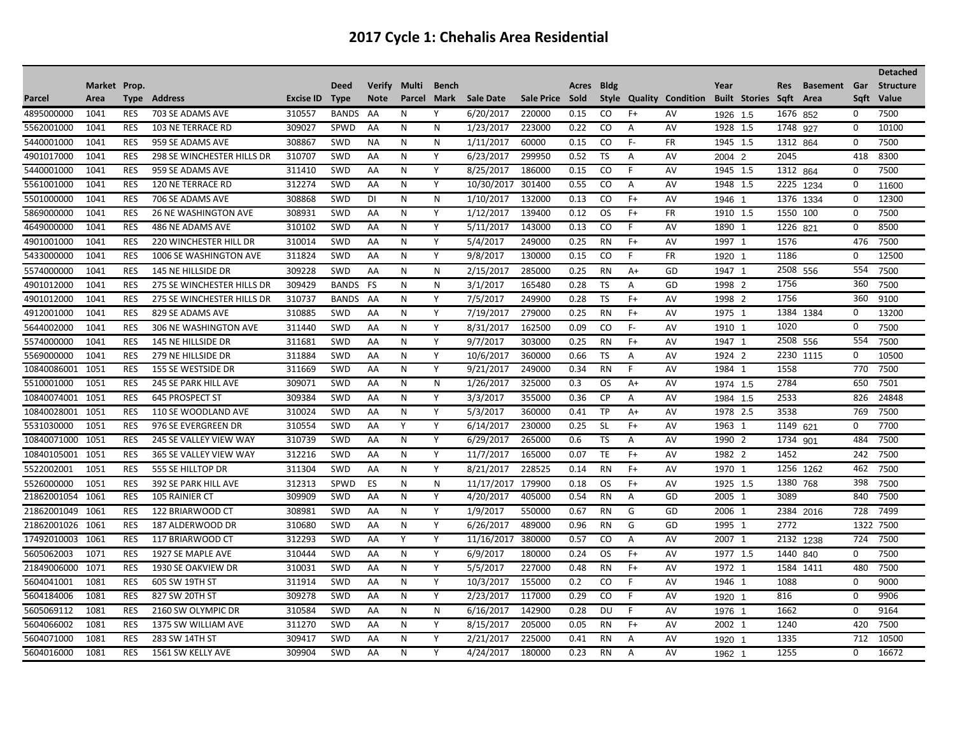|             |              |            |                               |                  |              |             |        |              |                   |                 |       |             |              |                         |          |                      |            |                 |             | <b>Detached</b>  |
|-------------|--------------|------------|-------------------------------|------------------|--------------|-------------|--------|--------------|-------------------|-----------------|-------|-------------|--------------|-------------------------|----------|----------------------|------------|-----------------|-------------|------------------|
|             | Market Prop. |            |                               |                  | Deed         | Verify      | Multi  | <b>Bench</b> |                   |                 | Acres | <b>Bldg</b> |              |                         | Year     |                      | <b>Res</b> | <b>Basement</b> | Gar         | <b>Structure</b> |
| Parcel      | Area         | Type       | Address                       | <b>Excise ID</b> | <b>Type</b>  | <b>Note</b> | Parcel | Mark         | <b>Sale Date</b>  | Sale Price Sold |       |             |              | Style Quality Condition |          | <b>Built Stories</b> | Saft       | Area            | Saft        | Value            |
| 4895000000  | 1041         | <b>RES</b> | 703 SE ADAMS AVE              | 310557           | <b>BANDS</b> | AA          | N      | Υ            | 6/20/2017         | 220000          | 0.15  | CO.         | $F+$         | AV                      | 1926 1.5 |                      | 1676 852   |                 | 0           | 7500             |
| 5562001000  | 1041         | <b>RES</b> | 103 NE TERRACE RD             | 309027           | <b>SPWD</b>  | AA          | N      | N            | 1/23/2017         | 223000          | 0.22  | CO          | A            | AV                      | 1928 1.5 |                      | 1748 927   |                 | 0           | 10100            |
| 5440001000  | 1041         | <b>RES</b> | 959 SE ADAMS AVE              | 308867           | <b>SWD</b>   | <b>NA</b>   | N      | N            | 1/11/2017         | 60000           | 0.15  | CO.         | F-           | <b>FR</b>               | 1945 1.5 |                      | 1312 864   |                 | 0           | 7500             |
| 4901017000  | 1041         | <b>RES</b> | 298 SE WINCHESTER HILLS DR    | 310707           | <b>SWD</b>   | AA          | N      | Y            | 6/23/2017         | 299950          | 0.52  | TS          | A            | AV                      | 2004 2   |                      | 2045       |                 | 418         | 8300             |
| 5440001000  | 1041         | <b>RES</b> | 959 SE ADAMS AVE              | 311410           | <b>SWD</b>   | AA          | N      | Y            | 8/25/2017         | 186000          | 0.15  | CO          | F            | AV                      | 1945 1.5 |                      | 1312 864   |                 | 0           | 7500             |
| 5561001000  | 1041         | <b>RES</b> | 120 NE TERRACE RD             | 312274           | SWD          | AA          | N      | Υ            | 10/30/2017 301400 |                 | 0.55  | CO.         | $\mathsf{A}$ | AV                      | 1948 1.5 |                      | 2225       | 1234            | 0           | 11600            |
| 5501000000  | 1041         | <b>RES</b> | 706 SE ADAMS AVE              | 308868           | SWD          | DI          | N      | N            | 1/10/2017         | 132000          | 0.13  | CO          | $F+$         | AV                      | 1946     |                      | 1376       | 1334            | $\mathbf 0$ | 12300            |
| 5869000000  | 1041         | <b>RES</b> | <b>26 NE WASHINGTON AVE</b>   | 308931           | SWD          | AA          | N      | Y            | 1/12/2017         | 139400          | 0.12  | OS.         | $F+$         | <b>FR</b>               | 1910 1.5 |                      | 1550 100   |                 | $\mathbf 0$ | 7500             |
| 4649000000  | 1041         | <b>RES</b> | 486 NE ADAMS AVE              | 310102           | SWD          | AA          | N      | Υ            | 5/11/2017         | 143000          | 0.13  | CO          | F            | AV                      | 1890 1   |                      | 1226       | 821             | $\mathbf 0$ | 8500             |
| 4901001000  | 1041         | <b>RES</b> | <b>220 WINCHESTER HILL DR</b> | 310014           | <b>SWD</b>   | AA          | N      | Y            | 5/4/2017          | 249000          | 0.25  | <b>RN</b>   | $F+$         | AV                      | 1997 1   |                      | 1576       |                 | 476         | 7500             |
| 5433000000  | 1041         | <b>RES</b> | 1006 SE WASHINGTON AVE        | 311824           | SWD          | AA          | N      | Y            | 9/8/2017          | 130000          | 0.15  | CO          | F            | <b>FR</b>               | 1920 1   |                      | 1186       |                 | $\Omega$    | 12500            |
| 5574000000  | 1041         | <b>RES</b> | 145 NE HILLSIDE DR            | 309228           | <b>SWD</b>   | AA          | N      | N            | 2/15/2017         | 285000          | 0.25  | <b>RN</b>   | A+           | GD                      | 1947 1   |                      | 2508 556   |                 | 554         | 7500             |
| 4901012000  | 1041         | <b>RES</b> | 275 SE WINCHESTER HILLS DR    | 309429           | <b>BANDS</b> | FS          | N      | N            | 3/1/2017          | 165480          | 0.28  | TS          | Α            | GD                      | 1998 2   |                      | 1756       |                 | 360         | 7500             |
| 4901012000  | 1041         | <b>RES</b> | 275 SE WINCHESTER HILLS DR    | 310737           | <b>BANDS</b> | AA          | N      | Y            | 7/5/2017          | 249900          | 0.28  | TS          | $F+$         | AV                      | 1998 2   |                      | 1756       |                 | 360         | 9100             |
| 4912001000  | 1041         | <b>RES</b> | 829 SE ADAMS AVE              | 310885           | <b>SWD</b>   | AA          | N      | Y            | 7/19/2017         | 279000          | 0.25  | <b>RN</b>   | $F+$         | AV                      | 1975 1   |                      |            | 1384 1384       | 0           | 13200            |
| 5644002000  | 1041         | <b>RES</b> | 306 NE WASHINGTON AVE         | 311440           | SWD          | AA          | N      | Y            | 8/31/2017         | 162500          | 0.09  | CO          | F-           | AV                      | 1910 1   |                      | 1020       |                 | 0           | 7500             |
| 5574000000  | 1041         | <b>RES</b> | 145 NE HILLSIDE DR            | 311681           | <b>SWD</b>   | AA          | N      | Υ            | 9/7/2017          | 303000          | 0.25  | <b>RN</b>   | $F+$         | AV                      | 1947 1   |                      | 2508 556   |                 | 554         | 7500             |
| 5569000000  | 1041         | <b>RES</b> | 279 NE HILLSIDE DR            | 311884           | <b>SWD</b>   | AA          | N      | Y            | 10/6/2017         | 360000          | 0.66  | TS          | A            | AV                      | 1924 2   |                      | 2230       | 1115            | 0           | 10500            |
| 10840086001 | 1051         | <b>RES</b> | 155 SE WESTSIDE DR            | 311669           | <b>SWD</b>   | AA          | N      | Y            | 9/21/2017         | 249000          | 0.34  | <b>RN</b>   | F            | AV                      | 1984 1   |                      | 1558       |                 | 770         | 7500             |
| 5510001000  | 1051         | <b>RES</b> | <b>245 SE PARK HILL AVE</b>   | 309071           | SWD          | AA          | N      | N            | 1/26/2017         | 325000          | 0.3   | <b>OS</b>   | $A+$         | AV                      | 1974 1.5 |                      | 2784       |                 | 650         | 7501             |
| 10840074001 | 1051         | <b>RES</b> | 645 PROSPECT ST               | 309384           | <b>SWD</b>   | AA          | N      | Y            | 3/3/2017          | 355000          | 0.36  | <b>CP</b>   | Α            | AV                      | 1984 1.5 |                      | 2533       |                 | 826         | 24848            |
| 10840028001 | 1051         | <b>RES</b> | 110 SE WOODLAND AVE           | 310024           | <b>SWD</b>   | AA          | N      | Υ            | 5/3/2017          | 360000          | 0.41  | TP          | A+           | AV                      | 1978 2.5 |                      | 3538       |                 | 769         | 7500             |
| 5531030000  | 1051         | <b>RES</b> | 976 SE EVERGREEN DR           | 310554           | <b>SWD</b>   | AA          | Υ      | Υ            | 6/14/2017         | 230000          | 0.25  | <b>SL</b>   | $F+$         | AV                      | 1963 1   |                      | 1149 621   |                 | 0           | 7700             |
| 10840071000 | 1051         | <b>RES</b> | 245 SE VALLEY VIEW WAY        | 310739           | SWD          | AA          | N      | Y            | 6/29/2017         | 265000          | 0.6   | TS          | Α            | AV                      | 1990 2   |                      | 1734 901   |                 | 484         | 7500             |
| 10840105001 | 1051         | <b>RES</b> | 365 SE VALLEY VIEW WAY        | 312216           | <b>SWD</b>   | AA          | N      | Y            | 11/7/2017         | 165000          | 0.07  | <b>TE</b>   | $F+$         | AV                      | 1982 2   |                      | 1452       |                 | 242         | 7500             |
| 5522002001  | 1051         | <b>RES</b> | 555 SE HILLTOP DR             | 311304           | SWD          | AA          | N      | Υ            | 8/21/2017         | 228525          | 0.14  | <b>RN</b>   | $F+$         | AV                      | 1970 1   |                      |            | 1256 1262       | 462         | 7500             |
| 5526000000  | 1051         | <b>RES</b> | <b>392 SE PARK HILL AVE</b>   | 312313           | <b>SPWD</b>  | ES          | N      | N            | 11/17/2017        | 179900          | 0.18  | OS.         | $F+$         | AV                      | 1925 1.5 |                      | 1380 768   |                 | 398         | 7500             |
| 21862001054 | 1061         | <b>RES</b> | <b>105 RAINIER CT</b>         | 309909           | <b>SWD</b>   | AA          | N      | Y            | 4/20/2017         | 405000          | 0.54  | <b>RN</b>   | A            | GD                      | 2005 1   |                      | 3089       |                 | 840         | 7500             |
| 21862001049 | 1061         | <b>RES</b> | 122 BRIARWOOD CT              | 308981           | <b>SWD</b>   | AA          | N      | Y            | 1/9/2017          | 550000          | 0.67  | <b>RN</b>   | G            | GD                      | 2006 1   |                      |            | 2384 2016       | 728         | 7499             |
| 21862001026 | 1061         | <b>RES</b> | 187 ALDERWOOD DR              | 310680           | <b>SWD</b>   | AA          | N      | Y            | 6/26/2017         | 489000          | 0.96  | <b>RN</b>   | G            | GD                      | 1995 1   |                      | 2772       |                 |             | 1322 7500        |
| 17492010003 | 1061         | <b>RES</b> | 117 BRIARWOOD CT              | 312293           | <b>SWD</b>   | AA          | Υ      | Υ            | 11/16/2017        | 380000          | 0.57  | CO          | Α            | AV                      | 2007 1   |                      |            | 2132 1238       | 724         | 7500             |
| 5605062003  | 1071         | <b>RES</b> | 1927 SE MAPLE AVE             | 310444           | <b>SWD</b>   | AA          | N      | Υ            | 6/9/2017          | 180000          | 0.24  | OS.         | $F+$         | AV                      | 1977 1.5 |                      | 1440 840   |                 | 0           | 7500             |
| 21849006000 | 1071         | <b>RES</b> | 1930 SE OAKVIEW DR            | 310031           | SWD          | AA          | N      | Y            | 5/5/2017          | 227000          | 0.48  | <b>RN</b>   | $F+$         | AV                      | 1972 1   |                      |            | 1584 1411       | 480         | 7500             |
| 5604041001  | 1081         | <b>RES</b> | 605 SW 19TH ST                | 311914           | SWD          | AA          | N      | Υ            | 10/3/2017         | 155000          | 0.2   | CO          | F            | AV                      | 1946 1   |                      | 1088       |                 | 0           | 9000             |
| 5604184006  | 1081         | <b>RES</b> | 827 SW 20TH ST                | 309278           | SWD          | AA          | N      | Y            | 2/23/2017         | 117000          | 0.29  | CO.         | F            | AV                      | 1920     |                      | 816        |                 | $\Omega$    | 9906             |
| 5605069112  | 1081         | <b>RES</b> | 2160 SW OLYMPIC DR            | 310584           | SWD          | AA          | N      | N            | 6/16/2017         | 142900          | 0.28  | DU          | F            | AV                      | 1976     |                      | 1662       |                 | $\Omega$    | 9164             |
| 5604066002  | 1081         | <b>RES</b> | 1375 SW WILLIAM AVE           | 311270           | <b>SWD</b>   | AA          | N      | Y            | 8/15/2017         | 205000          | 0.05  | <b>RN</b>   | $F+$         | AV                      | 2002 1   |                      | 1240       |                 | 420         | 7500             |
| 5604071000  | 1081         | <b>RES</b> | 283 SW 14TH ST                | 309417           | <b>SWD</b>   | AA          | N      | Y            | 2/21/2017         | 225000          | 0.41  | <b>RN</b>   | A            | AV                      | 1920     |                      | 1335       |                 | 712         | 10500            |
| 5604016000  | 1081         | <b>RES</b> | 1561 SW KELLY AVE             | 309904           | <b>SWD</b>   | AA          | N      | Υ            | 4/24/2017         | 180000          | 0.23  | <b>RN</b>   | A            | AV                      | 1962 1   |                      | 1255       |                 | 0           | 16672            |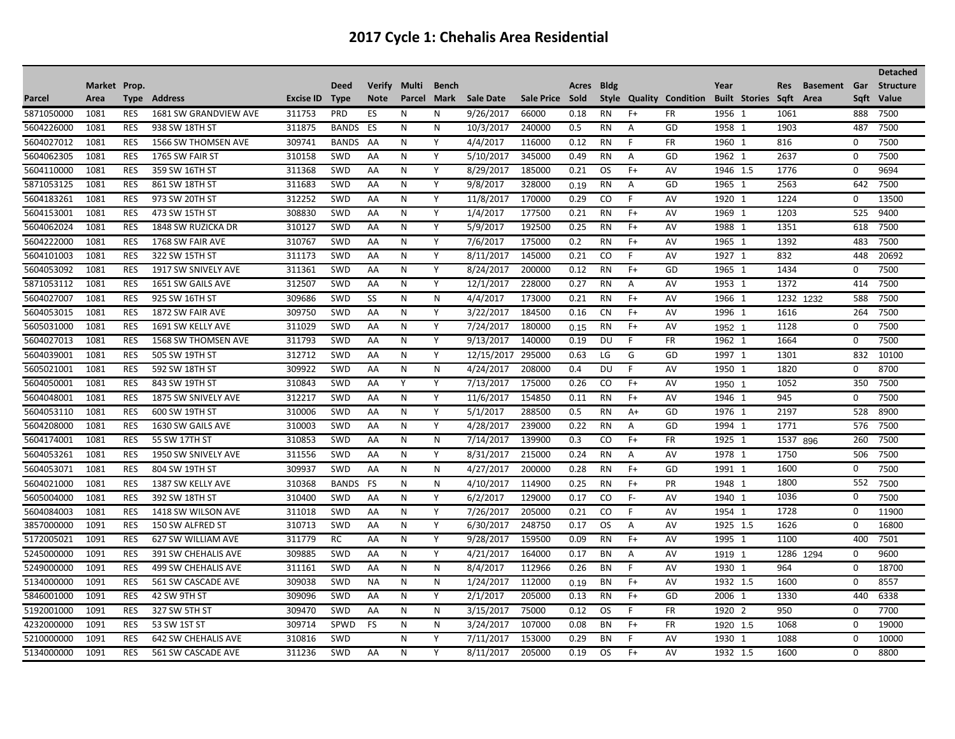| <b>Bldg</b><br>Market Prop.<br><b>Deed</b><br>Verify<br>Multi<br><b>Bench</b><br>Year<br><b>Basement</b><br>Gar<br><b>Structure</b><br>Acres<br><b>Res</b><br>Saft<br>Parcel<br><b>Address</b><br><b>Excise ID</b><br>Mark<br><b>Sale Date</b><br>Sale Price Sold<br>Style Quality Condition<br><b>Built Stories</b><br>Area<br>Saft<br>Value<br>Type<br><b>Type</b><br><b>Note</b><br>Parcel<br>Area<br>5871050000<br><b>RES</b><br>1681 SW GRANDVIEW AVE<br>ES<br>1956 1<br>7500<br>1081<br>311753<br><b>PRD</b><br>N<br>N<br>9/26/2017<br>66000<br>0.18<br><b>RN</b><br>$F+$<br><b>FR</b><br>1061<br>888<br>GD<br>5604226000<br>1081<br>311875<br><b>BANDS</b><br>ES<br>N<br>N<br>10/3/2017<br>240000<br>0.5<br>1958 1<br>1903<br>7500<br><b>RES</b><br>938 SW 18TH ST<br><b>RN</b><br>A<br>487<br><b>FR</b><br>7500<br>5604027012<br>1081<br><b>RES</b><br>1566 SW THOMSEN AVE<br>309741<br><b>BANDS</b><br>AA<br>N<br>Y<br>4/4/2017<br>116000<br>0.12<br><b>RN</b><br>F<br>1960 1<br>816<br>$\Omega$<br>5604062305<br>310158<br>Y<br>GD<br>2637<br>1081<br><b>RES</b><br>1765 SW FAIR ST<br><b>SWD</b><br>AA<br>N<br>5/10/2017<br>345000<br>0.49<br>A<br>1962 1<br>0<br>7500<br><b>RN</b><br>1081<br><b>RES</b><br>N<br>Y<br>$F+$<br>1776<br>$\mathbf 0$<br>5604110000<br>359 SW 16TH ST<br>311368<br><b>SWD</b><br>AA<br>8/29/2017<br>185000<br>0.21<br><b>OS</b><br>AV<br>1946 1.5<br>9694<br>GD<br>2563<br>5871053125<br>1081<br><b>RES</b><br>311683<br><b>SWD</b><br>N<br>Y<br>9/8/2017<br>328000<br>1965 1<br>7500<br>861 SW 18TH ST<br>AA<br>RN<br>$\overline{A}$<br>642<br>0.19<br>1081<br>312252<br>Y<br>170000<br>1224<br>13500<br>5604183261<br><b>RES</b><br>973 SW 20TH ST<br><b>SWD</b><br>N<br>11/8/2017<br>0.29<br>F<br>AV<br>1920 1<br>AA<br>CO<br>0<br>308830<br>1203<br>5604153001<br>1081<br>Y<br>1/4/2017<br>177500<br>$F+$<br>AV<br>1969 1<br>9400<br><b>RES</b><br>473 SW 15TH ST<br><b>SWD</b><br>AA<br>N<br>0.21<br><b>RN</b><br>525<br>Υ<br>192500<br>1351<br>5604062024<br>1081<br><b>RES</b><br>310127<br>SWD<br>N<br>0.25<br>$F+$<br>AV<br>1988 1<br>618<br>7500<br>1848 SW RUZICKA DR<br>AA<br>5/9/2017<br><b>RN</b><br>5604222000<br>310767<br>175000<br>0.2<br>1392<br>7500<br>1081<br><b>RES</b><br>1768 SW FAIR AVE<br><b>SWD</b><br>AA<br>N<br>Υ<br>7/6/2017<br><b>RN</b><br>$F+$<br>AV<br>1965 1<br>483<br>N<br>Υ<br>AV<br>832<br>5604101003<br>1081<br><b>RES</b><br>322 SW 15TH ST<br>311173<br><b>SWD</b><br>AA<br>8/11/2017<br>145000<br>0.21<br>CO<br>F.<br>1927 1<br>448<br>20692<br>5604053092<br>GD<br>1434<br>7500<br>1081<br><b>RES</b><br>1917 SW SNIVELY AVE<br>311361<br><b>SWD</b><br>AA<br>N<br>Υ<br>8/24/2017<br>200000<br>0.12<br><b>RN</b><br>$F+$<br>1965 1<br>$\Omega$<br>1081<br>312507<br>Y<br>12/1/2017<br>228000<br>1953 1<br>1372<br>7500<br>5871053112<br><b>RES</b><br>1651 SW GAILS AVE<br>SWD<br>AA<br>N<br>0.27<br><b>RN</b><br>Α<br>AV<br>414<br>1081<br><b>RES</b><br>SWD<br>SS<br>N<br>$F+$<br>AV<br>1232 1232<br>7500<br>5604027007<br>925 SW 16TH ST<br>309686<br>N<br>4/4/2017<br>173000<br>0.21<br><b>RN</b><br>1966 1<br>588<br>AV<br>5604053015<br>1081<br><b>RES</b><br>1872 SW FAIR AVE<br>309750<br><b>SWD</b><br>AA<br>N<br>Y<br>3/22/2017<br>184500<br>0.16<br><b>CN</b><br>$F+$<br>1996 1<br>1616<br>264<br>7500<br>1081<br>311029<br>Y<br>180000<br>1128<br>7500<br>5605031000<br><b>RES</b><br><b>SWD</b><br>AA<br>N<br>7/24/2017<br>$F+$<br>AV<br>$\Omega$<br>1691 SW KELLY AVE<br><b>RN</b><br>1952 1<br>0.15<br>311793<br>Y<br>F<br><b>FR</b><br>1664<br>7500<br>5604027013<br>1081<br><b>RES</b><br><b>1568 SW THOMSEN AVE</b><br>N<br>9/13/2017<br>140000<br>0.19<br>DU<br>1962 1<br>$\Omega$<br><b>SWD</b><br>AA<br>312712<br>GD<br>1301<br>5604039001<br>1081<br><b>RES</b><br><b>SWD</b><br>AA<br>N<br>Y<br>12/15/2017<br>295000<br>G<br>1997 1<br>832<br>10100<br>505 SW 19TH ST<br>0.63<br>LG<br>F<br>1081<br><b>RES</b><br>309922<br><b>SWD</b><br>N<br>N<br>4/24/2017<br>208000<br>0.4<br>AV<br>1950 1<br>1820<br>5605021001<br>592 SW 18TH ST<br>AA<br>DU<br>0<br>8700<br>1052<br>5604050001<br>1081<br><b>RES</b><br>843 SW 19TH ST<br>310843<br><b>SWD</b><br>AA<br>Y<br>Y<br>7/13/2017<br>175000<br>0.26<br>CO<br>$F+$<br>AV<br>350<br>7500<br>1950 1<br>5604048001<br>1081<br><b>RES</b><br>312217<br>SWD<br>N<br>Y<br>11/6/2017<br>154850<br>0.11<br>$F+$<br>AV<br>1946 1<br>945<br>7500<br>1875 SW SNIVELY AVE<br>AA<br><b>RN</b><br>0<br>2197<br>5604053110<br>1081<br>310006<br>SWD<br>AA<br>N<br>Y<br>5/1/2017<br>288500<br>0.5<br>$A+$<br>GD<br>1976 1<br>528<br>8900<br><b>RES</b><br>600 SW 19TH ST<br><b>RN</b><br>1081<br><b>RES</b><br>310003<br>SWD<br>N<br>Υ<br>239000<br>0.22<br>GD<br>1771<br>576<br>7500<br>5604208000<br>1630 SW GAILS AVE<br>AA<br>4/28/2017<br><b>RN</b><br>Α<br>1994 1<br>1081<br>310853<br>N<br>${\sf N}$<br>7/14/2017<br>139900<br>0.3<br>$F+$<br><b>FR</b><br>1925 1<br>1537 896<br>7500<br>5604174001<br><b>RES</b><br>55 SW 17TH ST<br>SWD<br>AA<br>CO<br>260<br>1081<br><b>RES</b><br>311556<br>SWD<br>Y<br>215000<br>AV<br>1978 1<br>1750<br>7500<br>5604053261<br>1950 SW SNIVELY AVE<br>AA<br>N<br>8/31/2017<br>0.24<br><b>RN</b><br>A<br>506<br>1600<br>$\Omega$<br>1081<br><b>RES</b><br>309937<br>4/27/2017<br>200000<br>$F+$<br>GD<br>1991 1<br>7500<br>5604053071<br>804 SW 19TH ST<br>SWD<br>AA<br>N<br>N<br>0.28<br><b>RN</b><br>1800<br>552<br>N<br>$F+$<br>PR<br>7500<br>5604021000<br>1081<br><b>RES</b><br>1387 SW KELLY AVE<br>310368<br><b>BANDS</b><br>FS<br>N<br>4/10/2017<br>114900<br>0.25<br><b>RN</b><br>1948 1<br>1036<br>0<br>5605004000<br>1081<br><b>RES</b><br>392 SW 18TH ST<br>310400<br><b>SWD</b><br>AA<br>N<br>Y<br>6/2/2017<br>129000<br>0.17<br>CO<br>$F -$<br>AV<br>1940 1<br>7500<br>1728<br>0<br>Y<br>1081<br><b>RES</b><br>311018<br>N<br>7/26/2017<br>205000<br>0.21<br>F<br>1954 1<br>11900<br>5604084003<br>1418 SW WILSON AVE<br><b>SWD</b><br>AA<br>CO.<br>AV<br>3857000000<br>1091<br><b>RES</b><br>310713<br><b>SWD</b><br>N<br>Y<br>248750<br>0.17<br>AV<br>1925 1.5<br>1626<br>0<br>16800<br>150 SW ALFRED ST<br>AA<br>6/30/2017<br>OS.<br>Α<br>$F+$<br>AV<br>1100<br>5172005021<br>1091<br><b>RES</b><br>311779<br>RC<br>AA<br>N<br>Y<br>9/28/2017<br>159500<br>0.09<br><b>RN</b><br>1995 1<br>400<br>7501<br>627 SW WILLIAM AVE<br>5245000000<br>1091<br><b>RES</b><br>391 SW CHEHALIS AVE<br>309885<br>SWD<br>AA<br>N<br>Y<br>4/21/2017<br>164000<br>0.17<br>A<br>AV<br>1286<br>$\mathbf 0$<br>9600<br>BN<br>1294<br>1919 1<br>5249000000<br>1091<br><b>RES</b><br>311161<br>SWD<br>N<br>${\sf N}$<br>8/4/2017<br>112966<br>0.26<br>F<br>AV<br>1930 1<br>964<br>$\mathbf 0$<br>18700<br>499 SW CHEHALIS AVE<br>AA<br><b>BN</b><br>5134000000<br>1091<br><b>RES</b><br>309038<br>SWD<br>N<br>N<br>112000<br>$F+$<br>AV<br>1932 1.5<br>1600<br>8557<br>561 SW CASCADE AVE<br><b>NA</b><br>1/24/2017<br>0<br>ΒN<br>0.19<br>309096<br>Y<br>2/1/2017<br>205000<br>$F+$<br>GD<br>2006 1<br>1330<br>6338<br>5846001000<br>1091<br><b>RES</b><br>42 SW 9TH ST<br><b>SWD</b><br>N<br>0.13<br><b>RN</b><br>440<br>AA<br>950<br>1091<br>309470<br>75000<br><b>FR</b><br>1920 2<br>7700<br>5192001000<br><b>RES</b><br>327 SW 5TH ST<br><b>SWD</b><br>AA<br>N<br>N<br>3/15/2017<br>0.12<br>OS.<br>F.<br>$\Omega$ |  |  |  |  |  |  |  |  |  |  | <b>Detached</b> |
|-----------------------------------------------------------------------------------------------------------------------------------------------------------------------------------------------------------------------------------------------------------------------------------------------------------------------------------------------------------------------------------------------------------------------------------------------------------------------------------------------------------------------------------------------------------------------------------------------------------------------------------------------------------------------------------------------------------------------------------------------------------------------------------------------------------------------------------------------------------------------------------------------------------------------------------------------------------------------------------------------------------------------------------------------------------------------------------------------------------------------------------------------------------------------------------------------------------------------------------------------------------------------------------------------------------------------------------------------------------------------------------------------------------------------------------------------------------------------------------------------------------------------------------------------------------------------------------------------------------------------------------------------------------------------------------------------------------------------------------------------------------------------------------------------------------------------------------------------------------------------------------------------------------------------------------------------------------------------------------------------------------------------------------------------------------------------------------------------------------------------------------------------------------------------------------------------------------------------------------------------------------------------------------------------------------------------------------------------------------------------------------------------------------------------------------------------------------------------------------------------------------------------------------------------------------------------------------------------------------------------------------------------------------------------------------------------------------------------------------------------------------------------------------------------------------------------------------------------------------------------------------------------------------------------------------------------------------------------------------------------------------------------------------------------------------------------------------------------------------------------------------------------------------------------------------------------------------------------------------------------------------------------------------------------------------------------------------------------------------------------------------------------------------------------------------------------------------------------------------------------------------------------------------------------------------------------------------------------------------------------------------------------------------------------------------------------------------------------------------------------------------------------------------------------------------------------------------------------------------------------------------------------------------------------------------------------------------------------------------------------------------------------------------------------------------------------------------------------------------------------------------------------------------------------------------------------------------------------------------------------------------------------------------------------------------------------------------------------------------------------------------------------------------------------------------------------------------------------------------------------------------------------------------------------------------------------------------------------------------------------------------------------------------------------------------------------------------------------------------------------------------------------------------------------------------------------------------------------------------------------------------------------------------------------------------------------------------------------------------------------------------------------------------------------------------------------------------------------------------------------------------------------------------------------------------------------------------------------------------------------------------------------------------------------------------------------------------------------------------------------------------------------------------------------------------------------------------------------------------------------------------------------------------------------------------------------------------------------------------------------------------------------------------------------------------------------------------------------------------------------------------------------------------------------------------------------------------------------------------------------------------------------------------------------------------------------------------------------------------------------------------------------------------------------------------------------------------------------------------------------------------------------------------------------------------------------------------------------------------------------------------------------------------------------------------------------------------------------------------------------------------------------------------------------------------------------------------------------------------------------------------------------------------------------------------------------------------------------------------------------------------------------------------------------------------------------------------------------------------------------------------------------------------------------------------------------------------------------------------------------------------------------------------------------------------------------------------------------------------------------------------------------------------------------------------------------------------------------------------------------------------------------------------------------------------------------------------------------------------------------------------------------------------------------------------|--|--|--|--|--|--|--|--|--|--|-----------------|
|                                                                                                                                                                                                                                                                                                                                                                                                                                                                                                                                                                                                                                                                                                                                                                                                                                                                                                                                                                                                                                                                                                                                                                                                                                                                                                                                                                                                                                                                                                                                                                                                                                                                                                                                                                                                                                                                                                                                                                                                                                                                                                                                                                                                                                                                                                                                                                                                                                                                                                                                                                                                                                                                                                                                                                                                                                                                                                                                                                                                                                                                                                                                                                                                                                                                                                                                                                                                                                                                                                                                                                                                                                                                                                                                                                                                                                                                                                                                                                                                                                                                                                                                                                                                                                                                                                                                                                                                                                                                                                                                                                                                                                                                                                                                                                                                                                                                                                                                                                                                                                                                                                                                                                                                                                                                                                                                                                                                                                                                                                                                                                                                                                                                                                                                                                                                                                                                                                                                                                                                                                                                                                                                                                                                                                                                                                                                                                                                                                                                                                                                                                                                                                                                                                                                                                                                                                                                                                                                                                                                                                                                                                                                                                                                                                                                                                           |  |  |  |  |  |  |  |  |  |  |                 |
|                                                                                                                                                                                                                                                                                                                                                                                                                                                                                                                                                                                                                                                                                                                                                                                                                                                                                                                                                                                                                                                                                                                                                                                                                                                                                                                                                                                                                                                                                                                                                                                                                                                                                                                                                                                                                                                                                                                                                                                                                                                                                                                                                                                                                                                                                                                                                                                                                                                                                                                                                                                                                                                                                                                                                                                                                                                                                                                                                                                                                                                                                                                                                                                                                                                                                                                                                                                                                                                                                                                                                                                                                                                                                                                                                                                                                                                                                                                                                                                                                                                                                                                                                                                                                                                                                                                                                                                                                                                                                                                                                                                                                                                                                                                                                                                                                                                                                                                                                                                                                                                                                                                                                                                                                                                                                                                                                                                                                                                                                                                                                                                                                                                                                                                                                                                                                                                                                                                                                                                                                                                                                                                                                                                                                                                                                                                                                                                                                                                                                                                                                                                                                                                                                                                                                                                                                                                                                                                                                                                                                                                                                                                                                                                                                                                                                                           |  |  |  |  |  |  |  |  |  |  |                 |
|                                                                                                                                                                                                                                                                                                                                                                                                                                                                                                                                                                                                                                                                                                                                                                                                                                                                                                                                                                                                                                                                                                                                                                                                                                                                                                                                                                                                                                                                                                                                                                                                                                                                                                                                                                                                                                                                                                                                                                                                                                                                                                                                                                                                                                                                                                                                                                                                                                                                                                                                                                                                                                                                                                                                                                                                                                                                                                                                                                                                                                                                                                                                                                                                                                                                                                                                                                                                                                                                                                                                                                                                                                                                                                                                                                                                                                                                                                                                                                                                                                                                                                                                                                                                                                                                                                                                                                                                                                                                                                                                                                                                                                                                                                                                                                                                                                                                                                                                                                                                                                                                                                                                                                                                                                                                                                                                                                                                                                                                                                                                                                                                                                                                                                                                                                                                                                                                                                                                                                                                                                                                                                                                                                                                                                                                                                                                                                                                                                                                                                                                                                                                                                                                                                                                                                                                                                                                                                                                                                                                                                                                                                                                                                                                                                                                                                           |  |  |  |  |  |  |  |  |  |  |                 |
|                                                                                                                                                                                                                                                                                                                                                                                                                                                                                                                                                                                                                                                                                                                                                                                                                                                                                                                                                                                                                                                                                                                                                                                                                                                                                                                                                                                                                                                                                                                                                                                                                                                                                                                                                                                                                                                                                                                                                                                                                                                                                                                                                                                                                                                                                                                                                                                                                                                                                                                                                                                                                                                                                                                                                                                                                                                                                                                                                                                                                                                                                                                                                                                                                                                                                                                                                                                                                                                                                                                                                                                                                                                                                                                                                                                                                                                                                                                                                                                                                                                                                                                                                                                                                                                                                                                                                                                                                                                                                                                                                                                                                                                                                                                                                                                                                                                                                                                                                                                                                                                                                                                                                                                                                                                                                                                                                                                                                                                                                                                                                                                                                                                                                                                                                                                                                                                                                                                                                                                                                                                                                                                                                                                                                                                                                                                                                                                                                                                                                                                                                                                                                                                                                                                                                                                                                                                                                                                                                                                                                                                                                                                                                                                                                                                                                                           |  |  |  |  |  |  |  |  |  |  |                 |
|                                                                                                                                                                                                                                                                                                                                                                                                                                                                                                                                                                                                                                                                                                                                                                                                                                                                                                                                                                                                                                                                                                                                                                                                                                                                                                                                                                                                                                                                                                                                                                                                                                                                                                                                                                                                                                                                                                                                                                                                                                                                                                                                                                                                                                                                                                                                                                                                                                                                                                                                                                                                                                                                                                                                                                                                                                                                                                                                                                                                                                                                                                                                                                                                                                                                                                                                                                                                                                                                                                                                                                                                                                                                                                                                                                                                                                                                                                                                                                                                                                                                                                                                                                                                                                                                                                                                                                                                                                                                                                                                                                                                                                                                                                                                                                                                                                                                                                                                                                                                                                                                                                                                                                                                                                                                                                                                                                                                                                                                                                                                                                                                                                                                                                                                                                                                                                                                                                                                                                                                                                                                                                                                                                                                                                                                                                                                                                                                                                                                                                                                                                                                                                                                                                                                                                                                                                                                                                                                                                                                                                                                                                                                                                                                                                                                                                           |  |  |  |  |  |  |  |  |  |  |                 |
|                                                                                                                                                                                                                                                                                                                                                                                                                                                                                                                                                                                                                                                                                                                                                                                                                                                                                                                                                                                                                                                                                                                                                                                                                                                                                                                                                                                                                                                                                                                                                                                                                                                                                                                                                                                                                                                                                                                                                                                                                                                                                                                                                                                                                                                                                                                                                                                                                                                                                                                                                                                                                                                                                                                                                                                                                                                                                                                                                                                                                                                                                                                                                                                                                                                                                                                                                                                                                                                                                                                                                                                                                                                                                                                                                                                                                                                                                                                                                                                                                                                                                                                                                                                                                                                                                                                                                                                                                                                                                                                                                                                                                                                                                                                                                                                                                                                                                                                                                                                                                                                                                                                                                                                                                                                                                                                                                                                                                                                                                                                                                                                                                                                                                                                                                                                                                                                                                                                                                                                                                                                                                                                                                                                                                                                                                                                                                                                                                                                                                                                                                                                                                                                                                                                                                                                                                                                                                                                                                                                                                                                                                                                                                                                                                                                                                                           |  |  |  |  |  |  |  |  |  |  |                 |
|                                                                                                                                                                                                                                                                                                                                                                                                                                                                                                                                                                                                                                                                                                                                                                                                                                                                                                                                                                                                                                                                                                                                                                                                                                                                                                                                                                                                                                                                                                                                                                                                                                                                                                                                                                                                                                                                                                                                                                                                                                                                                                                                                                                                                                                                                                                                                                                                                                                                                                                                                                                                                                                                                                                                                                                                                                                                                                                                                                                                                                                                                                                                                                                                                                                                                                                                                                                                                                                                                                                                                                                                                                                                                                                                                                                                                                                                                                                                                                                                                                                                                                                                                                                                                                                                                                                                                                                                                                                                                                                                                                                                                                                                                                                                                                                                                                                                                                                                                                                                                                                                                                                                                                                                                                                                                                                                                                                                                                                                                                                                                                                                                                                                                                                                                                                                                                                                                                                                                                                                                                                                                                                                                                                                                                                                                                                                                                                                                                                                                                                                                                                                                                                                                                                                                                                                                                                                                                                                                                                                                                                                                                                                                                                                                                                                                                           |  |  |  |  |  |  |  |  |  |  |                 |
|                                                                                                                                                                                                                                                                                                                                                                                                                                                                                                                                                                                                                                                                                                                                                                                                                                                                                                                                                                                                                                                                                                                                                                                                                                                                                                                                                                                                                                                                                                                                                                                                                                                                                                                                                                                                                                                                                                                                                                                                                                                                                                                                                                                                                                                                                                                                                                                                                                                                                                                                                                                                                                                                                                                                                                                                                                                                                                                                                                                                                                                                                                                                                                                                                                                                                                                                                                                                                                                                                                                                                                                                                                                                                                                                                                                                                                                                                                                                                                                                                                                                                                                                                                                                                                                                                                                                                                                                                                                                                                                                                                                                                                                                                                                                                                                                                                                                                                                                                                                                                                                                                                                                                                                                                                                                                                                                                                                                                                                                                                                                                                                                                                                                                                                                                                                                                                                                                                                                                                                                                                                                                                                                                                                                                                                                                                                                                                                                                                                                                                                                                                                                                                                                                                                                                                                                                                                                                                                                                                                                                                                                                                                                                                                                                                                                                                           |  |  |  |  |  |  |  |  |  |  |                 |
|                                                                                                                                                                                                                                                                                                                                                                                                                                                                                                                                                                                                                                                                                                                                                                                                                                                                                                                                                                                                                                                                                                                                                                                                                                                                                                                                                                                                                                                                                                                                                                                                                                                                                                                                                                                                                                                                                                                                                                                                                                                                                                                                                                                                                                                                                                                                                                                                                                                                                                                                                                                                                                                                                                                                                                                                                                                                                                                                                                                                                                                                                                                                                                                                                                                                                                                                                                                                                                                                                                                                                                                                                                                                                                                                                                                                                                                                                                                                                                                                                                                                                                                                                                                                                                                                                                                                                                                                                                                                                                                                                                                                                                                                                                                                                                                                                                                                                                                                                                                                                                                                                                                                                                                                                                                                                                                                                                                                                                                                                                                                                                                                                                                                                                                                                                                                                                                                                                                                                                                                                                                                                                                                                                                                                                                                                                                                                                                                                                                                                                                                                                                                                                                                                                                                                                                                                                                                                                                                                                                                                                                                                                                                                                                                                                                                                                           |  |  |  |  |  |  |  |  |  |  |                 |
|                                                                                                                                                                                                                                                                                                                                                                                                                                                                                                                                                                                                                                                                                                                                                                                                                                                                                                                                                                                                                                                                                                                                                                                                                                                                                                                                                                                                                                                                                                                                                                                                                                                                                                                                                                                                                                                                                                                                                                                                                                                                                                                                                                                                                                                                                                                                                                                                                                                                                                                                                                                                                                                                                                                                                                                                                                                                                                                                                                                                                                                                                                                                                                                                                                                                                                                                                                                                                                                                                                                                                                                                                                                                                                                                                                                                                                                                                                                                                                                                                                                                                                                                                                                                                                                                                                                                                                                                                                                                                                                                                                                                                                                                                                                                                                                                                                                                                                                                                                                                                                                                                                                                                                                                                                                                                                                                                                                                                                                                                                                                                                                                                                                                                                                                                                                                                                                                                                                                                                                                                                                                                                                                                                                                                                                                                                                                                                                                                                                                                                                                                                                                                                                                                                                                                                                                                                                                                                                                                                                                                                                                                                                                                                                                                                                                                                           |  |  |  |  |  |  |  |  |  |  |                 |
|                                                                                                                                                                                                                                                                                                                                                                                                                                                                                                                                                                                                                                                                                                                                                                                                                                                                                                                                                                                                                                                                                                                                                                                                                                                                                                                                                                                                                                                                                                                                                                                                                                                                                                                                                                                                                                                                                                                                                                                                                                                                                                                                                                                                                                                                                                                                                                                                                                                                                                                                                                                                                                                                                                                                                                                                                                                                                                                                                                                                                                                                                                                                                                                                                                                                                                                                                                                                                                                                                                                                                                                                                                                                                                                                                                                                                                                                                                                                                                                                                                                                                                                                                                                                                                                                                                                                                                                                                                                                                                                                                                                                                                                                                                                                                                                                                                                                                                                                                                                                                                                                                                                                                                                                                                                                                                                                                                                                                                                                                                                                                                                                                                                                                                                                                                                                                                                                                                                                                                                                                                                                                                                                                                                                                                                                                                                                                                                                                                                                                                                                                                                                                                                                                                                                                                                                                                                                                                                                                                                                                                                                                                                                                                                                                                                                                                           |  |  |  |  |  |  |  |  |  |  |                 |
|                                                                                                                                                                                                                                                                                                                                                                                                                                                                                                                                                                                                                                                                                                                                                                                                                                                                                                                                                                                                                                                                                                                                                                                                                                                                                                                                                                                                                                                                                                                                                                                                                                                                                                                                                                                                                                                                                                                                                                                                                                                                                                                                                                                                                                                                                                                                                                                                                                                                                                                                                                                                                                                                                                                                                                                                                                                                                                                                                                                                                                                                                                                                                                                                                                                                                                                                                                                                                                                                                                                                                                                                                                                                                                                                                                                                                                                                                                                                                                                                                                                                                                                                                                                                                                                                                                                                                                                                                                                                                                                                                                                                                                                                                                                                                                                                                                                                                                                                                                                                                                                                                                                                                                                                                                                                                                                                                                                                                                                                                                                                                                                                                                                                                                                                                                                                                                                                                                                                                                                                                                                                                                                                                                                                                                                                                                                                                                                                                                                                                                                                                                                                                                                                                                                                                                                                                                                                                                                                                                                                                                                                                                                                                                                                                                                                                                           |  |  |  |  |  |  |  |  |  |  |                 |
|                                                                                                                                                                                                                                                                                                                                                                                                                                                                                                                                                                                                                                                                                                                                                                                                                                                                                                                                                                                                                                                                                                                                                                                                                                                                                                                                                                                                                                                                                                                                                                                                                                                                                                                                                                                                                                                                                                                                                                                                                                                                                                                                                                                                                                                                                                                                                                                                                                                                                                                                                                                                                                                                                                                                                                                                                                                                                                                                                                                                                                                                                                                                                                                                                                                                                                                                                                                                                                                                                                                                                                                                                                                                                                                                                                                                                                                                                                                                                                                                                                                                                                                                                                                                                                                                                                                                                                                                                                                                                                                                                                                                                                                                                                                                                                                                                                                                                                                                                                                                                                                                                                                                                                                                                                                                                                                                                                                                                                                                                                                                                                                                                                                                                                                                                                                                                                                                                                                                                                                                                                                                                                                                                                                                                                                                                                                                                                                                                                                                                                                                                                                                                                                                                                                                                                                                                                                                                                                                                                                                                                                                                                                                                                                                                                                                                                           |  |  |  |  |  |  |  |  |  |  |                 |
|                                                                                                                                                                                                                                                                                                                                                                                                                                                                                                                                                                                                                                                                                                                                                                                                                                                                                                                                                                                                                                                                                                                                                                                                                                                                                                                                                                                                                                                                                                                                                                                                                                                                                                                                                                                                                                                                                                                                                                                                                                                                                                                                                                                                                                                                                                                                                                                                                                                                                                                                                                                                                                                                                                                                                                                                                                                                                                                                                                                                                                                                                                                                                                                                                                                                                                                                                                                                                                                                                                                                                                                                                                                                                                                                                                                                                                                                                                                                                                                                                                                                                                                                                                                                                                                                                                                                                                                                                                                                                                                                                                                                                                                                                                                                                                                                                                                                                                                                                                                                                                                                                                                                                                                                                                                                                                                                                                                                                                                                                                                                                                                                                                                                                                                                                                                                                                                                                                                                                                                                                                                                                                                                                                                                                                                                                                                                                                                                                                                                                                                                                                                                                                                                                                                                                                                                                                                                                                                                                                                                                                                                                                                                                                                                                                                                                                           |  |  |  |  |  |  |  |  |  |  |                 |
|                                                                                                                                                                                                                                                                                                                                                                                                                                                                                                                                                                                                                                                                                                                                                                                                                                                                                                                                                                                                                                                                                                                                                                                                                                                                                                                                                                                                                                                                                                                                                                                                                                                                                                                                                                                                                                                                                                                                                                                                                                                                                                                                                                                                                                                                                                                                                                                                                                                                                                                                                                                                                                                                                                                                                                                                                                                                                                                                                                                                                                                                                                                                                                                                                                                                                                                                                                                                                                                                                                                                                                                                                                                                                                                                                                                                                                                                                                                                                                                                                                                                                                                                                                                                                                                                                                                                                                                                                                                                                                                                                                                                                                                                                                                                                                                                                                                                                                                                                                                                                                                                                                                                                                                                                                                                                                                                                                                                                                                                                                                                                                                                                                                                                                                                                                                                                                                                                                                                                                                                                                                                                                                                                                                                                                                                                                                                                                                                                                                                                                                                                                                                                                                                                                                                                                                                                                                                                                                                                                                                                                                                                                                                                                                                                                                                                                           |  |  |  |  |  |  |  |  |  |  |                 |
|                                                                                                                                                                                                                                                                                                                                                                                                                                                                                                                                                                                                                                                                                                                                                                                                                                                                                                                                                                                                                                                                                                                                                                                                                                                                                                                                                                                                                                                                                                                                                                                                                                                                                                                                                                                                                                                                                                                                                                                                                                                                                                                                                                                                                                                                                                                                                                                                                                                                                                                                                                                                                                                                                                                                                                                                                                                                                                                                                                                                                                                                                                                                                                                                                                                                                                                                                                                                                                                                                                                                                                                                                                                                                                                                                                                                                                                                                                                                                                                                                                                                                                                                                                                                                                                                                                                                                                                                                                                                                                                                                                                                                                                                                                                                                                                                                                                                                                                                                                                                                                                                                                                                                                                                                                                                                                                                                                                                                                                                                                                                                                                                                                                                                                                                                                                                                                                                                                                                                                                                                                                                                                                                                                                                                                                                                                                                                                                                                                                                                                                                                                                                                                                                                                                                                                                                                                                                                                                                                                                                                                                                                                                                                                                                                                                                                                           |  |  |  |  |  |  |  |  |  |  |                 |
|                                                                                                                                                                                                                                                                                                                                                                                                                                                                                                                                                                                                                                                                                                                                                                                                                                                                                                                                                                                                                                                                                                                                                                                                                                                                                                                                                                                                                                                                                                                                                                                                                                                                                                                                                                                                                                                                                                                                                                                                                                                                                                                                                                                                                                                                                                                                                                                                                                                                                                                                                                                                                                                                                                                                                                                                                                                                                                                                                                                                                                                                                                                                                                                                                                                                                                                                                                                                                                                                                                                                                                                                                                                                                                                                                                                                                                                                                                                                                                                                                                                                                                                                                                                                                                                                                                                                                                                                                                                                                                                                                                                                                                                                                                                                                                                                                                                                                                                                                                                                                                                                                                                                                                                                                                                                                                                                                                                                                                                                                                                                                                                                                                                                                                                                                                                                                                                                                                                                                                                                                                                                                                                                                                                                                                                                                                                                                                                                                                                                                                                                                                                                                                                                                                                                                                                                                                                                                                                                                                                                                                                                                                                                                                                                                                                                                                           |  |  |  |  |  |  |  |  |  |  |                 |
|                                                                                                                                                                                                                                                                                                                                                                                                                                                                                                                                                                                                                                                                                                                                                                                                                                                                                                                                                                                                                                                                                                                                                                                                                                                                                                                                                                                                                                                                                                                                                                                                                                                                                                                                                                                                                                                                                                                                                                                                                                                                                                                                                                                                                                                                                                                                                                                                                                                                                                                                                                                                                                                                                                                                                                                                                                                                                                                                                                                                                                                                                                                                                                                                                                                                                                                                                                                                                                                                                                                                                                                                                                                                                                                                                                                                                                                                                                                                                                                                                                                                                                                                                                                                                                                                                                                                                                                                                                                                                                                                                                                                                                                                                                                                                                                                                                                                                                                                                                                                                                                                                                                                                                                                                                                                                                                                                                                                                                                                                                                                                                                                                                                                                                                                                                                                                                                                                                                                                                                                                                                                                                                                                                                                                                                                                                                                                                                                                                                                                                                                                                                                                                                                                                                                                                                                                                                                                                                                                                                                                                                                                                                                                                                                                                                                                                           |  |  |  |  |  |  |  |  |  |  |                 |
|                                                                                                                                                                                                                                                                                                                                                                                                                                                                                                                                                                                                                                                                                                                                                                                                                                                                                                                                                                                                                                                                                                                                                                                                                                                                                                                                                                                                                                                                                                                                                                                                                                                                                                                                                                                                                                                                                                                                                                                                                                                                                                                                                                                                                                                                                                                                                                                                                                                                                                                                                                                                                                                                                                                                                                                                                                                                                                                                                                                                                                                                                                                                                                                                                                                                                                                                                                                                                                                                                                                                                                                                                                                                                                                                                                                                                                                                                                                                                                                                                                                                                                                                                                                                                                                                                                                                                                                                                                                                                                                                                                                                                                                                                                                                                                                                                                                                                                                                                                                                                                                                                                                                                                                                                                                                                                                                                                                                                                                                                                                                                                                                                                                                                                                                                                                                                                                                                                                                                                                                                                                                                                                                                                                                                                                                                                                                                                                                                                                                                                                                                                                                                                                                                                                                                                                                                                                                                                                                                                                                                                                                                                                                                                                                                                                                                                           |  |  |  |  |  |  |  |  |  |  |                 |
|                                                                                                                                                                                                                                                                                                                                                                                                                                                                                                                                                                                                                                                                                                                                                                                                                                                                                                                                                                                                                                                                                                                                                                                                                                                                                                                                                                                                                                                                                                                                                                                                                                                                                                                                                                                                                                                                                                                                                                                                                                                                                                                                                                                                                                                                                                                                                                                                                                                                                                                                                                                                                                                                                                                                                                                                                                                                                                                                                                                                                                                                                                                                                                                                                                                                                                                                                                                                                                                                                                                                                                                                                                                                                                                                                                                                                                                                                                                                                                                                                                                                                                                                                                                                                                                                                                                                                                                                                                                                                                                                                                                                                                                                                                                                                                                                                                                                                                                                                                                                                                                                                                                                                                                                                                                                                                                                                                                                                                                                                                                                                                                                                                                                                                                                                                                                                                                                                                                                                                                                                                                                                                                                                                                                                                                                                                                                                                                                                                                                                                                                                                                                                                                                                                                                                                                                                                                                                                                                                                                                                                                                                                                                                                                                                                                                                                           |  |  |  |  |  |  |  |  |  |  |                 |
|                                                                                                                                                                                                                                                                                                                                                                                                                                                                                                                                                                                                                                                                                                                                                                                                                                                                                                                                                                                                                                                                                                                                                                                                                                                                                                                                                                                                                                                                                                                                                                                                                                                                                                                                                                                                                                                                                                                                                                                                                                                                                                                                                                                                                                                                                                                                                                                                                                                                                                                                                                                                                                                                                                                                                                                                                                                                                                                                                                                                                                                                                                                                                                                                                                                                                                                                                                                                                                                                                                                                                                                                                                                                                                                                                                                                                                                                                                                                                                                                                                                                                                                                                                                                                                                                                                                                                                                                                                                                                                                                                                                                                                                                                                                                                                                                                                                                                                                                                                                                                                                                                                                                                                                                                                                                                                                                                                                                                                                                                                                                                                                                                                                                                                                                                                                                                                                                                                                                                                                                                                                                                                                                                                                                                                                                                                                                                                                                                                                                                                                                                                                                                                                                                                                                                                                                                                                                                                                                                                                                                                                                                                                                                                                                                                                                                                           |  |  |  |  |  |  |  |  |  |  |                 |
|                                                                                                                                                                                                                                                                                                                                                                                                                                                                                                                                                                                                                                                                                                                                                                                                                                                                                                                                                                                                                                                                                                                                                                                                                                                                                                                                                                                                                                                                                                                                                                                                                                                                                                                                                                                                                                                                                                                                                                                                                                                                                                                                                                                                                                                                                                                                                                                                                                                                                                                                                                                                                                                                                                                                                                                                                                                                                                                                                                                                                                                                                                                                                                                                                                                                                                                                                                                                                                                                                                                                                                                                                                                                                                                                                                                                                                                                                                                                                                                                                                                                                                                                                                                                                                                                                                                                                                                                                                                                                                                                                                                                                                                                                                                                                                                                                                                                                                                                                                                                                                                                                                                                                                                                                                                                                                                                                                                                                                                                                                                                                                                                                                                                                                                                                                                                                                                                                                                                                                                                                                                                                                                                                                                                                                                                                                                                                                                                                                                                                                                                                                                                                                                                                                                                                                                                                                                                                                                                                                                                                                                                                                                                                                                                                                                                                                           |  |  |  |  |  |  |  |  |  |  |                 |
|                                                                                                                                                                                                                                                                                                                                                                                                                                                                                                                                                                                                                                                                                                                                                                                                                                                                                                                                                                                                                                                                                                                                                                                                                                                                                                                                                                                                                                                                                                                                                                                                                                                                                                                                                                                                                                                                                                                                                                                                                                                                                                                                                                                                                                                                                                                                                                                                                                                                                                                                                                                                                                                                                                                                                                                                                                                                                                                                                                                                                                                                                                                                                                                                                                                                                                                                                                                                                                                                                                                                                                                                                                                                                                                                                                                                                                                                                                                                                                                                                                                                                                                                                                                                                                                                                                                                                                                                                                                                                                                                                                                                                                                                                                                                                                                                                                                                                                                                                                                                                                                                                                                                                                                                                                                                                                                                                                                                                                                                                                                                                                                                                                                                                                                                                                                                                                                                                                                                                                                                                                                                                                                                                                                                                                                                                                                                                                                                                                                                                                                                                                                                                                                                                                                                                                                                                                                                                                                                                                                                                                                                                                                                                                                                                                                                                                           |  |  |  |  |  |  |  |  |  |  |                 |
|                                                                                                                                                                                                                                                                                                                                                                                                                                                                                                                                                                                                                                                                                                                                                                                                                                                                                                                                                                                                                                                                                                                                                                                                                                                                                                                                                                                                                                                                                                                                                                                                                                                                                                                                                                                                                                                                                                                                                                                                                                                                                                                                                                                                                                                                                                                                                                                                                                                                                                                                                                                                                                                                                                                                                                                                                                                                                                                                                                                                                                                                                                                                                                                                                                                                                                                                                                                                                                                                                                                                                                                                                                                                                                                                                                                                                                                                                                                                                                                                                                                                                                                                                                                                                                                                                                                                                                                                                                                                                                                                                                                                                                                                                                                                                                                                                                                                                                                                                                                                                                                                                                                                                                                                                                                                                                                                                                                                                                                                                                                                                                                                                                                                                                                                                                                                                                                                                                                                                                                                                                                                                                                                                                                                                                                                                                                                                                                                                                                                                                                                                                                                                                                                                                                                                                                                                                                                                                                                                                                                                                                                                                                                                                                                                                                                                                           |  |  |  |  |  |  |  |  |  |  |                 |
|                                                                                                                                                                                                                                                                                                                                                                                                                                                                                                                                                                                                                                                                                                                                                                                                                                                                                                                                                                                                                                                                                                                                                                                                                                                                                                                                                                                                                                                                                                                                                                                                                                                                                                                                                                                                                                                                                                                                                                                                                                                                                                                                                                                                                                                                                                                                                                                                                                                                                                                                                                                                                                                                                                                                                                                                                                                                                                                                                                                                                                                                                                                                                                                                                                                                                                                                                                                                                                                                                                                                                                                                                                                                                                                                                                                                                                                                                                                                                                                                                                                                                                                                                                                                                                                                                                                                                                                                                                                                                                                                                                                                                                                                                                                                                                                                                                                                                                                                                                                                                                                                                                                                                                                                                                                                                                                                                                                                                                                                                                                                                                                                                                                                                                                                                                                                                                                                                                                                                                                                                                                                                                                                                                                                                                                                                                                                                                                                                                                                                                                                                                                                                                                                                                                                                                                                                                                                                                                                                                                                                                                                                                                                                                                                                                                                                                           |  |  |  |  |  |  |  |  |  |  |                 |
|                                                                                                                                                                                                                                                                                                                                                                                                                                                                                                                                                                                                                                                                                                                                                                                                                                                                                                                                                                                                                                                                                                                                                                                                                                                                                                                                                                                                                                                                                                                                                                                                                                                                                                                                                                                                                                                                                                                                                                                                                                                                                                                                                                                                                                                                                                                                                                                                                                                                                                                                                                                                                                                                                                                                                                                                                                                                                                                                                                                                                                                                                                                                                                                                                                                                                                                                                                                                                                                                                                                                                                                                                                                                                                                                                                                                                                                                                                                                                                                                                                                                                                                                                                                                                                                                                                                                                                                                                                                                                                                                                                                                                                                                                                                                                                                                                                                                                                                                                                                                                                                                                                                                                                                                                                                                                                                                                                                                                                                                                                                                                                                                                                                                                                                                                                                                                                                                                                                                                                                                                                                                                                                                                                                                                                                                                                                                                                                                                                                                                                                                                                                                                                                                                                                                                                                                                                                                                                                                                                                                                                                                                                                                                                                                                                                                                                           |  |  |  |  |  |  |  |  |  |  |                 |
|                                                                                                                                                                                                                                                                                                                                                                                                                                                                                                                                                                                                                                                                                                                                                                                                                                                                                                                                                                                                                                                                                                                                                                                                                                                                                                                                                                                                                                                                                                                                                                                                                                                                                                                                                                                                                                                                                                                                                                                                                                                                                                                                                                                                                                                                                                                                                                                                                                                                                                                                                                                                                                                                                                                                                                                                                                                                                                                                                                                                                                                                                                                                                                                                                                                                                                                                                                                                                                                                                                                                                                                                                                                                                                                                                                                                                                                                                                                                                                                                                                                                                                                                                                                                                                                                                                                                                                                                                                                                                                                                                                                                                                                                                                                                                                                                                                                                                                                                                                                                                                                                                                                                                                                                                                                                                                                                                                                                                                                                                                                                                                                                                                                                                                                                                                                                                                                                                                                                                                                                                                                                                                                                                                                                                                                                                                                                                                                                                                                                                                                                                                                                                                                                                                                                                                                                                                                                                                                                                                                                                                                                                                                                                                                                                                                                                                           |  |  |  |  |  |  |  |  |  |  |                 |
|                                                                                                                                                                                                                                                                                                                                                                                                                                                                                                                                                                                                                                                                                                                                                                                                                                                                                                                                                                                                                                                                                                                                                                                                                                                                                                                                                                                                                                                                                                                                                                                                                                                                                                                                                                                                                                                                                                                                                                                                                                                                                                                                                                                                                                                                                                                                                                                                                                                                                                                                                                                                                                                                                                                                                                                                                                                                                                                                                                                                                                                                                                                                                                                                                                                                                                                                                                                                                                                                                                                                                                                                                                                                                                                                                                                                                                                                                                                                                                                                                                                                                                                                                                                                                                                                                                                                                                                                                                                                                                                                                                                                                                                                                                                                                                                                                                                                                                                                                                                                                                                                                                                                                                                                                                                                                                                                                                                                                                                                                                                                                                                                                                                                                                                                                                                                                                                                                                                                                                                                                                                                                                                                                                                                                                                                                                                                                                                                                                                                                                                                                                                                                                                                                                                                                                                                                                                                                                                                                                                                                                                                                                                                                                                                                                                                                                           |  |  |  |  |  |  |  |  |  |  |                 |
|                                                                                                                                                                                                                                                                                                                                                                                                                                                                                                                                                                                                                                                                                                                                                                                                                                                                                                                                                                                                                                                                                                                                                                                                                                                                                                                                                                                                                                                                                                                                                                                                                                                                                                                                                                                                                                                                                                                                                                                                                                                                                                                                                                                                                                                                                                                                                                                                                                                                                                                                                                                                                                                                                                                                                                                                                                                                                                                                                                                                                                                                                                                                                                                                                                                                                                                                                                                                                                                                                                                                                                                                                                                                                                                                                                                                                                                                                                                                                                                                                                                                                                                                                                                                                                                                                                                                                                                                                                                                                                                                                                                                                                                                                                                                                                                                                                                                                                                                                                                                                                                                                                                                                                                                                                                                                                                                                                                                                                                                                                                                                                                                                                                                                                                                                                                                                                                                                                                                                                                                                                                                                                                                                                                                                                                                                                                                                                                                                                                                                                                                                                                                                                                                                                                                                                                                                                                                                                                                                                                                                                                                                                                                                                                                                                                                                                           |  |  |  |  |  |  |  |  |  |  |                 |
|                                                                                                                                                                                                                                                                                                                                                                                                                                                                                                                                                                                                                                                                                                                                                                                                                                                                                                                                                                                                                                                                                                                                                                                                                                                                                                                                                                                                                                                                                                                                                                                                                                                                                                                                                                                                                                                                                                                                                                                                                                                                                                                                                                                                                                                                                                                                                                                                                                                                                                                                                                                                                                                                                                                                                                                                                                                                                                                                                                                                                                                                                                                                                                                                                                                                                                                                                                                                                                                                                                                                                                                                                                                                                                                                                                                                                                                                                                                                                                                                                                                                                                                                                                                                                                                                                                                                                                                                                                                                                                                                                                                                                                                                                                                                                                                                                                                                                                                                                                                                                                                                                                                                                                                                                                                                                                                                                                                                                                                                                                                                                                                                                                                                                                                                                                                                                                                                                                                                                                                                                                                                                                                                                                                                                                                                                                                                                                                                                                                                                                                                                                                                                                                                                                                                                                                                                                                                                                                                                                                                                                                                                                                                                                                                                                                                                                           |  |  |  |  |  |  |  |  |  |  |                 |
|                                                                                                                                                                                                                                                                                                                                                                                                                                                                                                                                                                                                                                                                                                                                                                                                                                                                                                                                                                                                                                                                                                                                                                                                                                                                                                                                                                                                                                                                                                                                                                                                                                                                                                                                                                                                                                                                                                                                                                                                                                                                                                                                                                                                                                                                                                                                                                                                                                                                                                                                                                                                                                                                                                                                                                                                                                                                                                                                                                                                                                                                                                                                                                                                                                                                                                                                                                                                                                                                                                                                                                                                                                                                                                                                                                                                                                                                                                                                                                                                                                                                                                                                                                                                                                                                                                                                                                                                                                                                                                                                                                                                                                                                                                                                                                                                                                                                                                                                                                                                                                                                                                                                                                                                                                                                                                                                                                                                                                                                                                                                                                                                                                                                                                                                                                                                                                                                                                                                                                                                                                                                                                                                                                                                                                                                                                                                                                                                                                                                                                                                                                                                                                                                                                                                                                                                                                                                                                                                                                                                                                                                                                                                                                                                                                                                                                           |  |  |  |  |  |  |  |  |  |  |                 |
|                                                                                                                                                                                                                                                                                                                                                                                                                                                                                                                                                                                                                                                                                                                                                                                                                                                                                                                                                                                                                                                                                                                                                                                                                                                                                                                                                                                                                                                                                                                                                                                                                                                                                                                                                                                                                                                                                                                                                                                                                                                                                                                                                                                                                                                                                                                                                                                                                                                                                                                                                                                                                                                                                                                                                                                                                                                                                                                                                                                                                                                                                                                                                                                                                                                                                                                                                                                                                                                                                                                                                                                                                                                                                                                                                                                                                                                                                                                                                                                                                                                                                                                                                                                                                                                                                                                                                                                                                                                                                                                                                                                                                                                                                                                                                                                                                                                                                                                                                                                                                                                                                                                                                                                                                                                                                                                                                                                                                                                                                                                                                                                                                                                                                                                                                                                                                                                                                                                                                                                                                                                                                                                                                                                                                                                                                                                                                                                                                                                                                                                                                                                                                                                                                                                                                                                                                                                                                                                                                                                                                                                                                                                                                                                                                                                                                                           |  |  |  |  |  |  |  |  |  |  |                 |
|                                                                                                                                                                                                                                                                                                                                                                                                                                                                                                                                                                                                                                                                                                                                                                                                                                                                                                                                                                                                                                                                                                                                                                                                                                                                                                                                                                                                                                                                                                                                                                                                                                                                                                                                                                                                                                                                                                                                                                                                                                                                                                                                                                                                                                                                                                                                                                                                                                                                                                                                                                                                                                                                                                                                                                                                                                                                                                                                                                                                                                                                                                                                                                                                                                                                                                                                                                                                                                                                                                                                                                                                                                                                                                                                                                                                                                                                                                                                                                                                                                                                                                                                                                                                                                                                                                                                                                                                                                                                                                                                                                                                                                                                                                                                                                                                                                                                                                                                                                                                                                                                                                                                                                                                                                                                                                                                                                                                                                                                                                                                                                                                                                                                                                                                                                                                                                                                                                                                                                                                                                                                                                                                                                                                                                                                                                                                                                                                                                                                                                                                                                                                                                                                                                                                                                                                                                                                                                                                                                                                                                                                                                                                                                                                                                                                                                           |  |  |  |  |  |  |  |  |  |  |                 |
|                                                                                                                                                                                                                                                                                                                                                                                                                                                                                                                                                                                                                                                                                                                                                                                                                                                                                                                                                                                                                                                                                                                                                                                                                                                                                                                                                                                                                                                                                                                                                                                                                                                                                                                                                                                                                                                                                                                                                                                                                                                                                                                                                                                                                                                                                                                                                                                                                                                                                                                                                                                                                                                                                                                                                                                                                                                                                                                                                                                                                                                                                                                                                                                                                                                                                                                                                                                                                                                                                                                                                                                                                                                                                                                                                                                                                                                                                                                                                                                                                                                                                                                                                                                                                                                                                                                                                                                                                                                                                                                                                                                                                                                                                                                                                                                                                                                                                                                                                                                                                                                                                                                                                                                                                                                                                                                                                                                                                                                                                                                                                                                                                                                                                                                                                                                                                                                                                                                                                                                                                                                                                                                                                                                                                                                                                                                                                                                                                                                                                                                                                                                                                                                                                                                                                                                                                                                                                                                                                                                                                                                                                                                                                                                                                                                                                                           |  |  |  |  |  |  |  |  |  |  |                 |
|                                                                                                                                                                                                                                                                                                                                                                                                                                                                                                                                                                                                                                                                                                                                                                                                                                                                                                                                                                                                                                                                                                                                                                                                                                                                                                                                                                                                                                                                                                                                                                                                                                                                                                                                                                                                                                                                                                                                                                                                                                                                                                                                                                                                                                                                                                                                                                                                                                                                                                                                                                                                                                                                                                                                                                                                                                                                                                                                                                                                                                                                                                                                                                                                                                                                                                                                                                                                                                                                                                                                                                                                                                                                                                                                                                                                                                                                                                                                                                                                                                                                                                                                                                                                                                                                                                                                                                                                                                                                                                                                                                                                                                                                                                                                                                                                                                                                                                                                                                                                                                                                                                                                                                                                                                                                                                                                                                                                                                                                                                                                                                                                                                                                                                                                                                                                                                                                                                                                                                                                                                                                                                                                                                                                                                                                                                                                                                                                                                                                                                                                                                                                                                                                                                                                                                                                                                                                                                                                                                                                                                                                                                                                                                                                                                                                                                           |  |  |  |  |  |  |  |  |  |  |                 |
|                                                                                                                                                                                                                                                                                                                                                                                                                                                                                                                                                                                                                                                                                                                                                                                                                                                                                                                                                                                                                                                                                                                                                                                                                                                                                                                                                                                                                                                                                                                                                                                                                                                                                                                                                                                                                                                                                                                                                                                                                                                                                                                                                                                                                                                                                                                                                                                                                                                                                                                                                                                                                                                                                                                                                                                                                                                                                                                                                                                                                                                                                                                                                                                                                                                                                                                                                                                                                                                                                                                                                                                                                                                                                                                                                                                                                                                                                                                                                                                                                                                                                                                                                                                                                                                                                                                                                                                                                                                                                                                                                                                                                                                                                                                                                                                                                                                                                                                                                                                                                                                                                                                                                                                                                                                                                                                                                                                                                                                                                                                                                                                                                                                                                                                                                                                                                                                                                                                                                                                                                                                                                                                                                                                                                                                                                                                                                                                                                                                                                                                                                                                                                                                                                                                                                                                                                                                                                                                                                                                                                                                                                                                                                                                                                                                                                                           |  |  |  |  |  |  |  |  |  |  |                 |
|                                                                                                                                                                                                                                                                                                                                                                                                                                                                                                                                                                                                                                                                                                                                                                                                                                                                                                                                                                                                                                                                                                                                                                                                                                                                                                                                                                                                                                                                                                                                                                                                                                                                                                                                                                                                                                                                                                                                                                                                                                                                                                                                                                                                                                                                                                                                                                                                                                                                                                                                                                                                                                                                                                                                                                                                                                                                                                                                                                                                                                                                                                                                                                                                                                                                                                                                                                                                                                                                                                                                                                                                                                                                                                                                                                                                                                                                                                                                                                                                                                                                                                                                                                                                                                                                                                                                                                                                                                                                                                                                                                                                                                                                                                                                                                                                                                                                                                                                                                                                                                                                                                                                                                                                                                                                                                                                                                                                                                                                                                                                                                                                                                                                                                                                                                                                                                                                                                                                                                                                                                                                                                                                                                                                                                                                                                                                                                                                                                                                                                                                                                                                                                                                                                                                                                                                                                                                                                                                                                                                                                                                                                                                                                                                                                                                                                           |  |  |  |  |  |  |  |  |  |  |                 |
|                                                                                                                                                                                                                                                                                                                                                                                                                                                                                                                                                                                                                                                                                                                                                                                                                                                                                                                                                                                                                                                                                                                                                                                                                                                                                                                                                                                                                                                                                                                                                                                                                                                                                                                                                                                                                                                                                                                                                                                                                                                                                                                                                                                                                                                                                                                                                                                                                                                                                                                                                                                                                                                                                                                                                                                                                                                                                                                                                                                                                                                                                                                                                                                                                                                                                                                                                                                                                                                                                                                                                                                                                                                                                                                                                                                                                                                                                                                                                                                                                                                                                                                                                                                                                                                                                                                                                                                                                                                                                                                                                                                                                                                                                                                                                                                                                                                                                                                                                                                                                                                                                                                                                                                                                                                                                                                                                                                                                                                                                                                                                                                                                                                                                                                                                                                                                                                                                                                                                                                                                                                                                                                                                                                                                                                                                                                                                                                                                                                                                                                                                                                                                                                                                                                                                                                                                                                                                                                                                                                                                                                                                                                                                                                                                                                                                                           |  |  |  |  |  |  |  |  |  |  |                 |
| 4232000000<br>1091<br><b>RES</b><br>309714<br>SPWD<br><b>FS</b><br>N<br>N<br>3/24/2017<br>107000<br>0.08<br>$F+$<br><b>FR</b><br>1068<br>$\Omega$<br>19000<br>53 SW 1ST ST<br>BN<br>1920 1.5                                                                                                                                                                                                                                                                                                                                                                                                                                                                                                                                                                                                                                                                                                                                                                                                                                                                                                                                                                                                                                                                                                                                                                                                                                                                                                                                                                                                                                                                                                                                                                                                                                                                                                                                                                                                                                                                                                                                                                                                                                                                                                                                                                                                                                                                                                                                                                                                                                                                                                                                                                                                                                                                                                                                                                                                                                                                                                                                                                                                                                                                                                                                                                                                                                                                                                                                                                                                                                                                                                                                                                                                                                                                                                                                                                                                                                                                                                                                                                                                                                                                                                                                                                                                                                                                                                                                                                                                                                                                                                                                                                                                                                                                                                                                                                                                                                                                                                                                                                                                                                                                                                                                                                                                                                                                                                                                                                                                                                                                                                                                                                                                                                                                                                                                                                                                                                                                                                                                                                                                                                                                                                                                                                                                                                                                                                                                                                                                                                                                                                                                                                                                                                                                                                                                                                                                                                                                                                                                                                                                                                                                                                              |  |  |  |  |  |  |  |  |  |  |                 |
| 5210000000<br>1091<br>310816<br><b>SWD</b><br>N<br>Y<br>7/11/2017<br>153000<br>AV<br>1930 1<br>1088<br>$\Omega$<br>10000<br><b>RES</b><br><b>642 SW CHEHALIS AVE</b><br>0.29<br>BN<br>F                                                                                                                                                                                                                                                                                                                                                                                                                                                                                                                                                                                                                                                                                                                                                                                                                                                                                                                                                                                                                                                                                                                                                                                                                                                                                                                                                                                                                                                                                                                                                                                                                                                                                                                                                                                                                                                                                                                                                                                                                                                                                                                                                                                                                                                                                                                                                                                                                                                                                                                                                                                                                                                                                                                                                                                                                                                                                                                                                                                                                                                                                                                                                                                                                                                                                                                                                                                                                                                                                                                                                                                                                                                                                                                                                                                                                                                                                                                                                                                                                                                                                                                                                                                                                                                                                                                                                                                                                                                                                                                                                                                                                                                                                                                                                                                                                                                                                                                                                                                                                                                                                                                                                                                                                                                                                                                                                                                                                                                                                                                                                                                                                                                                                                                                                                                                                                                                                                                                                                                                                                                                                                                                                                                                                                                                                                                                                                                                                                                                                                                                                                                                                                                                                                                                                                                                                                                                                                                                                                                                                                                                                                                   |  |  |  |  |  |  |  |  |  |  |                 |
| $F+$<br>AV<br>1600<br>5134000000<br>1091<br><b>RES</b><br>561 SW CASCADE AVE<br>311236<br><b>SWD</b><br>AA<br>N<br>Υ<br>8/11/2017<br>205000<br>0.19<br>OS.<br>1932 1.5<br>0<br>8800                                                                                                                                                                                                                                                                                                                                                                                                                                                                                                                                                                                                                                                                                                                                                                                                                                                                                                                                                                                                                                                                                                                                                                                                                                                                                                                                                                                                                                                                                                                                                                                                                                                                                                                                                                                                                                                                                                                                                                                                                                                                                                                                                                                                                                                                                                                                                                                                                                                                                                                                                                                                                                                                                                                                                                                                                                                                                                                                                                                                                                                                                                                                                                                                                                                                                                                                                                                                                                                                                                                                                                                                                                                                                                                                                                                                                                                                                                                                                                                                                                                                                                                                                                                                                                                                                                                                                                                                                                                                                                                                                                                                                                                                                                                                                                                                                                                                                                                                                                                                                                                                                                                                                                                                                                                                                                                                                                                                                                                                                                                                                                                                                                                                                                                                                                                                                                                                                                                                                                                                                                                                                                                                                                                                                                                                                                                                                                                                                                                                                                                                                                                                                                                                                                                                                                                                                                                                                                                                                                                                                                                                                                                       |  |  |  |  |  |  |  |  |  |  |                 |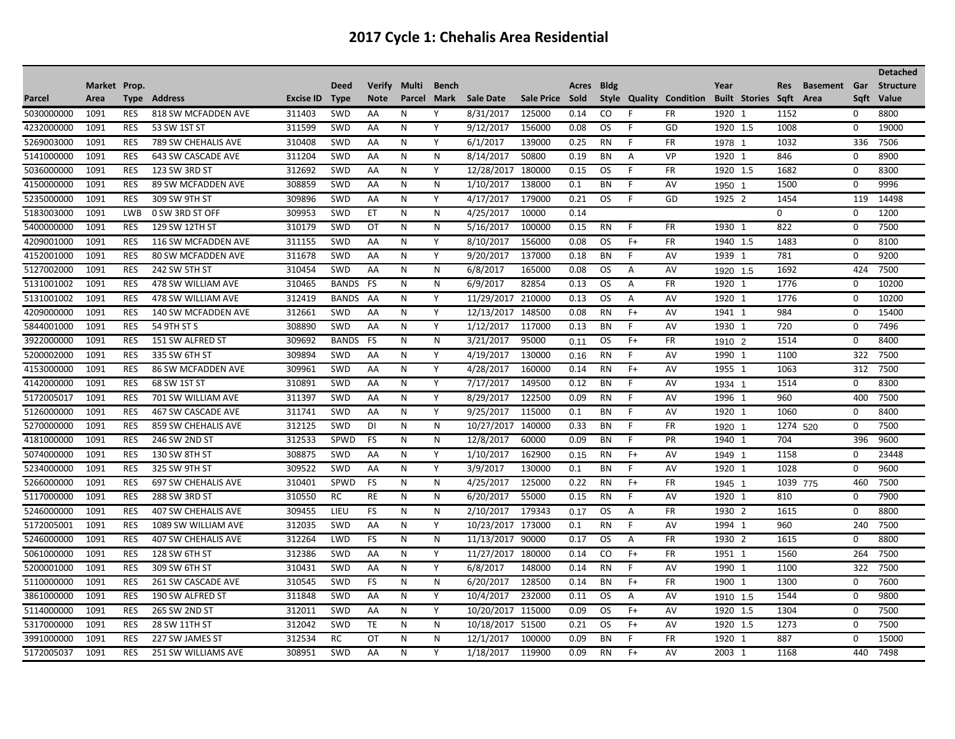|            |              |             |                            |                  |              |               |        |              |                   |                 |              |             |      |                         |          |                      |           |                 |      | <b>Detached</b>  |
|------------|--------------|-------------|----------------------------|------------------|--------------|---------------|--------|--------------|-------------------|-----------------|--------------|-------------|------|-------------------------|----------|----------------------|-----------|-----------------|------|------------------|
|            | Market Prop. |             |                            |                  | <b>Deed</b>  | <b>Verify</b> | Multi  | <b>Bench</b> |                   |                 | <b>Acres</b> | <b>Bldg</b> |      |                         | Year     |                      | Res       | <b>Basement</b> | Gar  | <b>Structure</b> |
| Parcel     | Area         | <b>Type</b> | Address                    | <b>Excise ID</b> | <b>Type</b>  | <b>Note</b>   | Parcel | Mark         | <b>Sale Date</b>  | Sale Price Sold |              |             |      | Style Quality Condition |          | <b>Built Stories</b> | Sqft Area |                 | Sqft | Value            |
| 5030000000 | 1091         | <b>RES</b>  | 818 SW MCFADDEN AVE        | 311403           | <b>SWD</b>   | AA            | N      | Υ            | 8/31/2017         | 125000          | 0.14         | CO.         | F    | FR                      | 1920     | -1                   | 1152      | 0               |      | 8800             |
| 4232000000 | 1091         | RES         | 53 SW 1ST ST               | 311599           | SWD          | AA            | N      | Y            | 9/12/2017         | 156000          | 0.08         | OS.         | F    | GD                      | 1920 1.5 |                      | 1008      | $\Omega$        |      | 19000            |
| 5269003000 | 1091         | <b>RES</b>  | 789 SW CHEHALIS AVE        | 310408           | <b>SWD</b>   | AA            | N      | Y            | 6/1/2017          | 139000          | 0.25         | <b>RN</b>   | F    | <b>FR</b>               | 1978     | - 1                  | 1032      |                 | 336  | 7506             |
| 5141000000 | 1091         | <b>RES</b>  | 643 SW CASCADE AVE         | 311204           | SWD          | AA            | N      | N            | 8/14/2017         | 50800           | 0.19         | BN          | A    | VP                      | 1920 1   |                      | 846       | $\Omega$        |      | 8900             |
| 5036000000 | 1091         | <b>RES</b>  | 123 SW 3RD ST              | 312692           | SWD          | AA            | N      | Y            | 12/28/2017        | 180000          | 0.15         | OS.         | F    | <b>FR</b>               | 1920 1.5 |                      | 1682      | 0               |      | 8300             |
| 4150000000 | 1091         | <b>RES</b>  | 89 SW MCFADDEN AVE         | 308859           | <b>SWD</b>   | AA            | N      | N            | 1/10/2017         | 138000          | 0.1          | <b>BN</b>   | F    | AV                      | 1950 1   |                      | 1500      | 0               |      | 9996             |
| 5235000000 | 1091         | <b>RES</b>  | 309 SW 9TH ST              | 309896           | <b>SWD</b>   | AA            | N      | Y            | 4/17/2017         | 179000          | 0.21         | OS.         | F    | GD                      | 1925 2   |                      | 1454      |                 | 119  | 14498            |
| 5183003000 | 1091         | <b>LWB</b>  | 0 SW 3RD ST OFF            | 309953           | <b>SWD</b>   | ET            | N      | N            | 4/25/2017         | 10000           | 0.14         |             |      |                         |          |                      | $\Omega$  | $\Omega$        |      | 1200             |
| 5400000000 | 1091         | <b>RES</b>  | 129 SW 12TH ST             | 310179           | SWD          | OT            | N      | N            | 5/16/2017         | 100000          | 0.15         | <b>RN</b>   | F    | <b>FR</b>               | 1930     | -1                   | 822       | 0               |      | 7500             |
| 4209001000 | 1091         | <b>RES</b>  | 116 SW MCFADDEN AVE        | 311155           | <b>SWD</b>   | AA            | N      | Y            | 8/10/2017         | 156000          | 0.08         | OS.         | $F+$ | <b>FR</b>               | 1940 1.5 |                      | 1483      | 0               |      | 8100             |
| 4152001000 | 1091         | <b>RES</b>  | <b>80 SW MCFADDEN AVE</b>  | 311678           | <b>SWD</b>   | AA            | N      | Y            | 9/20/2017         | 137000          | 0.18         | BN          | F.   | AV                      | 1939 1   |                      | 781       | 0               |      | 9200             |
| 5127002000 | 1091         | <b>RES</b>  | 242 SW 5TH ST              | 310454           | <b>SWD</b>   | AA            | N      | N            | 6/8/2017          | 165000          | 0.08         | OS          | Α    | AV                      | 1920 1.5 |                      | 1692      |                 | 424  | 7500             |
| 5131001002 | 1091         | <b>RES</b>  | 478 SW WILLIAM AVE         | 310465           | <b>BANDS</b> | FS            | N      | N            | 6/9/2017          | 82854           | 0.13         | OS.         | Α    | <b>FR</b>               | 1920 1   |                      | 1776      | 0               |      | 10200            |
| 5131001002 | 1091         | <b>RES</b>  | 478 SW WILLIAM AVE         | 312419           | BANDS        | AA            | N      | Υ            | 11/29/2017        | 210000          | 0.13         | OS.         | Α    | AV                      | 1920 1   |                      | 1776      | 0               |      | 10200            |
| 4209000000 | 1091         | <b>RES</b>  | 140 SW MCFADDEN AVE        | 312661           | SWD          | AA            | N      | Y            | 12/13/2017 148500 |                 | 0.08         | <b>RN</b>   | $F+$ | AV                      | 1941 1   |                      | 984       | 0               |      | 15400            |
| 5844001000 | 1091         | <b>RES</b>  | 54 9TH ST S                | 308890           | SWD          | AA            | N      | Y            | 1/12/2017         | 117000          | 0.13         | <b>BN</b>   | F    | AV                      | 1930 1   |                      | 720       | $\mathbf 0$     |      | 7496             |
| 3922000000 | 1091         | <b>RES</b>  | 151 SW ALFRED ST           | 309692           | <b>BANDS</b> | FS            | N      | N            | 3/21/2017         | 95000           | 0.11         | OS          | $F+$ | <b>FR</b>               | 1910 2   |                      | 1514      | 0               |      | 8400             |
| 5200002000 | 1091         | <b>RES</b>  | 335 SW 6TH ST              | 309894           | SWD          | AA            | N      | Υ            | 4/19/2017         | 130000          | 0.16         | <b>RN</b>   | F    | AV                      | 1990 1   |                      | 1100      |                 | 322  | 7500             |
| 4153000000 | 1091         | <b>RES</b>  | 86 SW MCFADDEN AVE         | 309961           | <b>SWD</b>   | AA            | N      | Y            | 4/28/2017         | 160000          | 0.14         | <b>RN</b>   | $F+$ | AV                      | 1955 1   |                      | 1063      |                 | 312  | 7500             |
| 4142000000 | 1091         | <b>RES</b>  | 68 SW 1ST ST               | 310891           | <b>SWD</b>   | AA            | N      | Y            | 7/17/2017         | 149500          | 0.12         | BN          | F    | AV                      | 1934 1   |                      | 1514      | 0               |      | 8300             |
| 5172005017 | 1091         | <b>RES</b>  | 701 SW WILLIAM AVE         | 311397           | <b>SWD</b>   | AA            | N      | Y            | 8/29/2017         | 122500          | 0.09         | <b>RN</b>   | F.   | AV                      | 1996 1   |                      | 960       |                 | 400  | 7500             |
| 5126000000 | 1091         | <b>RES</b>  | 467 SW CASCADE AVE         | 311741           | <b>SWD</b>   | AA            | N      | Υ            | 9/25/2017         | 115000          | 0.1          | <b>BN</b>   | F    | AV                      | 1920 1   |                      | 1060      | 0               |      | 8400             |
| 5270000000 | 1091         | <b>RES</b>  | 859 SW CHEHALIS AVE        | 312125           | <b>SWD</b>   | DI            | N      | N            | 10/27/2017        | 140000          | 0.33         | <b>BN</b>   | F    | FR                      | 1920     |                      | 1274 520  | 0               |      | 7500             |
| 4181000000 | 1091         | <b>RES</b>  | 246 SW 2ND ST              | 312533           | SPWD         | <b>FS</b>     | N      | N            | 12/8/2017         | 60000           | 0.09         | BN          | F    | PR                      | 1940 1   |                      | 704       |                 | 396  | 9600             |
| 5074000000 | 1091         | <b>RES</b>  | 130 SW 8TH ST              | 308875           | <b>SWD</b>   | AA            | N      | Y            | 1/10/2017         | 162900          | 0.15         | <b>RN</b>   | $F+$ | AV                      | 1949 1   |                      | 1158      | 0               |      | 23448            |
| 5234000000 | 1091         | <b>RES</b>  | 325 SW 9TH ST              | 309522           | SWD          | AA            | N      | Y            | 3/9/2017          | 130000          | 0.1          | BN          | F    | AV                      | 1920 1   |                      | 1028      | 0               |      | 9600             |
| 5266000000 | 1091         | <b>RES</b>  | <b>697 SW CHEHALIS AVE</b> | 310401           | SPWD         | <b>FS</b>     | N      | N            | 4/25/2017         | 125000          | 0.22         | <b>RN</b>   | $F+$ | <b>FR</b>               | 1945 1   |                      | 1039 775  |                 | 460  | 7500             |
| 5117000000 | 1091         | <b>RES</b>  | 288 SW 3RD ST              | 310550           | <b>RC</b>    | <b>RE</b>     | N      | N            | 6/20/2017         | 55000           | 0.15         | <b>RN</b>   | F    | AV                      | 1920 1   |                      | 810       | 0               |      | 7900             |
| 5246000000 | 1091         | <b>RES</b>  | <b>407 SW CHEHALIS AVE</b> | 309455           | LIEU         | FS            | N      | N            | 2/10/2017         | 179343          | 0.17         | OS.         | Α    | <b>FR</b>               | 1930 2   |                      | 1615      | 0               |      | 8800             |
| 5172005001 | 1091         | <b>RES</b>  | 1089 SW WILLIAM AVE        | 312035           | <b>SWD</b>   | AA            | N      | Y            | 10/23/2017        | 173000          | 0.1          | <b>RN</b>   | F    | AV                      | 1994 1   |                      | 960       |                 | 240  | 7500             |
| 5246000000 | 1091         | <b>RES</b>  | <b>407 SW CHEHALIS AVE</b> | 312264           | LWD          | FS            | N      | N            | 11/13/2017 90000  |                 | 0.17         | OS          | Α    | <b>FR</b>               | 1930 2   |                      | 1615      | 0               |      | 8800             |
| 5061000000 | 1091         | <b>RES</b>  | 128 SW 6TH ST              | 312386           | SWD          | AA            | N      | Υ            | 11/27/2017 180000 |                 | 0.14         | CO          | $F+$ | FR                      | 1951 1   |                      | 1560      |                 | 264  | 7500             |
| 5200001000 | 1091         | <b>RES</b>  | 309 SW 6TH ST              | 310431           | SWD          | AA            | N      | Y            | 6/8/2017          | 148000          | 0.14         | <b>RN</b>   | F.   | AV                      | 1990 1   |                      | 1100      |                 | 322  | 7500             |
| 5110000000 | 1091         | <b>RES</b>  | 261 SW CASCADE AVE         | 310545           | SWD          | <b>FS</b>     | N      | N            | 6/20/2017         | 128500          | 0.14         | <b>BN</b>   | $F+$ | <b>FR</b>               | 1900 1   |                      | 1300      | $\Omega$        |      | 7600             |
| 3861000000 | 1091         | <b>RES</b>  | 190 SW ALFRED ST           | 311848           | <b>SWD</b>   | AA            | N      | Y            | 10/4/2017         | 232000          | 0.11         | OS.         | A    | AV                      | 1910 1.5 |                      | 1544      | $\Omega$        |      | 9800             |
| 5114000000 | 1091         | <b>RES</b>  | 265 SW 2ND ST              | 312011           | SWD          | AA            | N      | Y            | 10/20/2017        | 115000          | 0.09         | OS.         | $F+$ | AV                      | 1920 1.5 |                      | 1304      | $\Omega$        |      | 7500             |
| 5317000000 | 1091         | <b>RES</b>  | 28 SW 11TH ST              | 312042           | <b>SWD</b>   | <b>TE</b>     | N      | N            | 10/18/2017 51500  |                 | 0.21         | OS.         | $F+$ | AV                      | 1920 1.5 |                      | 1273      | $\Omega$        |      | 7500             |
| 3991000000 | 1091         | <b>RES</b>  | 227 SW JAMES ST            | 312534           | <b>RC</b>    | ОT            | N      | N            | 12/1/2017         | 100000          | 0.09         | BN          | F    | <b>FR</b>               | 1920 1   |                      | 887       | $\Omega$        |      | 15000            |
| 5172005037 | 1091         | <b>RES</b>  | <b>251 SW WILLIAMS AVE</b> | 308951           | <b>SWD</b>   | AA            | N      | Υ            | 1/18/2017         | 119900          | 0.09         | <b>RN</b>   | $F+$ | AV                      | 2003 1   |                      | 1168      |                 | 440  | 7498             |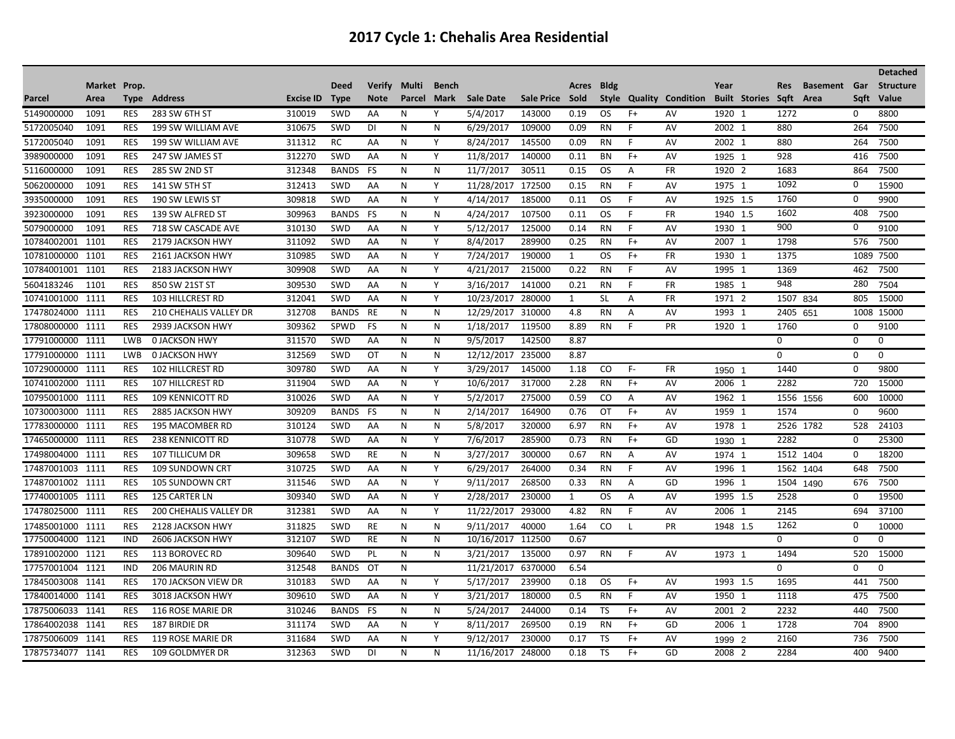|                  |              |            |                               |                  |              |             |           |              |                    |                 |              |             |                |                                |          |                      |             |                     |          | <b>Detached</b>  |
|------------------|--------------|------------|-------------------------------|------------------|--------------|-------------|-----------|--------------|--------------------|-----------------|--------------|-------------|----------------|--------------------------------|----------|----------------------|-------------|---------------------|----------|------------------|
|                  | Market Prop. |            |                               |                  | <b>Deed</b>  | Verify      | Multi     | <b>Bench</b> |                    |                 | Acres        | <b>Bldg</b> |                |                                | Year     |                      | Res         | <b>Basement</b> Gar |          | <b>Structure</b> |
| <b>Parcel</b>    | Area         | Type       | Address                       | <b>Excise ID</b> | <b>Type</b>  | <b>Note</b> | Parcel    | Mark         | <b>Sale Date</b>   | Sale Price Sold |              |             |                | <b>Style Quality Condition</b> |          | <b>Built Stories</b> | Sqft        | Area                | Sqft     | Value            |
| 5149000000       | 1091         | <b>RES</b> | 283 SW 6TH ST                 | 310019           | SWD          | AA          | N         | Y            | 5/4/2017           | 143000          | 0.19         | OS.         | $F+$           | AV                             | 1920 1   |                      | 1272        |                     | 0        | 8800             |
| 5172005040       | 1091         | <b>RES</b> | 199 SW WILLIAM AVE            | 310675           | SWD          | DI          | N         | N            | 6/29/2017          | 109000          | 0.09         | RN          | F              | AV                             | 2002 1   |                      | 880         |                     | 264      | 7500             |
| 5172005040       | 1091         | <b>RES</b> | 199 SW WILLIAM AVE            | 311312           | <b>RC</b>    | AA          | N         | Y            | 8/24/2017          | 145500          | 0.09         | <b>RN</b>   | F.             | AV                             | 2002 1   |                      | 880         |                     | 264      | 7500             |
| 3989000000       | 1091         | <b>RES</b> | 247 SW JAMES ST               | 312270           | <b>SWD</b>   | AA          | N         | Y            | 11/8/2017          | 140000          | 0.11         | <b>BN</b>   | $F+$           | AV                             | 1925     |                      | 928         |                     | 416      | 7500             |
| 5116000000       | 1091         | <b>RES</b> | 285 SW 2ND ST                 | 312348           | <b>BANDS</b> | <b>FS</b>   | N         | N            | 11/7/2017          | 30511           | 0.15         | OS.         | A              | <b>FR</b>                      | 1920 2   |                      | 1683        |                     | 864      | 7500             |
| 5062000000       | 1091         | <b>RES</b> | 141 SW 5TH ST                 | 312413           | SWD          | AA          | N         | Υ            | 11/28/2017 172500  |                 | 0.15         | RN          | F.             | AV                             | 1975 1   |                      | 1092        |                     | 0        | 15900            |
| 3935000000       | 1091         | <b>RES</b> | 190 SW LEWIS ST               | 309818           | <b>SWD</b>   | AA          | N         | Y            | 4/14/2017          | 185000          | 0.11         | OS.         | F              | AV                             | 1925 1.5 |                      | 1760        |                     | $\Omega$ | 9900             |
| 3923000000       | 1091         | <b>RES</b> | 139 SW ALFRED ST              | 309963           | <b>BANDS</b> | FS          | N         | N            | 4/24/2017          | 107500          | 0.11         | OS.         | F.             | <b>FR</b>                      | 1940 1.5 |                      | 1602        |                     | 408      | 7500             |
| 5079000000       | 1091         | <b>RES</b> | 718 SW CASCADE AVE            | 310130           | <b>SWD</b>   | AA          | N         | Y            | 5/12/2017          | 125000          | 0.14         | <b>RN</b>   | F              | AV                             | 1930 1   |                      | 900         |                     | 0        | 9100             |
| 10784002001      | 1101         | <b>RES</b> | 2179 JACKSON HWY              | 311092           | <b>SWD</b>   | AA          | N         | Υ            | 8/4/2017           | 289900          | 0.25         | <b>RN</b>   | $F+$           | AV                             | 2007 1   |                      | 1798        |                     | 576      | 7500             |
| 10781000000      | 1101         | RES        | 2161 JACKSON HWY              | 310985           | SWD          | AA          | N         | Y            | 7/24/2017          | 190000          | 1            | OS.         | $F+$           | <b>FR</b>                      | 1930 1   |                      | 1375        |                     |          | 1089 7500        |
| 10784001001      | 1101         | <b>RES</b> | 2183 JACKSON HWY              | 309908           | <b>SWD</b>   | AA          | N         | Y            | 4/21/2017          | 215000          | 0.22         | <b>RN</b>   | F.             | AV                             | 1995 1   |                      | 1369        |                     | 462      | 7500             |
| 5604183246       | 1101         | <b>RES</b> | 850 SW 21ST ST                | 309530           | <b>SWD</b>   | AA          | N         | Y            | 3/16/2017          | 141000          | 0.21         | <b>RN</b>   | F.             | <b>FR</b>                      | 1985 1   |                      | 948         |                     | 280      | 7504             |
| 10741001000      | 1111         | <b>RES</b> | 103 HILLCREST RD              | 312041           | SWD          | AA          | ${\sf N}$ | Y            | 10/23/2017         | 280000          | 1            | <b>SL</b>   | Α              | <b>FR</b>                      | 1971 2   |                      | 1507 834    |                     | 805      | 15000            |
| 17478024000 1111 |              | <b>RES</b> | 210 CHEHALIS VALLEY DR        | 312708           | BANDS        | RE          | N         | N            | 12/29/2017 310000  |                 | 4.8          | <b>RN</b>   | Α              | AV                             | 1993 1   |                      | 2405        | 651                 |          | 1008 15000       |
| 17808000000      | 1111         | <b>RES</b> | 2939 JACKSON HWY              | 309362           | SPWD         | FS          | N         | ${\sf N}$    | 1/18/2017          | 119500          | 8.89         | <b>RN</b>   | E              | PR                             | 1920 1   |                      | 1760        |                     | 0        | 9100             |
| 17791000000      | 1111         | <b>LWB</b> | <b>0 JACKSON HWY</b>          | 311570           | SWD          | AA          | N         | N            | 9/5/2017           | 142500          | 8.87         |             |                |                                |          |                      | $\Omega$    |                     | $\Omega$ | $\Omega$         |
| 17791000000      | 1111         | <b>LWB</b> | <b>0 JACKSON HWY</b>          | 312569           | <b>SWD</b>   | OT          | N         | N            | 12/12/2017         | 235000          | 8.87         |             |                |                                |          |                      | $\Omega$    |                     | $\Omega$ | $\Omega$         |
| 10729000000      | 1111         | <b>RES</b> | <b>102 HILLCREST RD</b>       | 309780           | <b>SWD</b>   | AA          | N         | Y            | 3/29/2017          | 145000          | 1.18         | CO          | $F -$          | <b>FR</b>                      | 1950 1   |                      | 1440        |                     | $\Omega$ | 9800             |
| 10741002000      | 1111         | <b>RES</b> | <b>107 HILLCREST RD</b>       | 311904           | <b>SWD</b>   | AA          | N         | Y            | 10/6/2017          | 317000          | 2.28         | <b>RN</b>   | $F+$           | AV                             | 2006 1   |                      | 2282        |                     | 720      | 15000            |
| 10795001000      | 1111         | <b>RES</b> | <b>109 KENNICOTT RD</b>       | 310026           | <b>SWD</b>   | AA          | N         | Y            | 5/2/2017           | 275000          | 0.59         | CO.         | A              | AV                             | 1962 1   |                      | 1556 1556   |                     | 600      | 10000            |
| 10730003000      | 1111         | <b>RES</b> | 2885 JACKSON HWY              | 309209           | <b>BANDS</b> | FS          | N         | N            | 2/14/2017          | 164900          | 0.76         | OT          | $F+$           | AV                             | 1959 1   |                      | 1574        |                     | 0        | 9600             |
| 17783000000      | 1111         | <b>RES</b> | 195 MACOMBER RD               | 310124           | <b>SWD</b>   | AA          | N         | N            | 5/8/2017           | 320000          | 6.97         | <b>RN</b>   | $F+$           | AV                             | 1978 1   |                      | 2526 1782   |                     | 528      | 24103            |
| 17465000000 1111 |              | <b>RES</b> | <b>238 KENNICOTT RD</b>       | 310778           | <b>SWD</b>   | AA          | N         | Y            | 7/6/2017           | 285900          | 0.73         | <b>RN</b>   | $F+$           | GD                             | 1930 1   |                      | 2282        |                     | 0        | 25300            |
| 17498004000      | 1111         | <b>RES</b> | <b>107 TILLICUM DR</b>        | 309658           | <b>SWD</b>   | <b>RE</b>   | N         | N            | 3/27/2017          | 300000          | 0.67         | <b>RN</b>   | A              | AV                             | 1974 1   |                      | 1512 1404   |                     | 0        | 18200            |
| 17487001003 1111 |              | RES        | <b>109 SUNDOWN CRT</b>        | 310725           | <b>SWD</b>   | AA          | N         | Y            | 6/29/2017          | 264000          | 0.34         | <b>RN</b>   | F.             | AV                             | 1996 1   |                      | 1562        | 1404                | 648      | 7500             |
| 17487001002      | 1111         | <b>RES</b> | <b>105 SUNDOWN CRT</b>        | 311546           | SWD          | AA          | N         | Y            | 9/11/2017          | 268500          | 0.33         | <b>RN</b>   | A              | GD                             | 1996 1   |                      | 1504        | 1490                | 676      | 7500             |
| 17740001005      | 1111         | <b>RES</b> | 125 CARTER LN                 | 309340           | <b>SWD</b>   | AA          | N         | Y            | 2/28/2017          | 230000          | $\mathbf{1}$ | <b>OS</b>   | $\overline{A}$ | AV                             | 1995 1.5 |                      | 2528        |                     | 0        | 19500            |
| 17478025000      | 1111         | <b>RES</b> | <b>200 CHEHALIS VALLEY DR</b> | 312381           | SWD          | AA          | ${\sf N}$ | Y            | 11/22/2017         | 293000          | 4.82         | <b>RN</b>   | F              | AV                             | 2006 1   |                      | 2145        |                     | 694      | 37100            |
| 17485001000 1111 |              | <b>RES</b> | 2128 JACKSON HWY              | 311825           | SWD          | <b>RE</b>   | N         | N            | 9/11/2017          | 40000           | 1.64         | CO          | L              | PR                             | 1948 1.5 |                      | 1262        |                     | 0        | 10000            |
| 17750004000      | 1121         | IND        | 2606 JACKSON HWY              | 312107           | SWD          | RE          | N         | N            | 10/16/2017 112500  |                 | 0.67         |             |                |                                |          |                      | $\mathbf 0$ |                     | 0        | 0                |
| 17891002000 1121 |              | <b>RES</b> | 113 BOROVEC RD                | 309640           | SWD          | PL          | N         | N            | 3/21/2017          | 135000          | 0.97         | RN          | F              | AV                             | 1973 1   |                      | 1494        |                     | 520      | 15000            |
| 17757001004 1121 |              | IND        | 206 MAURIN RD                 | 312548           | <b>BANDS</b> | OT          | N         |              | 11/21/2017 6370000 |                 | 6.54         |             |                |                                |          |                      | $\Omega$    |                     | $\Omega$ | $\Omega$         |
| 17845003008      | 1141         | <b>RES</b> | 170 JACKSON VIEW DR           | 310183           | <b>SWD</b>   | AA          | N         | Y            | 5/17/2017          | 239900          | 0.18         | OS.         | $F+$           | AV                             | 1993 1.5 |                      | 1695        |                     | 441      | 7500             |
| 17840014000 1141 |              | <b>RES</b> | 3018 JACKSON HWY              | 309610           | <b>SWD</b>   | AA          | N         | Y            | 3/21/2017          | 180000          | 0.5          | <b>RN</b>   | F.             | AV                             | 1950 1   |                      | 1118        |                     | 475      | 7500             |
| 17875006033      | 1141         | <b>RES</b> | 116 ROSE MARIE DR             | 310246           | <b>BANDS</b> | <b>FS</b>   | N         | N            | 5/24/2017          | 244000          | 0.14         | <b>TS</b>   | $F+$           | AV                             | 2001 2   |                      | 2232        |                     | 440      | 7500             |
| 17864002038      | 1141         | <b>RES</b> | 187 BIRDIE DR                 | 311174           | <b>SWD</b>   | AA          | N         | Y            | 8/11/2017          | 269500          | 0.19         | <b>RN</b>   | $F+$           | GD                             | 2006 1   |                      | 1728        |                     | 704      | 8900             |
| 17875006009      | 1141         | <b>RES</b> | 119 ROSE MARIE DR             | 311684           | <b>SWD</b>   | AA          | N         | Y            | 9/12/2017          | 230000          | 0.17         | TS          | $F+$           | AV                             | 1999 2   |                      | 2160        |                     | 736      | 7500             |
| 17875734077 1141 |              | <b>RES</b> | 109 GOLDMYER DR               | 312363           | <b>SWD</b>   | DI          | N         | N            | 11/16/2017         | 248000          | 0.18         | TS          | $F+$           | GD                             | 2008 2   |                      | 2284        |                     | 400      | 9400             |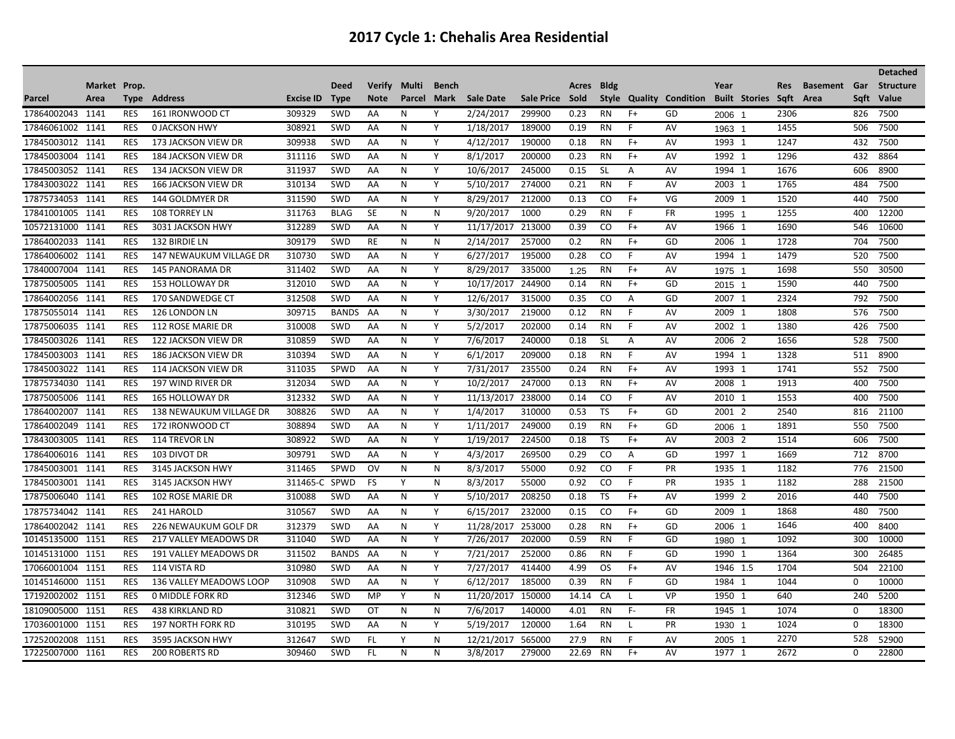|                  |              |             |                            |           |              |               |        |              |                   |                 |       |             |      |                                |          |                      |              |                        |      | <b>Detached</b>  |
|------------------|--------------|-------------|----------------------------|-----------|--------------|---------------|--------|--------------|-------------------|-----------------|-------|-------------|------|--------------------------------|----------|----------------------|--------------|------------------------|------|------------------|
|                  | Market Prop. |             |                            |           | <b>Deed</b>  | <b>Verify</b> | Multi  | <b>Bench</b> |                   |                 | Acres | <b>Bldg</b> |      |                                | Year     |                      | Res          | <b>Basement</b><br>Gar |      | <b>Structure</b> |
| Parcel           | Area         | <b>Type</b> | Address                    | Excise ID | <b>Type</b>  | <b>Note</b>   | Parcel | Mark         | <b>Sale Date</b>  | Sale Price Sold |       |             |      | <b>Style Quality Condition</b> |          | <b>Built Stories</b> | Sqft<br>Area |                        | Sqft | Value            |
| 17864002043      | 1141         | <b>RES</b>  | 161 IRONWOOD CT            | 309329    | SWD          | AA            | N      | Υ            | 2/24/2017         | 299900          | 0.23  | <b>RN</b>   | $F+$ | GD                             | 2006 1   |                      | 2306         |                        | 826  | 7500             |
| 17846061002 1141 |              | <b>RES</b>  | <b>0 JACKSON HWY</b>       | 308921    | SWD          | AA            | N      | Y            | 1/18/2017         | 189000          | 0.19  | RN          | F.   | AV                             | 1963 1   |                      | 1455         |                        | 506  | 7500             |
| 17845003012      | 1141         | <b>RES</b>  | 173 JACKSON VIEW DR        | 309938    | SWD          | AA            | N      | Y            | 4/12/2017         | 190000          | 0.18  | <b>RN</b>   | $F+$ | AV                             | 1993 1   |                      | 1247         |                        | 432  | 7500             |
| 17845003004      | 1141         | <b>RES</b>  | <b>184 JACKSON VIEW DR</b> | 311116    | SWD          | AA            | N      | Y            | 8/1/2017          | 200000          | 0.23  | <b>RN</b>   | $F+$ | AV                             | 1992 1   |                      | 1296         |                        | 432  | 8864             |
| 17845003052 1141 |              | <b>RES</b>  | 134 JACKSON VIEW DR        | 311937    | SWD          | AA            | N      | Y            | 10/6/2017         | 245000          | 0.15  | <b>SL</b>   | A    | AV                             | 1994 1   |                      | 1676         |                        | 606  | 8900             |
| 17843003022 1141 |              | <b>RES</b>  | 166 JACKSON VIEW DR        | 310134    | SWD          | AA            | N      | Y            | 5/10/2017         | 274000          | 0.21  | <b>RN</b>   | F    | AV                             | 2003 1   |                      | 1765         |                        | 484  | 7500             |
| 17875734053 1141 |              | <b>RES</b>  | 144 GOLDMYER DR            | 311590    | SWD          | AA            | N      | Y            | 8/29/2017         | 212000          | 0.13  | CO          | $F+$ | VG                             | 2009 1   |                      | 1520         |                        | 440  | 7500             |
| 17841001005 1141 |              | <b>RES</b>  | <b>108 TORREY LN</b>       | 311763    | <b>BLAG</b>  | <b>SE</b>     | N      | N            | 9/20/2017         | 1000            | 0.29  | <b>RN</b>   | F.   | <b>FR</b>                      | 1995 1   |                      | 1255         |                        | 400  | 12200            |
| 10572131000      | 1141         | <b>RES</b>  | 3031 JACKSON HWY           | 312289    | SWD          | AA            | N      | Y            | 11/17/2017        | 213000          | 0.39  | CO          | $F+$ | AV                             | 1966 1   |                      | 1690         |                        | 546  | 10600            |
| 17864002033      | 1141         | <b>RES</b>  | 132 BIRDIE LN              | 309179    | SWD          | RE            | N      | N            | 2/14/2017         | 257000          | 0.2   | <b>RN</b>   | $F+$ | GD                             | 2006 1   |                      | 1728         |                        | 704  | 7500             |
| 17864006002 1141 |              | <b>RES</b>  | 147 NEWAUKUM VILLAGE DR    | 310730    | <b>SWD</b>   | AA            | N      | Y            | 6/27/2017         | 195000          | 0.28  | CO.         | F.   | AV                             | 1994 1   |                      | 1479         |                        | 520  | 7500             |
| 17840007004      | 1141         | <b>RES</b>  | 145 PANORAMA DR            | 311402    | <b>SWD</b>   | AA            | N      | Υ            | 8/29/2017         | 335000          | 1.25  | <b>RN</b>   | $F+$ | AV                             | 1975 1   |                      | 1698         |                        | 550  | 30500            |
| 17875005005 1141 |              | <b>RES</b>  | 153 HOLLOWAY DR            | 312010    | SWD          | AA            | N      | Υ            | 10/17/2017 244900 |                 | 0.14  | <b>RN</b>   | $F+$ | GD                             | 2015 1   |                      | 1590         |                        | 440  | 7500             |
| 17864002056 1141 |              | <b>RES</b>  | 170 SANDWEDGE CT           | 312508    | SWD          | AA            | N      | Υ            | 12/6/2017         | 315000          | 0.35  | CO          | Α    | GD                             | 2007 1   |                      | 2324         |                        | 792  | 7500             |
| 17875055014 1141 |              | <b>RES</b>  | <b>126 LONDON LN</b>       | 309715    | BANDS        | AA            | N      | Υ            | 3/30/2017         | 219000          | 0.12  | <b>RN</b>   | F    | AV                             | 2009 1   |                      | 1808         |                        | 576  | 7500             |
| 17875006035 1141 |              | <b>RES</b>  | 112 ROSE MARIE DR          | 310008    | SWD          | AA            | N      | Y            | 5/2/2017          | 202000          | 0.14  | <b>RN</b>   | F    | AV                             | 2002 1   |                      | 1380         |                        | 426  | 7500             |
| 17845003026 1141 |              | <b>RES</b>  | 122 JACKSON VIEW DR        | 310859    | SWD          | AA            | N      | Y            | 7/6/2017          | 240000          | 0.18  | <b>SL</b>   | Α    | AV                             | 2006 2   |                      | 1656         |                        | 528  | 7500             |
| 17845003003      | 1141         | <b>RES</b>  | <b>186 JACKSON VIEW DR</b> | 310394    | SWD          | AA            | N      | Υ            | 6/1/2017          | 209000          | 0.18  | <b>RN</b>   | F    | AV                             | 1994 1   |                      | 1328         |                        | 511  | 8900             |
| 17845003022      | 1141         | <b>RES</b>  | 114 JACKSON VIEW DR        | 311035    | SPWD         | AA            | N      | Y            | 7/31/2017         | 235500          | 0.24  | <b>RN</b>   | $F+$ | AV                             | 1993 1   |                      | 1741         | 552                    |      | 7500             |
| 17875734030 1141 |              | <b>RES</b>  | 197 WIND RIVER DR          | 312034    | <b>SWD</b>   | AA            | N      | Y            | 10/2/2017         | 247000          | 0.13  | <b>RN</b>   | $F+$ | AV                             | 2008 1   |                      | 1913         |                        | 400  | 7500             |
| 17875005006 1141 |              | <b>RES</b>  | 165 HOLLOWAY DR            | 312332    | <b>SWD</b>   | AA            | N      | Y            | 11/13/2017        | 238000          | 0.14  | CO          | F.   | AV                             | 2010 1   |                      | 1553         |                        | 400  | 7500             |
| 17864002007      | 1141         | <b>RES</b>  | 138 NEWAUKUM VILLAGE DR    | 308826    | <b>SWD</b>   | AA            | N      | Υ            | 1/4/2017          | 310000          | 0.53  | TS          | $F+$ | GD                             | 2001 2   |                      | 2540         |                        | 816  | 21100            |
| 17864002049      | 1141         | <b>RES</b>  | 172 IRONWOOD CT            | 308894    | SWD          | AA            | N      | Υ            | 1/11/2017         | 249000          | 0.19  | <b>RN</b>   | $F+$ | GD                             | 2006 1   |                      | 1891         |                        | 550  | 7500             |
| 17843003005 1141 |              | <b>RES</b>  | <b>114 TREVOR LN</b>       | 308922    | <b>SWD</b>   | AA            | N      | Y            | 1/19/2017         | 224500          | 0.18  | TS          | $F+$ | AV                             | 2003 2   |                      | 1514         | 606                    |      | 7500             |
| 17864006016 1141 |              | <b>RES</b>  | 103 DIVOT DR               | 309791    | <b>SWD</b>   | AA            | N      | Y            | 4/3/2017          | 269500          | 0.29  | CO          | A    | GD                             | 1997 1   |                      | 1669         | 712                    |      | 8700             |
| 17845003001 1141 |              | <b>RES</b>  | 3145 JACKSON HWY           | 311465    | SPWD         | OV            | N      | N            | 8/3/2017          | 55000           | 0.92  | CO          | F    | PR                             | 1935 1   |                      | 1182         |                        | 776  | 21500            |
| 17845003001 1141 |              | <b>RES</b>  | 3145 JACKSON HWY           | 311465-C  | SPWD         | FS            | Y      | N            | 8/3/2017          | 55000           | 0.92  | CO          | F    | PR                             | 1935 1   |                      | 1182         |                        | 288  | 21500            |
| 17875006040 1141 |              | <b>RES</b>  | <b>102 ROSE MARIE DR</b>   | 310088    | SWD          | AA            | N      | Y            | 5/10/2017         | 208250          | 0.18  | <b>TS</b>   | $F+$ | AV                             | 1999 2   |                      | 2016         |                        | 440  | 7500             |
| 17875734042 1141 |              | <b>RES</b>  | 241 HAROLD                 | 310567    | <b>SWD</b>   | AA            | N      | Y            | 6/15/2017         | 232000          | 0.15  | CO          | $F+$ | GD                             | 2009 1   |                      | 1868         |                        | 480  | 7500             |
| 17864002042 1141 |              | <b>RES</b>  | 226 NEWAUKUM GOLF DR       | 312379    | SWD          | AA            | N      | Y            | 11/28/2017        | 253000          | 0.28  | <b>RN</b>   | $F+$ | GD                             | 2006 1   |                      | 1646         |                        | 400  | 8400             |
| 10145135000      | 1151         | <b>RES</b>  | 217 VALLEY MEADOWS DR      | 311040    | <b>SWD</b>   | AA            | N      | Υ            | 7/26/2017         | 202000          | 0.59  | <b>RN</b>   | F    | GD                             | 1980     | - 1                  | 1092         |                        | 300  | 10000            |
| 10145131000      | 1151         | <b>RES</b>  | 191 VALLEY MEADOWS DR      | 311502    | <b>BANDS</b> | AA            | N      | Υ            | 7/21/2017         | 252000          | 0.86  | <b>RN</b>   | F    | GD                             | 1990 1   |                      | 1364         |                        | 300  | 26485            |
| 17066001004      | 1151         | <b>RES</b>  | 114 VISTA RD               | 310980    | SWD          | AA            | N      | Υ            | 7/27/2017         | 414400          | 4.99  | OS.         | $F+$ | AV                             | 1946 1.5 |                      | 1704         | 504                    |      | 22100            |
| 10145146000      | 1151         | <b>RES</b>  | 136 VALLEY MEADOWS LOOP    | 310908    | SWD          | AA            | N      | Y            | 6/12/2017         | 185000          | 0.39  | <b>RN</b>   | F    | GD                             | 1984 1   |                      | 1044         | $\Omega$               |      | 10000            |
| 17192002002 1151 |              | <b>RES</b>  | <b>0 MIDDLE FORK RD</b>    | 312346    | <b>SWD</b>   | <b>MP</b>     | Y      | N            | 11/20/2017        | 150000          | 14.14 | CA          | L    | VP                             | 1950 1   |                      | 640          |                        | 240  | 5200             |
| 18109005000      | 1151         | <b>RES</b>  | <b>438 KIRKLAND RD</b>     | 310821    | SWD          | OT            | N      | N            | 7/6/2017          | 140000          | 4.01  | <b>RN</b>   | F-   | <b>FR</b>                      | 1945 1   |                      | 1074         | $\Omega$               |      | 18300            |
| 17036001000      | 1151         | <b>RES</b>  | <b>197 NORTH FORK RD</b>   | 310195    | <b>SWD</b>   | AA            | N      | Y            | 5/19/2017         | 120000          | 1.64  | <b>RN</b>   | L    | PR                             | 1930 1   |                      | 1024         | $\Omega$               |      | 18300            |
| 17252002008 1151 |              | <b>RES</b>  | 3595 JACKSON HWY           | 312647    | <b>SWD</b>   | FL.           | Υ      | N            | 12/21/2017        | 565000          | 27.9  | <b>RN</b>   | F    | AV                             | 2005 1   |                      | 2270         |                        | 528  | 52900            |
| 17225007000      | 1161         | <b>RES</b>  | <b>200 ROBERTS RD</b>      | 309460    | <b>SWD</b>   | FL.           | N      | N            | 3/8/2017          | 279000          | 22.69 | <b>RN</b>   | $F+$ | AV                             | 1977 1   |                      | 2672         | 0                      |      | 22800            |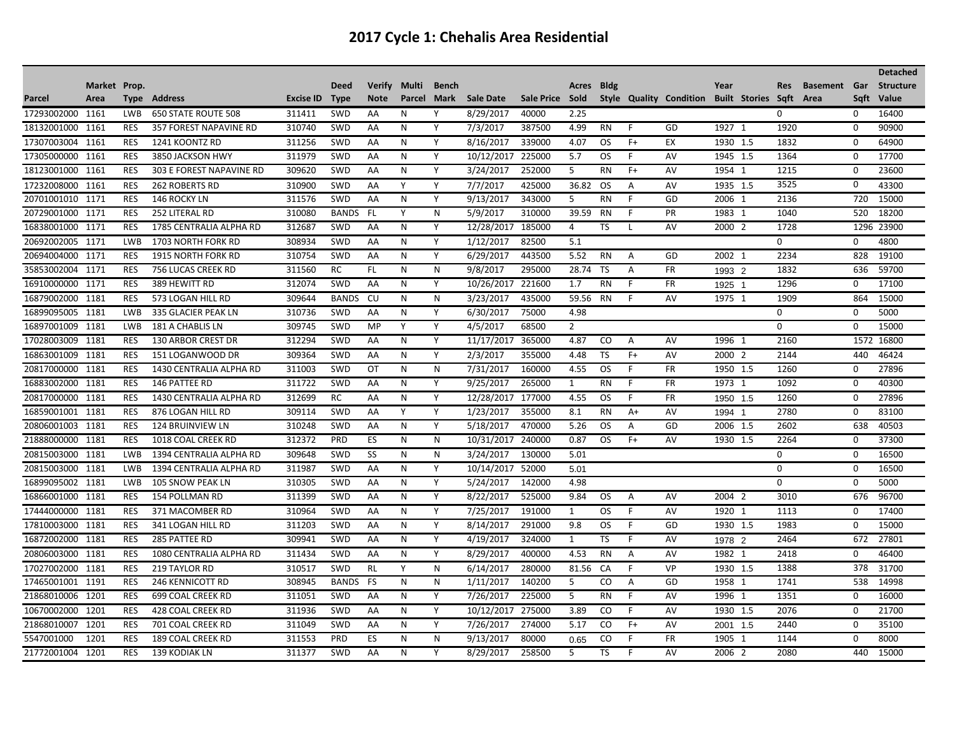| Market Prop.<br><b>Verify</b><br>Multi<br><b>Bldg</b><br><b>Basement</b> Gar<br><b>Deed</b><br><b>Bench</b><br>Acres<br>Year<br>Res<br>Style Quality Condition Built Stories Sqft Area<br>Parcel<br>Address<br><b>Excise ID</b><br>Mark<br><b>Sale Date</b><br>Sale Price Sold<br>Sqft<br>Area<br><b>Type</b><br><b>Type</b><br><b>Note</b><br>Parcel<br>17293002000 1161<br><b>LWB</b><br><b>650 STATE ROUTE 508</b><br>311411<br>SWD<br>AA<br>Ν<br>Υ<br>8/29/2017<br>40000<br>2.25<br>0<br>0<br>18132001000<br>310740<br>SWD<br>N<br>Υ<br>7/3/2017<br>387500<br>F<br>GD<br>1927 1<br>1920<br>$\mathbf 0$<br>1161<br><b>RES</b><br>357 FOREST NAPAVINE RD<br>AA<br>4.99<br><b>RN</b><br><b>RES</b><br>311256<br>SWD<br>Y<br>8/16/2017<br>339000<br>EX<br>1832<br>64900<br>17307003004<br>1161<br>1241 KOONTZ RD<br>AA<br>N<br>4.07<br>OS.<br>$F+$<br>1930 1.5<br>0<br>Y | <b>Structure</b><br>Value<br>16400<br>90900 |
|--------------------------------------------------------------------------------------------------------------------------------------------------------------------------------------------------------------------------------------------------------------------------------------------------------------------------------------------------------------------------------------------------------------------------------------------------------------------------------------------------------------------------------------------------------------------------------------------------------------------------------------------------------------------------------------------------------------------------------------------------------------------------------------------------------------------------------------------------------------------------|---------------------------------------------|
|                                                                                                                                                                                                                                                                                                                                                                                                                                                                                                                                                                                                                                                                                                                                                                                                                                                                          |                                             |
|                                                                                                                                                                                                                                                                                                                                                                                                                                                                                                                                                                                                                                                                                                                                                                                                                                                                          |                                             |
|                                                                                                                                                                                                                                                                                                                                                                                                                                                                                                                                                                                                                                                                                                                                                                                                                                                                          |                                             |
|                                                                                                                                                                                                                                                                                                                                                                                                                                                                                                                                                                                                                                                                                                                                                                                                                                                                          |                                             |
|                                                                                                                                                                                                                                                                                                                                                                                                                                                                                                                                                                                                                                                                                                                                                                                                                                                                          |                                             |
| 311979<br>17305000000<br>1161<br><b>RES</b><br>SWD<br>N<br>10/12/2017<br>225000<br>5.7<br>F<br>AV<br>1945 1.5<br>1364<br>$\mathbf 0$<br>3850 JACKSON HWY<br>AA<br>OS.                                                                                                                                                                                                                                                                                                                                                                                                                                                                                                                                                                                                                                                                                                    | 17700                                       |
| 18123001000<br>1161<br><b>RES</b><br>309620<br>SWD<br>N<br>Υ<br>3/24/2017<br>252000<br>5<br>$F+$<br>AV<br>1954 1<br>1215<br>$\mathbf 0$<br>303 E FOREST NAPAVINE RD<br>AA<br><b>RN</b>                                                                                                                                                                                                                                                                                                                                                                                                                                                                                                                                                                                                                                                                                   | 23600                                       |
| 3525<br>$\Omega$<br>Υ<br>17232008000<br>1161<br><b>RES</b><br><b>262 ROBERTS RD</b><br>310900<br>SWD<br>AA<br>Y<br>7/7/2017<br>425000<br>36.82<br>OS.<br>A<br>AV<br>1935 1.5                                                                                                                                                                                                                                                                                                                                                                                                                                                                                                                                                                                                                                                                                             | 43300                                       |
| GD<br>2136<br><b>RES</b><br>311576<br>SWD<br>N<br>Y<br>9/13/2017<br>343000<br>5<br>F<br>2006 1<br>720<br>20701001010<br>1171<br>146 ROCKY LN<br>AA<br><b>RN</b>                                                                                                                                                                                                                                                                                                                                                                                                                                                                                                                                                                                                                                                                                                          | 15000                                       |
| Y<br>N<br>5/9/2017<br>39.59<br>F<br>PR<br>20729001000<br><b>RES</b><br>310080<br><b>BANDS</b><br><b>FL</b><br>310000<br><b>RN</b><br>1983 1<br>1040<br>520<br>1171<br><b>252 LITERAL RD</b>                                                                                                                                                                                                                                                                                                                                                                                                                                                                                                                                                                                                                                                                              | 18200                                       |
| 312687<br>Y<br>TS<br>1728<br>1296 23900<br>16838001000<br>1171<br><b>RES</b><br>1785 CENTRALIA ALPHA RD<br><b>SWD</b><br>AA<br>N<br>12/28/2017<br>185000<br>AV<br>2000 2<br>4<br>L                                                                                                                                                                                                                                                                                                                                                                                                                                                                                                                                                                                                                                                                                       |                                             |
| 20692002005 1171<br><b>LWB</b><br>1703 NORTH FORK RD<br>308934<br>SWD<br>N<br>Y<br>1/12/2017<br>82500<br>5.1<br>0<br>0<br>AA                                                                                                                                                                                                                                                                                                                                                                                                                                                                                                                                                                                                                                                                                                                                             | 4800                                        |
| 2234<br>310754<br>SWD<br>AA<br>443500<br>5.52<br>GD<br>828<br>20694004000<br>1171<br><b>RES</b><br><b>1915 NORTH FORK RD</b><br>N<br>Y<br>6/29/2017<br><b>RN</b><br>A<br>2002 1                                                                                                                                                                                                                                                                                                                                                                                                                                                                                                                                                                                                                                                                                          | 19100                                       |
| 28.74<br>1832<br>35853002004<br>1171<br><b>RES</b><br><b>756 LUCAS CREEK RD</b><br>311560<br><b>RC</b><br>FL.<br>N<br>N<br>9/8/2017<br>295000<br>TS<br>A<br><b>FR</b><br>636<br>1993 2                                                                                                                                                                                                                                                                                                                                                                                                                                                                                                                                                                                                                                                                                   | 59700                                       |
| 312074<br>SWD<br>Y<br>221600<br>1.7<br>F<br>1296<br>16910000000<br>1171<br><b>RES</b><br>389 HEWITT RD<br>AA<br>N<br>10/26/2017<br><b>RN</b><br><b>FR</b><br>$\Omega$<br>1925                                                                                                                                                                                                                                                                                                                                                                                                                                                                                                                                                                                                                                                                                            | 17100                                       |
| <b>RES</b><br><b>BANDS</b><br>59.56<br>1909<br>864<br>16879002000<br>1181<br>573 LOGAN HILL RD<br>309644<br>CU<br>N<br>N<br>3/23/2017<br>435000<br><b>RN</b><br>F<br>AV<br>1975 1                                                                                                                                                                                                                                                                                                                                                                                                                                                                                                                                                                                                                                                                                        | 15000                                       |
| 16899095005 1181<br><b>LWB</b><br>335 GLACIER PEAK LN<br>310736<br>SWD<br>AA<br>N<br>Y<br>6/30/2017<br>75000<br>4.98<br>$\mathbf 0$<br>0                                                                                                                                                                                                                                                                                                                                                                                                                                                                                                                                                                                                                                                                                                                                 | 5000                                        |
| 309745<br>SWD<br>Y<br>Y<br>68500<br>$\overline{2}$<br>$\Omega$<br>16897001009<br>1181<br><b>LWB</b><br><b>MP</b><br>4/5/2017<br>$\Omega$<br>181 A CHABLIS LN                                                                                                                                                                                                                                                                                                                                                                                                                                                                                                                                                                                                                                                                                                             | 15000                                       |
| 312294<br>Y<br>2160<br>17028003009<br>1181<br><b>RES</b><br><b>130 ARBOR CREST DR</b><br><b>SWD</b><br>AA<br>N<br>11/17/2017<br>365000<br>4.87<br>CO<br>$\overline{A}$<br>AV<br>1996 1<br>1572                                                                                                                                                                                                                                                                                                                                                                                                                                                                                                                                                                                                                                                                           | 16800                                       |
| 355000<br>2144<br>16863001009<br>1181<br><b>RES</b><br>309364<br><b>SWD</b><br>AA<br>N<br>Y<br>2/3/2017<br>TS<br>$F+$<br>AV<br>2000 2<br>440<br>151 LOGANWOOD DR<br>4.48                                                                                                                                                                                                                                                                                                                                                                                                                                                                                                                                                                                                                                                                                                 | 46424                                       |
| <b>FR</b><br>1181<br><b>RES</b><br>311003<br>SWD<br>OT<br>N<br>7/31/2017<br>160000<br>4.55<br><b>OS</b><br>F<br>1260<br>20817000000<br>1430 CENTRALIA ALPHA RD<br>N<br>1950 1.5<br>0                                                                                                                                                                                                                                                                                                                                                                                                                                                                                                                                                                                                                                                                                     | 27896                                       |
| 1092<br>SWD<br><b>FR</b><br>1973 1<br>16883002000<br>1181<br>RES<br>146 PATTEE RD<br>311722<br>AA<br>N<br>Y<br>9/25/2017<br>265000<br>1<br><b>RN</b><br>F.<br>0                                                                                                                                                                                                                                                                                                                                                                                                                                                                                                                                                                                                                                                                                                          | 40300                                       |
| 20817000000<br><b>RES</b><br>1430 CENTRALIA ALPHA RD<br>312699<br><b>RC</b><br>N<br>Y<br>12/28/2017<br>177000<br>4.55<br>F<br><b>FR</b><br>1260<br>$\mathbf 0$<br>1181<br>AA<br>OS.<br>1950 1.5                                                                                                                                                                                                                                                                                                                                                                                                                                                                                                                                                                                                                                                                          | 27896                                       |
| SWD<br>Y<br>2780<br>16859001001<br>1181<br><b>RES</b><br>309114<br>AA<br>Y<br>1/23/2017<br>355000<br>8.1<br><b>RN</b><br>$A+$<br>AV<br>$\mathbf 0$<br>876 LOGAN HILL RD<br>1994<br>-1                                                                                                                                                                                                                                                                                                                                                                                                                                                                                                                                                                                                                                                                                    | 83100                                       |
| 2602<br>20806001003<br>1181<br><b>RES</b><br>310248<br>SWD<br>AA<br>N<br>Υ<br>5/18/2017<br>470000<br>5.26<br><b>OS</b><br>GD<br>2006 1.5<br>638<br><b>124 BRUINVIEW LN</b><br>A                                                                                                                                                                                                                                                                                                                                                                                                                                                                                                                                                                                                                                                                                          | 40503                                       |
| <b>RES</b><br>312372<br>AV<br>2264<br>21888000000 1181<br>1018 COAL CREEK RD<br>PRD<br>ES<br>N<br>N<br>10/31/2017 240000<br>0.87<br><b>OS</b><br>$F+$<br>1930 1.5<br>$\mathbf 0$                                                                                                                                                                                                                                                                                                                                                                                                                                                                                                                                                                                                                                                                                         | 37300                                       |
| 20815003000 1181<br><b>LWB</b><br>309648<br>SWD<br>SS<br>N<br>N<br>3/24/2017<br>130000<br>5.01<br>$\mathbf 0$<br>1394 CENTRALIA ALPHA RD<br>0                                                                                                                                                                                                                                                                                                                                                                                                                                                                                                                                                                                                                                                                                                                            | 16500                                       |
| 20815003000<br>1181<br>311987<br>SWD<br>N<br>Y<br>10/14/2017<br>52000<br>$\mathbf 0$<br>$\mathbf 0$<br><b>LWB</b><br>1394 CENTRALIA ALPHA RD<br>AA<br>5.01                                                                                                                                                                                                                                                                                                                                                                                                                                                                                                                                                                                                                                                                                                               | 16500                                       |
| 16899095002<br><b>LWB</b><br>310305<br>SWD<br>Y<br>5/24/2017<br>142000<br>4.98<br>$\mathbf 0$<br>1181<br><b>105 SNOW PEAK LN</b><br>AA<br>N<br>0                                                                                                                                                                                                                                                                                                                                                                                                                                                                                                                                                                                                                                                                                                                         | 5000                                        |
| <b>RES</b><br>311399<br>SWD<br>Y<br>8/22/2017<br>525000<br>2004 2<br>3010<br>16866001000<br>1181<br><b>154 POLLMAN RD</b><br>AA<br>N<br>9.84<br>OS.<br>AV<br>676<br>A                                                                                                                                                                                                                                                                                                                                                                                                                                                                                                                                                                                                                                                                                                    | 96700                                       |
| 310964<br>7/25/2017<br>1113<br>17444000000<br>1181<br><b>RES</b><br>371 MACOMBER RD<br><b>SWD</b><br>AA<br>N<br>Y<br>191000<br>1<br>OS.<br>F<br>AV<br>1920 1<br>0                                                                                                                                                                                                                                                                                                                                                                                                                                                                                                                                                                                                                                                                                                        | 17400                                       |
| 17810003000<br>1181<br><b>RES</b><br>341 LOGAN HILL RD<br>311203<br><b>SWD</b><br>AA<br>N<br>Υ<br>8/14/2017<br>291000<br>9.8<br>OS.<br>F<br>GD<br>1930 1.5<br>1983<br>$\Omega$                                                                                                                                                                                                                                                                                                                                                                                                                                                                                                                                                                                                                                                                                           | 15000                                       |
| 309941<br>Υ<br>$\mathbf{1}$<br><b>TS</b><br>F<br>2464<br>672<br>16872002000<br>1181<br><b>RES</b><br>285 PATTEE RD<br>SWD<br>AA<br>N<br>4/19/2017<br>324000<br>AV<br>1978 2                                                                                                                                                                                                                                                                                                                                                                                                                                                                                                                                                                                                                                                                                              | 27801                                       |
| <b>RES</b><br>311434<br>SWD<br>400000<br>4.53<br>2418<br>20806003000<br>1181<br>1080 CENTRALIA ALPHA RD<br>AA<br>N<br>Υ<br>8/29/2017<br><b>RN</b><br>Α<br>AV<br>1982 1<br>$\Omega$                                                                                                                                                                                                                                                                                                                                                                                                                                                                                                                                                                                                                                                                                       | 46400                                       |
| 1388<br>Y<br>VP<br>378<br><b>RES</b><br>310517<br>N<br>280000<br>81.56<br>F<br>17027002000<br>1181<br><b>219 TAYLOR RD</b><br><b>SWD</b><br><b>RL</b><br>6/14/2017<br>CA<br>1930 1.5                                                                                                                                                                                                                                                                                                                                                                                                                                                                                                                                                                                                                                                                                     | 31700                                       |
| 308945<br>GD<br>1741<br>17465001001<br>1191<br><b>RES</b><br><b>246 KENNICOTT RD</b><br><b>BANDS</b><br>FS<br>N<br>N<br>1/11/2017<br>140200<br>5<br>CO<br>A<br>1958 1<br>538                                                                                                                                                                                                                                                                                                                                                                                                                                                                                                                                                                                                                                                                                             | 14998                                       |
| <b>RES</b><br>311051<br>Y<br>7/26/2017<br>225000<br>5<br>F<br>AV<br>1351<br>$\Omega$<br>21868010006<br>1201<br><b>699 COAL CREEK RD</b><br><b>SWD</b><br>AA<br>N<br><b>RN</b><br>1996 1                                                                                                                                                                                                                                                                                                                                                                                                                                                                                                                                                                                                                                                                                  | 16000                                       |
| 1201<br><b>RES</b><br>311936<br>SWD<br>N<br>Y<br>10/12/2017<br>275000<br>3.89<br>F<br>AV<br>2076<br>$\Omega$<br>10670002000<br><b>428 COAL CREEK RD</b><br>AA<br>CO<br>1930 1.5                                                                                                                                                                                                                                                                                                                                                                                                                                                                                                                                                                                                                                                                                          | 21700                                       |
| 21868010007<br><b>RES</b><br>311049<br>7/26/2017<br>$F+$<br>2440<br>1201<br><b>SWD</b><br>AA<br>N<br>Y<br>274000<br>5.17<br>CO.<br>AV<br>$\Omega$<br>701 COAL CREEK RD<br>2001 1.5                                                                                                                                                                                                                                                                                                                                                                                                                                                                                                                                                                                                                                                                                       | 35100                                       |
| 80000<br><b>FR</b><br>1144<br>5547001000<br>1201<br><b>RES</b><br><b>189 COAL CREEK RD</b><br>311553<br>PRD<br>ES<br>N<br>N<br>9/13/2017<br>CO<br>F<br>1905 1<br>$\Omega$<br>0.65                                                                                                                                                                                                                                                                                                                                                                                                                                                                                                                                                                                                                                                                                        | 8000                                        |
| 21772001004<br>311377<br><b>SWD</b><br>8/29/2017<br>258500<br>5<br>TS<br>1201<br><b>RES</b><br>139 KODIAK LN<br>AA<br>N<br>Υ<br>F.<br>AV<br>2006 2<br>2080<br>440                                                                                                                                                                                                                                                                                                                                                                                                                                                                                                                                                                                                                                                                                                        | 15000                                       |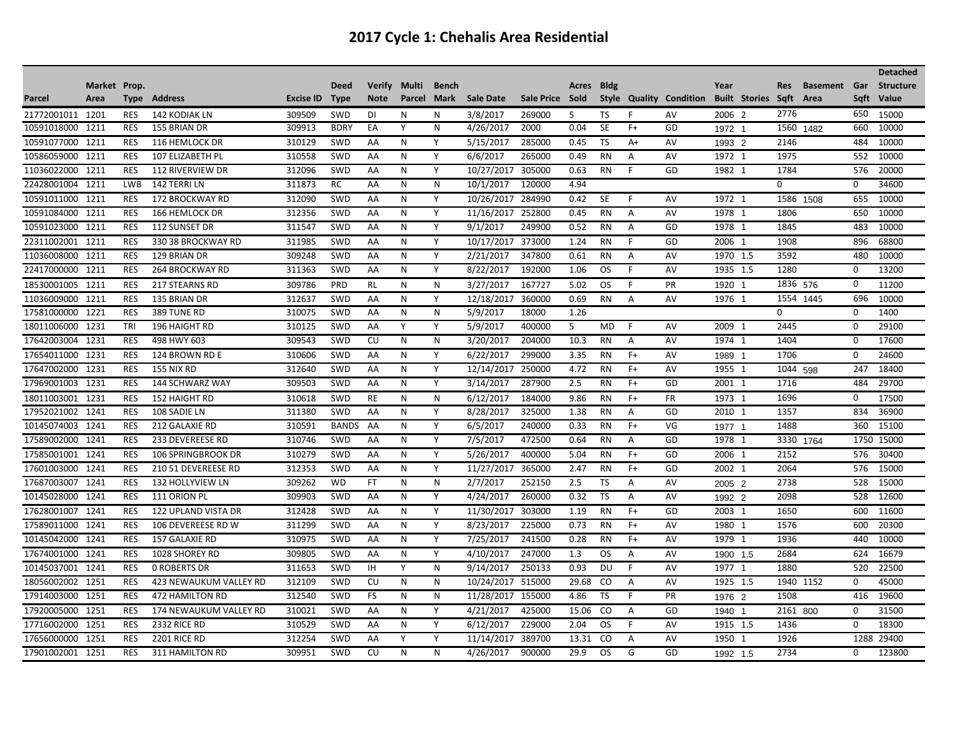| Market Prop.<br>Acres Bldg<br><b>Deed</b><br><b>Verify</b><br>Multi<br><b>Bench</b><br>Year<br><b>Res</b><br><b>Basement</b> Gar<br><b>Structure</b><br>Style Quality Condition<br><b>Built Stories</b><br>Sqft<br>Parcel<br>Address<br><b>Excise ID</b><br><b>Mark</b><br><b>Sale Date</b><br>Sale Price Sold<br>Area<br>Sqft<br>Value<br>Area<br><b>Type</b><br><b>Type</b><br><b>Note</b><br><b>Parcel</b><br>2776<br>650<br>21772001011 1201<br>3/8/2017<br>5<br>2006 2<br>15000<br><b>RES</b><br>142 KODIAK LN<br>309509<br><b>SWD</b><br>DI<br>N<br>N<br>269000<br><b>TS</b><br>F<br>AV<br>Y<br><b>SE</b><br>$F+$<br>GD<br>10591018000<br>1211<br><b>RES</b><br>309913<br><b>BDRY</b><br>EA<br>N<br>4/26/2017<br>2000<br>0.04<br>1560 1482<br>660<br>10000<br>155 BRIAN DR<br>1972 1<br>10000<br>10591077000<br>1211<br><b>RES</b><br>116 HEMLOCK DR<br>310129<br><b>SWD</b><br>AA<br>N<br>Y<br>5/15/2017<br>285000<br>0.45<br><b>TS</b><br>$A+$<br>AV<br>2146<br>484<br>1993 2<br>310558<br>SWD<br>Y<br>6/6/2017<br>1972 1<br>1975<br>10586059000<br>1211<br><b>RES</b><br>107 ELIZABETH PL<br>AA<br>N<br>265000<br>0.49<br><b>RN</b><br>$\mathsf{A}$<br>AV<br>552<br>10000<br><b>RES</b><br>312096<br>SWD<br>Y<br>10/27/2017<br>305000<br>0.63<br><b>RN</b><br>F<br>GD<br>1784<br>20000<br>11036022000<br>1211<br><b>112 RIVERVIEW DR</b><br>AA<br>N<br>1982 1<br>576<br>311873<br>22428001004<br>1211<br>LWB<br>142 TERRI LN<br><b>RC</b><br>AA<br>N<br>N<br>10/1/2017<br>120000<br>4.94<br>$\Omega$<br>$\Omega$<br>34600<br><b>RES</b><br>312090<br>SWD<br>Y<br>284990<br>1972 1<br>10000<br>10591011000<br>1211<br>172 BROCKWAY RD<br>AA<br>N<br>10/26/2017<br>0.42<br><b>SE</b><br>F<br>AV<br>1586<br>655<br>1508<br>312356<br>Y<br>10591084000<br>1211<br><b>RES</b><br><b>SWD</b><br>N<br>11/16/2017 252800<br>AV<br>1978 1<br>1806<br>650<br>10000<br><b>166 HEMLOCK DR</b><br>AA<br>0.45<br><b>RN</b><br>A<br><b>RES</b><br>311547<br>SWD<br>Y<br>249900<br>GD<br>1845<br>10000<br>10591023000<br>1211<br>112 SUNSET DR<br>AA<br>N<br>9/1/2017<br>0.52<br><b>RN</b><br>$\mathsf{A}$<br>1978 1<br>483<br><b>RES</b><br>311985<br><b>SWD</b><br>N<br>Y<br>10/17/2017<br>373000<br><b>RN</b><br>F.<br>GD<br>2006 1<br>1908<br>68800<br>22311002001<br>1211<br>330 38 BROCKWAY RD<br>AA<br>1.24<br>896<br>309248<br>3592<br>11036008000<br>1211<br>RES<br>129 BRIAN DR<br><b>SWD</b><br>AA<br>N<br>Υ<br>2/21/2017<br>347800<br>0.61<br><b>RN</b><br>A<br>AV<br>1970 1.5<br>480<br>10000<br>1280<br>22417000000<br>1211<br><b>RES</b><br><b>264 BROCKWAY RD</b><br>311363<br><b>SWD</b><br>AA<br>N<br>Y<br>8/22/2017<br>192000<br>1.06<br><b>OS</b><br>F.<br>AV<br>1935 1.5<br>0<br>13200<br>F<br>1836 576<br>0<br>1211<br><b>RES</b><br>309786<br>PRD<br><b>RL</b><br>N<br>N<br>3/27/2017<br>167727<br>5.02<br>PR<br>1920 1<br>11200<br>18530001005<br>217 STEARNS RD<br>0S<br><b>RES</b><br>312637<br>SWD<br>N<br>Y<br>360000<br>1554 1445<br>696<br>11036009000<br>1211<br>135 BRIAN DR<br>AA<br>12/18/2017<br>0.69<br><b>RN</b><br>$\overline{A}$<br>AV<br>1976 1<br>10000<br><b>RES</b><br>310075<br>SWD<br>AA<br>N<br>N<br>5/9/2017<br>18000<br>1.26<br>$\mathbf 0$<br>17581000000<br>1221<br>389 TUNE RD<br>0<br>1400<br>18011006000<br>1231<br>TRI<br>310125<br>SWD<br>AA<br>Y<br>Y<br>5/9/2017<br>400000<br>5<br><b>MD</b><br>F<br>AV<br>2009 1<br>2445<br>$\mathbf 0$<br>29100<br>196 HAIGHT RD<br>17642003004<br>1231<br><b>RES</b><br>309543<br>SWD<br>CU<br>N<br>N<br>3/20/2017<br>204000<br>10.3<br>AV<br>1974 1<br>1404<br>$\Omega$<br>17600<br>498 HWY 603<br><b>RN</b><br>Α<br>1231<br><b>RES</b><br>SWD<br>Y<br>6/22/2017<br>299000<br>$F+$<br>1706<br>24600<br>17654011000<br>124 BROWN RD E<br>310606<br>AA<br>N<br>3.35<br><b>RN</b><br>AV<br>$\Omega$<br>1989 1<br>Y<br>1955 1<br>1231<br><b>RES</b><br>312640<br><b>SWD</b><br>AA<br>N<br>12/14/2017<br>250000<br>4.72<br><b>RN</b><br>$F+$<br>AV<br>247<br>18400<br>17647002000<br><b>155 NIX RD</b><br>1044 598<br>309503<br>287900<br>GD<br>1716<br>29700<br>17969001003<br>1231<br><b>RES</b><br>144 SCHWARZ WAY<br>SWD<br>Y<br>3/14/2017<br>2.5<br>$F+$<br>2001 1<br>AA<br>N<br><b>RN</b><br>484<br>1696<br>310618<br>SWD<br>184000<br>0<br>17500<br>18011003001<br>1231<br><b>RES</b><br><b>152 HAIGHT RD</b><br>RE<br>N<br>N<br>6/12/2017<br>9.86<br><b>RN</b><br>$F+$<br><b>FR</b><br>1973 1<br>311380<br>SWD<br>AA<br>Y<br>GD<br>1357<br>17952021002<br>1241<br><b>RES</b><br>108 SADIE LN<br>N<br>8/28/2017<br>325000<br>1.38<br><b>RN</b><br>Α<br>2010 1<br>834<br>36900<br>10145074003<br>1241<br><b>RES</b><br>212 GALAXIE RD<br>310591<br><b>BANDS</b><br>AA<br>N<br>Y<br>6/5/2017<br>240000<br>0.33<br><b>RN</b><br>$F+$<br>VG<br>1488<br>360<br>15100<br>1977 1<br>310746<br>SWD<br>Y<br>472500<br>GD<br>17589002000<br>1241<br><b>RES</b><br><b>233 DEVEREESE RD</b><br>AA<br>N<br>7/5/2017<br>0.64<br><b>RN</b><br>$\mathsf{A}$<br>1978 1<br>3330 1764<br>1750 15000<br>310279<br>SWD<br>GD<br>17585001001<br>1241<br><b>RES</b><br>AA<br>N<br>Y<br>5/26/2017<br>400000<br>5.04<br><b>RN</b><br>$F+$<br>2006 1<br>2152<br>576<br>30400<br><b>106 SPRINGBROOK DR</b><br>17601003000<br>1241<br><b>RES</b><br>312353<br>SWD<br>AA<br>N<br>Y<br>11/27/2017<br>365000<br>2.47<br><b>RN</b><br>$F+$<br>GD<br>2002 1<br>2064<br>576<br>15000<br>210 51 DEVEREESE RD<br>309262<br>2/7/2017<br>2738<br>17687003007<br>1241<br><b>RES</b><br>132 HOLLYVIEW LN<br><b>WD</b><br>FT.<br>N<br>N<br>252150<br>2.5<br><b>TS</b><br>AV<br>528<br>15000<br>A<br>2005 2 |  |  |  |  |  |  |  |  |  |  | <b>Detached</b> |
|-----------------------------------------------------------------------------------------------------------------------------------------------------------------------------------------------------------------------------------------------------------------------------------------------------------------------------------------------------------------------------------------------------------------------------------------------------------------------------------------------------------------------------------------------------------------------------------------------------------------------------------------------------------------------------------------------------------------------------------------------------------------------------------------------------------------------------------------------------------------------------------------------------------------------------------------------------------------------------------------------------------------------------------------------------------------------------------------------------------------------------------------------------------------------------------------------------------------------------------------------------------------------------------------------------------------------------------------------------------------------------------------------------------------------------------------------------------------------------------------------------------------------------------------------------------------------------------------------------------------------------------------------------------------------------------------------------------------------------------------------------------------------------------------------------------------------------------------------------------------------------------------------------------------------------------------------------------------------------------------------------------------------------------------------------------------------------------------------------------------------------------------------------------------------------------------------------------------------------------------------------------------------------------------------------------------------------------------------------------------------------------------------------------------------------------------------------------------------------------------------------------------------------------------------------------------------------------------------------------------------------------------------------------------------------------------------------------------------------------------------------------------------------------------------------------------------------------------------------------------------------------------------------------------------------------------------------------------------------------------------------------------------------------------------------------------------------------------------------------------------------------------------------------------------------------------------------------------------------------------------------------------------------------------------------------------------------------------------------------------------------------------------------------------------------------------------------------------------------------------------------------------------------------------------------------------------------------------------------------------------------------------------------------------------------------------------------------------------------------------------------------------------------------------------------------------------------------------------------------------------------------------------------------------------------------------------------------------------------------------------------------------------------------------------------------------------------------------------------------------------------------------------------------------------------------------------------------------------------------------------------------------------------------------------------------------------------------------------------------------------------------------------------------------------------------------------------------------------------------------------------------------------------------------------------------------------------------------------------------------------------------------------------------------------------------------------------------------------------------------------------------------------------------------------------------------------------------------------------------------------------------------------------------------------------------------------------------------------------------------------------------------------------------------------------------------------------------------------------------------------------------------------------------------------------------------------------------------------------------------------------------------------------------------------------------------------------------------------------------------------------------------------------------------------------------------------------------------------------------------------------------------------------------------------------------|--|--|--|--|--|--|--|--|--|--|-----------------|
|                                                                                                                                                                                                                                                                                                                                                                                                                                                                                                                                                                                                                                                                                                                                                                                                                                                                                                                                                                                                                                                                                                                                                                                                                                                                                                                                                                                                                                                                                                                                                                                                                                                                                                                                                                                                                                                                                                                                                                                                                                                                                                                                                                                                                                                                                                                                                                                                                                                                                                                                                                                                                                                                                                                                                                                                                                                                                                                                                                                                                                                                                                                                                                                                                                                                                                                                                                                                                                                                                                                                                                                                                                                                                                                                                                                                                                                                                                                                                                                                                                                                                                                                                                                                                                                                                                                                                                                                                                                                                                                                                                                                                                                                                                                                                                                                                                                                                                                                                                                                                                                                                                                                                                                                                                                                                                                                                                                                                                                                                                                                                           |  |  |  |  |  |  |  |  |  |  |                 |
|                                                                                                                                                                                                                                                                                                                                                                                                                                                                                                                                                                                                                                                                                                                                                                                                                                                                                                                                                                                                                                                                                                                                                                                                                                                                                                                                                                                                                                                                                                                                                                                                                                                                                                                                                                                                                                                                                                                                                                                                                                                                                                                                                                                                                                                                                                                                                                                                                                                                                                                                                                                                                                                                                                                                                                                                                                                                                                                                                                                                                                                                                                                                                                                                                                                                                                                                                                                                                                                                                                                                                                                                                                                                                                                                                                                                                                                                                                                                                                                                                                                                                                                                                                                                                                                                                                                                                                                                                                                                                                                                                                                                                                                                                                                                                                                                                                                                                                                                                                                                                                                                                                                                                                                                                                                                                                                                                                                                                                                                                                                                                           |  |  |  |  |  |  |  |  |  |  |                 |
|                                                                                                                                                                                                                                                                                                                                                                                                                                                                                                                                                                                                                                                                                                                                                                                                                                                                                                                                                                                                                                                                                                                                                                                                                                                                                                                                                                                                                                                                                                                                                                                                                                                                                                                                                                                                                                                                                                                                                                                                                                                                                                                                                                                                                                                                                                                                                                                                                                                                                                                                                                                                                                                                                                                                                                                                                                                                                                                                                                                                                                                                                                                                                                                                                                                                                                                                                                                                                                                                                                                                                                                                                                                                                                                                                                                                                                                                                                                                                                                                                                                                                                                                                                                                                                                                                                                                                                                                                                                                                                                                                                                                                                                                                                                                                                                                                                                                                                                                                                                                                                                                                                                                                                                                                                                                                                                                                                                                                                                                                                                                                           |  |  |  |  |  |  |  |  |  |  |                 |
|                                                                                                                                                                                                                                                                                                                                                                                                                                                                                                                                                                                                                                                                                                                                                                                                                                                                                                                                                                                                                                                                                                                                                                                                                                                                                                                                                                                                                                                                                                                                                                                                                                                                                                                                                                                                                                                                                                                                                                                                                                                                                                                                                                                                                                                                                                                                                                                                                                                                                                                                                                                                                                                                                                                                                                                                                                                                                                                                                                                                                                                                                                                                                                                                                                                                                                                                                                                                                                                                                                                                                                                                                                                                                                                                                                                                                                                                                                                                                                                                                                                                                                                                                                                                                                                                                                                                                                                                                                                                                                                                                                                                                                                                                                                                                                                                                                                                                                                                                                                                                                                                                                                                                                                                                                                                                                                                                                                                                                                                                                                                                           |  |  |  |  |  |  |  |  |  |  |                 |
|                                                                                                                                                                                                                                                                                                                                                                                                                                                                                                                                                                                                                                                                                                                                                                                                                                                                                                                                                                                                                                                                                                                                                                                                                                                                                                                                                                                                                                                                                                                                                                                                                                                                                                                                                                                                                                                                                                                                                                                                                                                                                                                                                                                                                                                                                                                                                                                                                                                                                                                                                                                                                                                                                                                                                                                                                                                                                                                                                                                                                                                                                                                                                                                                                                                                                                                                                                                                                                                                                                                                                                                                                                                                                                                                                                                                                                                                                                                                                                                                                                                                                                                                                                                                                                                                                                                                                                                                                                                                                                                                                                                                                                                                                                                                                                                                                                                                                                                                                                                                                                                                                                                                                                                                                                                                                                                                                                                                                                                                                                                                                           |  |  |  |  |  |  |  |  |  |  |                 |
|                                                                                                                                                                                                                                                                                                                                                                                                                                                                                                                                                                                                                                                                                                                                                                                                                                                                                                                                                                                                                                                                                                                                                                                                                                                                                                                                                                                                                                                                                                                                                                                                                                                                                                                                                                                                                                                                                                                                                                                                                                                                                                                                                                                                                                                                                                                                                                                                                                                                                                                                                                                                                                                                                                                                                                                                                                                                                                                                                                                                                                                                                                                                                                                                                                                                                                                                                                                                                                                                                                                                                                                                                                                                                                                                                                                                                                                                                                                                                                                                                                                                                                                                                                                                                                                                                                                                                                                                                                                                                                                                                                                                                                                                                                                                                                                                                                                                                                                                                                                                                                                                                                                                                                                                                                                                                                                                                                                                                                                                                                                                                           |  |  |  |  |  |  |  |  |  |  |                 |
|                                                                                                                                                                                                                                                                                                                                                                                                                                                                                                                                                                                                                                                                                                                                                                                                                                                                                                                                                                                                                                                                                                                                                                                                                                                                                                                                                                                                                                                                                                                                                                                                                                                                                                                                                                                                                                                                                                                                                                                                                                                                                                                                                                                                                                                                                                                                                                                                                                                                                                                                                                                                                                                                                                                                                                                                                                                                                                                                                                                                                                                                                                                                                                                                                                                                                                                                                                                                                                                                                                                                                                                                                                                                                                                                                                                                                                                                                                                                                                                                                                                                                                                                                                                                                                                                                                                                                                                                                                                                                                                                                                                                                                                                                                                                                                                                                                                                                                                                                                                                                                                                                                                                                                                                                                                                                                                                                                                                                                                                                                                                                           |  |  |  |  |  |  |  |  |  |  |                 |
|                                                                                                                                                                                                                                                                                                                                                                                                                                                                                                                                                                                                                                                                                                                                                                                                                                                                                                                                                                                                                                                                                                                                                                                                                                                                                                                                                                                                                                                                                                                                                                                                                                                                                                                                                                                                                                                                                                                                                                                                                                                                                                                                                                                                                                                                                                                                                                                                                                                                                                                                                                                                                                                                                                                                                                                                                                                                                                                                                                                                                                                                                                                                                                                                                                                                                                                                                                                                                                                                                                                                                                                                                                                                                                                                                                                                                                                                                                                                                                                                                                                                                                                                                                                                                                                                                                                                                                                                                                                                                                                                                                                                                                                                                                                                                                                                                                                                                                                                                                                                                                                                                                                                                                                                                                                                                                                                                                                                                                                                                                                                                           |  |  |  |  |  |  |  |  |  |  |                 |
|                                                                                                                                                                                                                                                                                                                                                                                                                                                                                                                                                                                                                                                                                                                                                                                                                                                                                                                                                                                                                                                                                                                                                                                                                                                                                                                                                                                                                                                                                                                                                                                                                                                                                                                                                                                                                                                                                                                                                                                                                                                                                                                                                                                                                                                                                                                                                                                                                                                                                                                                                                                                                                                                                                                                                                                                                                                                                                                                                                                                                                                                                                                                                                                                                                                                                                                                                                                                                                                                                                                                                                                                                                                                                                                                                                                                                                                                                                                                                                                                                                                                                                                                                                                                                                                                                                                                                                                                                                                                                                                                                                                                                                                                                                                                                                                                                                                                                                                                                                                                                                                                                                                                                                                                                                                                                                                                                                                                                                                                                                                                                           |  |  |  |  |  |  |  |  |  |  |                 |
|                                                                                                                                                                                                                                                                                                                                                                                                                                                                                                                                                                                                                                                                                                                                                                                                                                                                                                                                                                                                                                                                                                                                                                                                                                                                                                                                                                                                                                                                                                                                                                                                                                                                                                                                                                                                                                                                                                                                                                                                                                                                                                                                                                                                                                                                                                                                                                                                                                                                                                                                                                                                                                                                                                                                                                                                                                                                                                                                                                                                                                                                                                                                                                                                                                                                                                                                                                                                                                                                                                                                                                                                                                                                                                                                                                                                                                                                                                                                                                                                                                                                                                                                                                                                                                                                                                                                                                                                                                                                                                                                                                                                                                                                                                                                                                                                                                                                                                                                                                                                                                                                                                                                                                                                                                                                                                                                                                                                                                                                                                                                                           |  |  |  |  |  |  |  |  |  |  |                 |
|                                                                                                                                                                                                                                                                                                                                                                                                                                                                                                                                                                                                                                                                                                                                                                                                                                                                                                                                                                                                                                                                                                                                                                                                                                                                                                                                                                                                                                                                                                                                                                                                                                                                                                                                                                                                                                                                                                                                                                                                                                                                                                                                                                                                                                                                                                                                                                                                                                                                                                                                                                                                                                                                                                                                                                                                                                                                                                                                                                                                                                                                                                                                                                                                                                                                                                                                                                                                                                                                                                                                                                                                                                                                                                                                                                                                                                                                                                                                                                                                                                                                                                                                                                                                                                                                                                                                                                                                                                                                                                                                                                                                                                                                                                                                                                                                                                                                                                                                                                                                                                                                                                                                                                                                                                                                                                                                                                                                                                                                                                                                                           |  |  |  |  |  |  |  |  |  |  |                 |
|                                                                                                                                                                                                                                                                                                                                                                                                                                                                                                                                                                                                                                                                                                                                                                                                                                                                                                                                                                                                                                                                                                                                                                                                                                                                                                                                                                                                                                                                                                                                                                                                                                                                                                                                                                                                                                                                                                                                                                                                                                                                                                                                                                                                                                                                                                                                                                                                                                                                                                                                                                                                                                                                                                                                                                                                                                                                                                                                                                                                                                                                                                                                                                                                                                                                                                                                                                                                                                                                                                                                                                                                                                                                                                                                                                                                                                                                                                                                                                                                                                                                                                                                                                                                                                                                                                                                                                                                                                                                                                                                                                                                                                                                                                                                                                                                                                                                                                                                                                                                                                                                                                                                                                                                                                                                                                                                                                                                                                                                                                                                                           |  |  |  |  |  |  |  |  |  |  |                 |
|                                                                                                                                                                                                                                                                                                                                                                                                                                                                                                                                                                                                                                                                                                                                                                                                                                                                                                                                                                                                                                                                                                                                                                                                                                                                                                                                                                                                                                                                                                                                                                                                                                                                                                                                                                                                                                                                                                                                                                                                                                                                                                                                                                                                                                                                                                                                                                                                                                                                                                                                                                                                                                                                                                                                                                                                                                                                                                                                                                                                                                                                                                                                                                                                                                                                                                                                                                                                                                                                                                                                                                                                                                                                                                                                                                                                                                                                                                                                                                                                                                                                                                                                                                                                                                                                                                                                                                                                                                                                                                                                                                                                                                                                                                                                                                                                                                                                                                                                                                                                                                                                                                                                                                                                                                                                                                                                                                                                                                                                                                                                                           |  |  |  |  |  |  |  |  |  |  |                 |
|                                                                                                                                                                                                                                                                                                                                                                                                                                                                                                                                                                                                                                                                                                                                                                                                                                                                                                                                                                                                                                                                                                                                                                                                                                                                                                                                                                                                                                                                                                                                                                                                                                                                                                                                                                                                                                                                                                                                                                                                                                                                                                                                                                                                                                                                                                                                                                                                                                                                                                                                                                                                                                                                                                                                                                                                                                                                                                                                                                                                                                                                                                                                                                                                                                                                                                                                                                                                                                                                                                                                                                                                                                                                                                                                                                                                                                                                                                                                                                                                                                                                                                                                                                                                                                                                                                                                                                                                                                                                                                                                                                                                                                                                                                                                                                                                                                                                                                                                                                                                                                                                                                                                                                                                                                                                                                                                                                                                                                                                                                                                                           |  |  |  |  |  |  |  |  |  |  |                 |
|                                                                                                                                                                                                                                                                                                                                                                                                                                                                                                                                                                                                                                                                                                                                                                                                                                                                                                                                                                                                                                                                                                                                                                                                                                                                                                                                                                                                                                                                                                                                                                                                                                                                                                                                                                                                                                                                                                                                                                                                                                                                                                                                                                                                                                                                                                                                                                                                                                                                                                                                                                                                                                                                                                                                                                                                                                                                                                                                                                                                                                                                                                                                                                                                                                                                                                                                                                                                                                                                                                                                                                                                                                                                                                                                                                                                                                                                                                                                                                                                                                                                                                                                                                                                                                                                                                                                                                                                                                                                                                                                                                                                                                                                                                                                                                                                                                                                                                                                                                                                                                                                                                                                                                                                                                                                                                                                                                                                                                                                                                                                                           |  |  |  |  |  |  |  |  |  |  |                 |
|                                                                                                                                                                                                                                                                                                                                                                                                                                                                                                                                                                                                                                                                                                                                                                                                                                                                                                                                                                                                                                                                                                                                                                                                                                                                                                                                                                                                                                                                                                                                                                                                                                                                                                                                                                                                                                                                                                                                                                                                                                                                                                                                                                                                                                                                                                                                                                                                                                                                                                                                                                                                                                                                                                                                                                                                                                                                                                                                                                                                                                                                                                                                                                                                                                                                                                                                                                                                                                                                                                                                                                                                                                                                                                                                                                                                                                                                                                                                                                                                                                                                                                                                                                                                                                                                                                                                                                                                                                                                                                                                                                                                                                                                                                                                                                                                                                                                                                                                                                                                                                                                                                                                                                                                                                                                                                                                                                                                                                                                                                                                                           |  |  |  |  |  |  |  |  |  |  |                 |
|                                                                                                                                                                                                                                                                                                                                                                                                                                                                                                                                                                                                                                                                                                                                                                                                                                                                                                                                                                                                                                                                                                                                                                                                                                                                                                                                                                                                                                                                                                                                                                                                                                                                                                                                                                                                                                                                                                                                                                                                                                                                                                                                                                                                                                                                                                                                                                                                                                                                                                                                                                                                                                                                                                                                                                                                                                                                                                                                                                                                                                                                                                                                                                                                                                                                                                                                                                                                                                                                                                                                                                                                                                                                                                                                                                                                                                                                                                                                                                                                                                                                                                                                                                                                                                                                                                                                                                                                                                                                                                                                                                                                                                                                                                                                                                                                                                                                                                                                                                                                                                                                                                                                                                                                                                                                                                                                                                                                                                                                                                                                                           |  |  |  |  |  |  |  |  |  |  |                 |
|                                                                                                                                                                                                                                                                                                                                                                                                                                                                                                                                                                                                                                                                                                                                                                                                                                                                                                                                                                                                                                                                                                                                                                                                                                                                                                                                                                                                                                                                                                                                                                                                                                                                                                                                                                                                                                                                                                                                                                                                                                                                                                                                                                                                                                                                                                                                                                                                                                                                                                                                                                                                                                                                                                                                                                                                                                                                                                                                                                                                                                                                                                                                                                                                                                                                                                                                                                                                                                                                                                                                                                                                                                                                                                                                                                                                                                                                                                                                                                                                                                                                                                                                                                                                                                                                                                                                                                                                                                                                                                                                                                                                                                                                                                                                                                                                                                                                                                                                                                                                                                                                                                                                                                                                                                                                                                                                                                                                                                                                                                                                                           |  |  |  |  |  |  |  |  |  |  |                 |
|                                                                                                                                                                                                                                                                                                                                                                                                                                                                                                                                                                                                                                                                                                                                                                                                                                                                                                                                                                                                                                                                                                                                                                                                                                                                                                                                                                                                                                                                                                                                                                                                                                                                                                                                                                                                                                                                                                                                                                                                                                                                                                                                                                                                                                                                                                                                                                                                                                                                                                                                                                                                                                                                                                                                                                                                                                                                                                                                                                                                                                                                                                                                                                                                                                                                                                                                                                                                                                                                                                                                                                                                                                                                                                                                                                                                                                                                                                                                                                                                                                                                                                                                                                                                                                                                                                                                                                                                                                                                                                                                                                                                                                                                                                                                                                                                                                                                                                                                                                                                                                                                                                                                                                                                                                                                                                                                                                                                                                                                                                                                                           |  |  |  |  |  |  |  |  |  |  |                 |
|                                                                                                                                                                                                                                                                                                                                                                                                                                                                                                                                                                                                                                                                                                                                                                                                                                                                                                                                                                                                                                                                                                                                                                                                                                                                                                                                                                                                                                                                                                                                                                                                                                                                                                                                                                                                                                                                                                                                                                                                                                                                                                                                                                                                                                                                                                                                                                                                                                                                                                                                                                                                                                                                                                                                                                                                                                                                                                                                                                                                                                                                                                                                                                                                                                                                                                                                                                                                                                                                                                                                                                                                                                                                                                                                                                                                                                                                                                                                                                                                                                                                                                                                                                                                                                                                                                                                                                                                                                                                                                                                                                                                                                                                                                                                                                                                                                                                                                                                                                                                                                                                                                                                                                                                                                                                                                                                                                                                                                                                                                                                                           |  |  |  |  |  |  |  |  |  |  |                 |
|                                                                                                                                                                                                                                                                                                                                                                                                                                                                                                                                                                                                                                                                                                                                                                                                                                                                                                                                                                                                                                                                                                                                                                                                                                                                                                                                                                                                                                                                                                                                                                                                                                                                                                                                                                                                                                                                                                                                                                                                                                                                                                                                                                                                                                                                                                                                                                                                                                                                                                                                                                                                                                                                                                                                                                                                                                                                                                                                                                                                                                                                                                                                                                                                                                                                                                                                                                                                                                                                                                                                                                                                                                                                                                                                                                                                                                                                                                                                                                                                                                                                                                                                                                                                                                                                                                                                                                                                                                                                                                                                                                                                                                                                                                                                                                                                                                                                                                                                                                                                                                                                                                                                                                                                                                                                                                                                                                                                                                                                                                                                                           |  |  |  |  |  |  |  |  |  |  |                 |
|                                                                                                                                                                                                                                                                                                                                                                                                                                                                                                                                                                                                                                                                                                                                                                                                                                                                                                                                                                                                                                                                                                                                                                                                                                                                                                                                                                                                                                                                                                                                                                                                                                                                                                                                                                                                                                                                                                                                                                                                                                                                                                                                                                                                                                                                                                                                                                                                                                                                                                                                                                                                                                                                                                                                                                                                                                                                                                                                                                                                                                                                                                                                                                                                                                                                                                                                                                                                                                                                                                                                                                                                                                                                                                                                                                                                                                                                                                                                                                                                                                                                                                                                                                                                                                                                                                                                                                                                                                                                                                                                                                                                                                                                                                                                                                                                                                                                                                                                                                                                                                                                                                                                                                                                                                                                                                                                                                                                                                                                                                                                                           |  |  |  |  |  |  |  |  |  |  |                 |
|                                                                                                                                                                                                                                                                                                                                                                                                                                                                                                                                                                                                                                                                                                                                                                                                                                                                                                                                                                                                                                                                                                                                                                                                                                                                                                                                                                                                                                                                                                                                                                                                                                                                                                                                                                                                                                                                                                                                                                                                                                                                                                                                                                                                                                                                                                                                                                                                                                                                                                                                                                                                                                                                                                                                                                                                                                                                                                                                                                                                                                                                                                                                                                                                                                                                                                                                                                                                                                                                                                                                                                                                                                                                                                                                                                                                                                                                                                                                                                                                                                                                                                                                                                                                                                                                                                                                                                                                                                                                                                                                                                                                                                                                                                                                                                                                                                                                                                                                                                                                                                                                                                                                                                                                                                                                                                                                                                                                                                                                                                                                                           |  |  |  |  |  |  |  |  |  |  |                 |
|                                                                                                                                                                                                                                                                                                                                                                                                                                                                                                                                                                                                                                                                                                                                                                                                                                                                                                                                                                                                                                                                                                                                                                                                                                                                                                                                                                                                                                                                                                                                                                                                                                                                                                                                                                                                                                                                                                                                                                                                                                                                                                                                                                                                                                                                                                                                                                                                                                                                                                                                                                                                                                                                                                                                                                                                                                                                                                                                                                                                                                                                                                                                                                                                                                                                                                                                                                                                                                                                                                                                                                                                                                                                                                                                                                                                                                                                                                                                                                                                                                                                                                                                                                                                                                                                                                                                                                                                                                                                                                                                                                                                                                                                                                                                                                                                                                                                                                                                                                                                                                                                                                                                                                                                                                                                                                                                                                                                                                                                                                                                                           |  |  |  |  |  |  |  |  |  |  |                 |
|                                                                                                                                                                                                                                                                                                                                                                                                                                                                                                                                                                                                                                                                                                                                                                                                                                                                                                                                                                                                                                                                                                                                                                                                                                                                                                                                                                                                                                                                                                                                                                                                                                                                                                                                                                                                                                                                                                                                                                                                                                                                                                                                                                                                                                                                                                                                                                                                                                                                                                                                                                                                                                                                                                                                                                                                                                                                                                                                                                                                                                                                                                                                                                                                                                                                                                                                                                                                                                                                                                                                                                                                                                                                                                                                                                                                                                                                                                                                                                                                                                                                                                                                                                                                                                                                                                                                                                                                                                                                                                                                                                                                                                                                                                                                                                                                                                                                                                                                                                                                                                                                                                                                                                                                                                                                                                                                                                                                                                                                                                                                                           |  |  |  |  |  |  |  |  |  |  |                 |
|                                                                                                                                                                                                                                                                                                                                                                                                                                                                                                                                                                                                                                                                                                                                                                                                                                                                                                                                                                                                                                                                                                                                                                                                                                                                                                                                                                                                                                                                                                                                                                                                                                                                                                                                                                                                                                                                                                                                                                                                                                                                                                                                                                                                                                                                                                                                                                                                                                                                                                                                                                                                                                                                                                                                                                                                                                                                                                                                                                                                                                                                                                                                                                                                                                                                                                                                                                                                                                                                                                                                                                                                                                                                                                                                                                                                                                                                                                                                                                                                                                                                                                                                                                                                                                                                                                                                                                                                                                                                                                                                                                                                                                                                                                                                                                                                                                                                                                                                                                                                                                                                                                                                                                                                                                                                                                                                                                                                                                                                                                                                                           |  |  |  |  |  |  |  |  |  |  |                 |
|                                                                                                                                                                                                                                                                                                                                                                                                                                                                                                                                                                                                                                                                                                                                                                                                                                                                                                                                                                                                                                                                                                                                                                                                                                                                                                                                                                                                                                                                                                                                                                                                                                                                                                                                                                                                                                                                                                                                                                                                                                                                                                                                                                                                                                                                                                                                                                                                                                                                                                                                                                                                                                                                                                                                                                                                                                                                                                                                                                                                                                                                                                                                                                                                                                                                                                                                                                                                                                                                                                                                                                                                                                                                                                                                                                                                                                                                                                                                                                                                                                                                                                                                                                                                                                                                                                                                                                                                                                                                                                                                                                                                                                                                                                                                                                                                                                                                                                                                                                                                                                                                                                                                                                                                                                                                                                                                                                                                                                                                                                                                                           |  |  |  |  |  |  |  |  |  |  |                 |
|                                                                                                                                                                                                                                                                                                                                                                                                                                                                                                                                                                                                                                                                                                                                                                                                                                                                                                                                                                                                                                                                                                                                                                                                                                                                                                                                                                                                                                                                                                                                                                                                                                                                                                                                                                                                                                                                                                                                                                                                                                                                                                                                                                                                                                                                                                                                                                                                                                                                                                                                                                                                                                                                                                                                                                                                                                                                                                                                                                                                                                                                                                                                                                                                                                                                                                                                                                                                                                                                                                                                                                                                                                                                                                                                                                                                                                                                                                                                                                                                                                                                                                                                                                                                                                                                                                                                                                                                                                                                                                                                                                                                                                                                                                                                                                                                                                                                                                                                                                                                                                                                                                                                                                                                                                                                                                                                                                                                                                                                                                                                                           |  |  |  |  |  |  |  |  |  |  |                 |
|                                                                                                                                                                                                                                                                                                                                                                                                                                                                                                                                                                                                                                                                                                                                                                                                                                                                                                                                                                                                                                                                                                                                                                                                                                                                                                                                                                                                                                                                                                                                                                                                                                                                                                                                                                                                                                                                                                                                                                                                                                                                                                                                                                                                                                                                                                                                                                                                                                                                                                                                                                                                                                                                                                                                                                                                                                                                                                                                                                                                                                                                                                                                                                                                                                                                                                                                                                                                                                                                                                                                                                                                                                                                                                                                                                                                                                                                                                                                                                                                                                                                                                                                                                                                                                                                                                                                                                                                                                                                                                                                                                                                                                                                                                                                                                                                                                                                                                                                                                                                                                                                                                                                                                                                                                                                                                                                                                                                                                                                                                                                                           |  |  |  |  |  |  |  |  |  |  |                 |
| Y<br>0.32<br>2098<br>10145028000<br><b>RES</b><br>309903<br>SWD<br>AA<br>N<br>4/24/2017<br>260000<br><b>TS</b><br>AV<br>528<br>12600<br>1241<br>111 ORION PL<br>$\mathsf{A}$<br>1992 2                                                                                                                                                                                                                                                                                                                                                                                                                                                                                                                                                                                                                                                                                                                                                                                                                                                                                                                                                                                                                                                                                                                                                                                                                                                                                                                                                                                                                                                                                                                                                                                                                                                                                                                                                                                                                                                                                                                                                                                                                                                                                                                                                                                                                                                                                                                                                                                                                                                                                                                                                                                                                                                                                                                                                                                                                                                                                                                                                                                                                                                                                                                                                                                                                                                                                                                                                                                                                                                                                                                                                                                                                                                                                                                                                                                                                                                                                                                                                                                                                                                                                                                                                                                                                                                                                                                                                                                                                                                                                                                                                                                                                                                                                                                                                                                                                                                                                                                                                                                                                                                                                                                                                                                                                                                                                                                                                                    |  |  |  |  |  |  |  |  |  |  |                 |
| 312428<br>SWD<br>Y<br>11/30/2017<br>303000<br>$F+$<br>GD<br>2003 1<br>1650<br>11600<br>17628001007<br>1241<br><b>RES</b><br>122 UPLAND VISTA DR<br>AA<br>N<br>1.19<br><b>RN</b><br>600                                                                                                                                                                                                                                                                                                                                                                                                                                                                                                                                                                                                                                                                                                                                                                                                                                                                                                                                                                                                                                                                                                                                                                                                                                                                                                                                                                                                                                                                                                                                                                                                                                                                                                                                                                                                                                                                                                                                                                                                                                                                                                                                                                                                                                                                                                                                                                                                                                                                                                                                                                                                                                                                                                                                                                                                                                                                                                                                                                                                                                                                                                                                                                                                                                                                                                                                                                                                                                                                                                                                                                                                                                                                                                                                                                                                                                                                                                                                                                                                                                                                                                                                                                                                                                                                                                                                                                                                                                                                                                                                                                                                                                                                                                                                                                                                                                                                                                                                                                                                                                                                                                                                                                                                                                                                                                                                                                    |  |  |  |  |  |  |  |  |  |  |                 |
| 225000<br>1576<br>17589011000<br>1241<br><b>RES</b><br>106 DEVEREESE RD W<br>311299<br><b>SWD</b><br>AA<br>N<br>Y<br>8/23/2017<br>0.73<br><b>RN</b><br>$F+$<br>AV<br>1980 1<br>600<br>20300                                                                                                                                                                                                                                                                                                                                                                                                                                                                                                                                                                                                                                                                                                                                                                                                                                                                                                                                                                                                                                                                                                                                                                                                                                                                                                                                                                                                                                                                                                                                                                                                                                                                                                                                                                                                                                                                                                                                                                                                                                                                                                                                                                                                                                                                                                                                                                                                                                                                                                                                                                                                                                                                                                                                                                                                                                                                                                                                                                                                                                                                                                                                                                                                                                                                                                                                                                                                                                                                                                                                                                                                                                                                                                                                                                                                                                                                                                                                                                                                                                                                                                                                                                                                                                                                                                                                                                                                                                                                                                                                                                                                                                                                                                                                                                                                                                                                                                                                                                                                                                                                                                                                                                                                                                                                                                                                                               |  |  |  |  |  |  |  |  |  |  |                 |
| 310975<br>SWD<br>Υ<br>1936<br>10145042000<br>1241<br><b>RES</b><br>157 GALAXIE RD<br>AA<br>N<br>7/25/2017<br>241500<br>0.28<br><b>RN</b><br>$F+$<br>AV<br>1979 1<br>440<br>10000                                                                                                                                                                                                                                                                                                                                                                                                                                                                                                                                                                                                                                                                                                                                                                                                                                                                                                                                                                                                                                                                                                                                                                                                                                                                                                                                                                                                                                                                                                                                                                                                                                                                                                                                                                                                                                                                                                                                                                                                                                                                                                                                                                                                                                                                                                                                                                                                                                                                                                                                                                                                                                                                                                                                                                                                                                                                                                                                                                                                                                                                                                                                                                                                                                                                                                                                                                                                                                                                                                                                                                                                                                                                                                                                                                                                                                                                                                                                                                                                                                                                                                                                                                                                                                                                                                                                                                                                                                                                                                                                                                                                                                                                                                                                                                                                                                                                                                                                                                                                                                                                                                                                                                                                                                                                                                                                                                          |  |  |  |  |  |  |  |  |  |  |                 |
| 17674001000<br><b>RES</b><br>309805<br>SWD<br>247000<br>2684<br>16679<br>1241<br>1028 SHOREY RD<br>AA<br>N<br>Υ<br>4/10/2017<br>1.3<br><b>OS</b><br>Α<br>AV<br>624<br>1900 1.5                                                                                                                                                                                                                                                                                                                                                                                                                                                                                                                                                                                                                                                                                                                                                                                                                                                                                                                                                                                                                                                                                                                                                                                                                                                                                                                                                                                                                                                                                                                                                                                                                                                                                                                                                                                                                                                                                                                                                                                                                                                                                                                                                                                                                                                                                                                                                                                                                                                                                                                                                                                                                                                                                                                                                                                                                                                                                                                                                                                                                                                                                                                                                                                                                                                                                                                                                                                                                                                                                                                                                                                                                                                                                                                                                                                                                                                                                                                                                                                                                                                                                                                                                                                                                                                                                                                                                                                                                                                                                                                                                                                                                                                                                                                                                                                                                                                                                                                                                                                                                                                                                                                                                                                                                                                                                                                                                                            |  |  |  |  |  |  |  |  |  |  |                 |
| SWD<br>Y<br>N<br>250133<br>0.93<br>1880<br>10145037001 1241<br><b>RES</b><br><b>O ROBERTS DR</b><br>311653<br><b>IH</b><br>9/14/2017<br>DU<br>F.<br>AV<br>1977 1<br>520<br>22500                                                                                                                                                                                                                                                                                                                                                                                                                                                                                                                                                                                                                                                                                                                                                                                                                                                                                                                                                                                                                                                                                                                                                                                                                                                                                                                                                                                                                                                                                                                                                                                                                                                                                                                                                                                                                                                                                                                                                                                                                                                                                                                                                                                                                                                                                                                                                                                                                                                                                                                                                                                                                                                                                                                                                                                                                                                                                                                                                                                                                                                                                                                                                                                                                                                                                                                                                                                                                                                                                                                                                                                                                                                                                                                                                                                                                                                                                                                                                                                                                                                                                                                                                                                                                                                                                                                                                                                                                                                                                                                                                                                                                                                                                                                                                                                                                                                                                                                                                                                                                                                                                                                                                                                                                                                                                                                                                                          |  |  |  |  |  |  |  |  |  |  |                 |
| <b>RES</b><br>312109<br>SWD<br>CU<br>N<br>10/24/2017 515000<br>29.68<br>AV<br>45000<br>18056002002<br>1251<br><b>423 NEWAUKUM VALLEY RD</b><br>N<br><sub>CO</sub><br>A<br>1925 1.5<br>1940 1152<br>$\Omega$                                                                                                                                                                                                                                                                                                                                                                                                                                                                                                                                                                                                                                                                                                                                                                                                                                                                                                                                                                                                                                                                                                                                                                                                                                                                                                                                                                                                                                                                                                                                                                                                                                                                                                                                                                                                                                                                                                                                                                                                                                                                                                                                                                                                                                                                                                                                                                                                                                                                                                                                                                                                                                                                                                                                                                                                                                                                                                                                                                                                                                                                                                                                                                                                                                                                                                                                                                                                                                                                                                                                                                                                                                                                                                                                                                                                                                                                                                                                                                                                                                                                                                                                                                                                                                                                                                                                                                                                                                                                                                                                                                                                                                                                                                                                                                                                                                                                                                                                                                                                                                                                                                                                                                                                                                                                                                                                               |  |  |  |  |  |  |  |  |  |  |                 |
| 1251<br><b>RES</b><br>312540<br>SWD<br><b>FS</b><br>N<br>11/28/2017 155000<br><b>TS</b><br>F<br>PR<br>1508<br>19600<br>17914003000<br><b>472 HAMILTON RD</b><br>N<br>4.86<br>416<br>1976 2                                                                                                                                                                                                                                                                                                                                                                                                                                                                                                                                                                                                                                                                                                                                                                                                                                                                                                                                                                                                                                                                                                                                                                                                                                                                                                                                                                                                                                                                                                                                                                                                                                                                                                                                                                                                                                                                                                                                                                                                                                                                                                                                                                                                                                                                                                                                                                                                                                                                                                                                                                                                                                                                                                                                                                                                                                                                                                                                                                                                                                                                                                                                                                                                                                                                                                                                                                                                                                                                                                                                                                                                                                                                                                                                                                                                                                                                                                                                                                                                                                                                                                                                                                                                                                                                                                                                                                                                                                                                                                                                                                                                                                                                                                                                                                                                                                                                                                                                                                                                                                                                                                                                                                                                                                                                                                                                                                |  |  |  |  |  |  |  |  |  |  |                 |
| 17920005000<br>1251<br><b>RES</b><br>310021<br>SWD<br>N<br>Y<br>4/21/2017<br>425000<br>15.06<br>GD<br>31500<br>174 NEWAUKUM VALLEY RD<br>AA<br><sub>CO</sub><br>$\mathsf{A}$<br>2161 800<br>$\Omega$<br>1940                                                                                                                                                                                                                                                                                                                                                                                                                                                                                                                                                                                                                                                                                                                                                                                                                                                                                                                                                                                                                                                                                                                                                                                                                                                                                                                                                                                                                                                                                                                                                                                                                                                                                                                                                                                                                                                                                                                                                                                                                                                                                                                                                                                                                                                                                                                                                                                                                                                                                                                                                                                                                                                                                                                                                                                                                                                                                                                                                                                                                                                                                                                                                                                                                                                                                                                                                                                                                                                                                                                                                                                                                                                                                                                                                                                                                                                                                                                                                                                                                                                                                                                                                                                                                                                                                                                                                                                                                                                                                                                                                                                                                                                                                                                                                                                                                                                                                                                                                                                                                                                                                                                                                                                                                                                                                                                                              |  |  |  |  |  |  |  |  |  |  |                 |
| 1251<br><b>RES</b><br>Y<br>6/12/2017<br>229000<br>AV<br>18300<br>17716002000<br>2332 RICE RD<br>310529<br><b>SWD</b><br>N<br>2.04<br><b>OS</b><br>F.<br>1915 1.5<br>1436<br>$\Omega$<br>AA                                                                                                                                                                                                                                                                                                                                                                                                                                                                                                                                                                                                                                                                                                                                                                                                                                                                                                                                                                                                                                                                                                                                                                                                                                                                                                                                                                                                                                                                                                                                                                                                                                                                                                                                                                                                                                                                                                                                                                                                                                                                                                                                                                                                                                                                                                                                                                                                                                                                                                                                                                                                                                                                                                                                                                                                                                                                                                                                                                                                                                                                                                                                                                                                                                                                                                                                                                                                                                                                                                                                                                                                                                                                                                                                                                                                                                                                                                                                                                                                                                                                                                                                                                                                                                                                                                                                                                                                                                                                                                                                                                                                                                                                                                                                                                                                                                                                                                                                                                                                                                                                                                                                                                                                                                                                                                                                                                |  |  |  |  |  |  |  |  |  |  |                 |
| 312254<br>Y<br>Y<br><b>RES</b><br><b>SWD</b><br>389700<br>13.31<br><sub>CO</sub><br>$\overline{A}$<br>AV<br>1950 1<br>1926<br>29400<br>17656000000<br>1251<br><b>2201 RICE RD</b><br>AA<br>11/14/2017<br>1288                                                                                                                                                                                                                                                                                                                                                                                                                                                                                                                                                                                                                                                                                                                                                                                                                                                                                                                                                                                                                                                                                                                                                                                                                                                                                                                                                                                                                                                                                                                                                                                                                                                                                                                                                                                                                                                                                                                                                                                                                                                                                                                                                                                                                                                                                                                                                                                                                                                                                                                                                                                                                                                                                                                                                                                                                                                                                                                                                                                                                                                                                                                                                                                                                                                                                                                                                                                                                                                                                                                                                                                                                                                                                                                                                                                                                                                                                                                                                                                                                                                                                                                                                                                                                                                                                                                                                                                                                                                                                                                                                                                                                                                                                                                                                                                                                                                                                                                                                                                                                                                                                                                                                                                                                                                                                                                                             |  |  |  |  |  |  |  |  |  |  |                 |
| 309951<br><b>SWD</b><br>CU<br>N<br>29.9<br><b>OS</b><br>GD<br>2734<br>123800<br>17901002001 1251<br><b>RES</b><br>311 HAMILTON RD<br>N<br>4/26/2017<br>900000<br>G<br>0<br>1992 1.5                                                                                                                                                                                                                                                                                                                                                                                                                                                                                                                                                                                                                                                                                                                                                                                                                                                                                                                                                                                                                                                                                                                                                                                                                                                                                                                                                                                                                                                                                                                                                                                                                                                                                                                                                                                                                                                                                                                                                                                                                                                                                                                                                                                                                                                                                                                                                                                                                                                                                                                                                                                                                                                                                                                                                                                                                                                                                                                                                                                                                                                                                                                                                                                                                                                                                                                                                                                                                                                                                                                                                                                                                                                                                                                                                                                                                                                                                                                                                                                                                                                                                                                                                                                                                                                                                                                                                                                                                                                                                                                                                                                                                                                                                                                                                                                                                                                                                                                                                                                                                                                                                                                                                                                                                                                                                                                                                                       |  |  |  |  |  |  |  |  |  |  |                 |